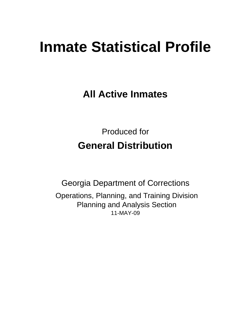# **Inmate Statistical Profile**

**All Active Inmates**

Produced for **General Distribution**

11-MAY-09 Georgia Department of Corrections Operations, Planning, and Training Division Planning and Analysis Section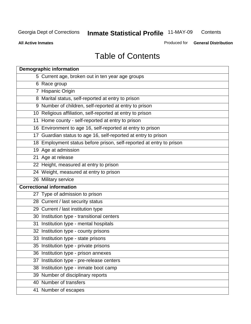**Contents** 

**All Active Inmates**

Produced for **General Distribution**

# Table of Contents

|    | <b>Demographic information</b>                                       |
|----|----------------------------------------------------------------------|
|    | 5 Current age, broken out in ten year age groups                     |
|    | 6 Race group                                                         |
|    | 7 Hispanic Origin                                                    |
|    | 8 Marital status, self-reported at entry to prison                   |
|    | 9 Number of children, self-reported at entry to prison               |
|    | 10 Religious affiliation, self-reported at entry to prison           |
|    | 11 Home county - self-reported at entry to prison                    |
|    | 16 Environment to age 16, self-reported at entry to prison           |
|    | 17 Guardian status to age 16, self-reported at entry to prison       |
|    | 18 Employment status before prison, self-reported at entry to prison |
|    | 19 Age at admission                                                  |
|    | 21 Age at release                                                    |
|    | 22 Height, measured at entry to prison                               |
|    | 24 Weight, measured at entry to prison                               |
|    | 26 Military service                                                  |
|    | <b>Correctional information</b>                                      |
|    | 27 Type of admission to prison                                       |
|    | 28 Current / last security status                                    |
|    | 29 Current / last institution type                                   |
|    | 30 Institution type - transitional centers                           |
|    | 31 Institution type - mental hospitals                               |
|    | 32 Institution type - county prisons                                 |
|    | 33 Institution type - state prisons                                  |
|    | 35 Institution type - private prisons                                |
|    | 36 Institution type - prison annexes                                 |
| 37 | Institution type - pre-release centers                               |
|    | 38 Institution type - inmate boot camp                               |
|    | 39 Number of disciplinary reports                                    |
|    | 40 Number of transfers                                               |
|    | 41 Number of escapes                                                 |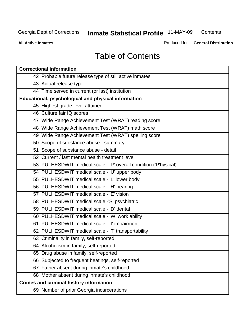**Contents** 

**All Active Inmates**

Produced for **General Distribution**

# Table of Contents

| <b>Correctional information</b>                                  |
|------------------------------------------------------------------|
| 42 Probable future release type of still active inmates          |
| 43 Actual release type                                           |
| 44 Time served in current (or last) institution                  |
| Educational, psychological and physical information              |
| 45 Highest grade level attained                                  |
| 46 Culture fair IQ scores                                        |
| 47 Wide Range Achievement Test (WRAT) reading score              |
| 48 Wide Range Achievement Test (WRAT) math score                 |
| 49 Wide Range Achievement Test (WRAT) spelling score             |
| 50 Scope of substance abuse - summary                            |
| 51 Scope of substance abuse - detail                             |
| 52 Current / last mental health treatment level                  |
| 53 PULHESDWIT medical scale - 'P' overall condition ('P'hysical) |
| 54 PULHESDWIT medical scale - 'U' upper body                     |
| 55 PULHESDWIT medical scale - 'L' lower body                     |
| 56 PULHESDWIT medical scale - 'H' hearing                        |
| 57 PULHESDWIT medical scale - 'E' vision                         |
| 58 PULHESDWIT medical scale -'S' psychiatric                     |
| 59 PULHESDWIT medical scale - 'D' dental                         |
| 60 PULHESDWIT medical scale - 'W' work ability                   |
| 61 PULHESDWIT medical scale - 'I' impairment                     |
| 62 PULHESDWIT medical scale - 'T' transportability               |
| 63 Criminality in family, self-reported                          |
| 64 Alcoholism in family, self-reported                           |
| 65 Drug abuse in family, self-reported                           |
| 66 Subjected to frequent beatings, self-reported                 |
| Father absent during inmate's childhood<br>67                    |
| 68 Mother absent during inmate's childhood                       |
| <b>Crimes and criminal history information</b>                   |
| 69 Number of prior Georgia incarcerations                        |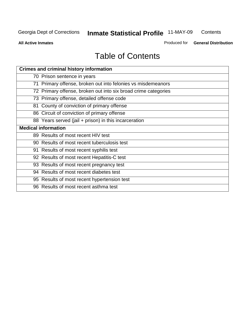**Contents** 

**All Active Inmates**

Produced for **General Distribution**

# Table of Contents

| <b>Crimes and criminal history information</b>                 |
|----------------------------------------------------------------|
| 70 Prison sentence in years                                    |
| 71 Primary offense, broken out into felonies vs misdemeanors   |
| 72 Primary offense, broken out into six broad crime categories |
| 73 Primary offense, detailed offense code                      |
| 81 County of conviction of primary offense                     |
| 86 Circuit of conviction of primary offense                    |
| 88 Years served (jail + prison) in this incarceration          |
| <b>Medical information</b>                                     |
| 89 Results of most recent HIV test                             |
| 90 Results of most recent tuberculosis test                    |
| 91 Results of most recent syphilis test                        |
| 92 Results of most recent Hepatitis-C test                     |
| 93 Results of most recent pregnancy test                       |
| 94 Results of most recent diabetes test                        |
| 95 Results of most recent hypertension test                    |
| 96 Results of most recent asthma test                          |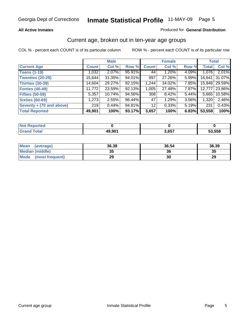#### **All Active Inmates**

#### Produced for **General Distribution**

### Current age, broken out in ten-year age groups

|                          |              | <b>Male</b> |        |                 | <b>Female</b> |          |              | <b>Total</b>    |
|--------------------------|--------------|-------------|--------|-----------------|---------------|----------|--------------|-----------------|
| <b>Current Age</b>       | <b>Count</b> | Col %       | Row %  | <b>Count</b>    | Col %         | Row %    | <b>Total</b> | Col %           |
| <b>Teens (1-19)</b>      | 1,032        | $2.07\%$    | 95.91% | 44              | 1.20%         | 4.09%    | 1,076        | 2.01%           |
| <b>Twenties (20-29)</b>  | 15,644       | 31.35%      | 94.01% | 997             | 27.26%        | 5.99%    | 16,641       | 31.07%          |
| <b>Thirties (30-39)</b>  | 14,604       | 29.27%      | 92.15% | 1,244           | 34.02%        | $7.85\%$ |              | 15,848   29.59% |
| <b>Forties (40-49)</b>   | 11,772       | 23.59%      | 92.13% | 1,005           | 27.48%        | 7.87%    | 12,777       | 23.86%          |
| <b>Fifties (50-59)</b>   | 5,357        | 10.74%      | 94.56% | 308             | 8.42%         | $5.44\%$ | 5,665        | 10.58%          |
| <b>Sixties (60-69)</b>   | 1,273        | 2.55%       | 96.44% | 47              | 1.29%         | 3.56%    | 1,320        | 2.46%           |
| Seventy + (70 and above) | 219          | 0.44%       | 94.81% | 12 <sub>1</sub> | 0.33%         | 5.19%    | 231          | 0.43%           |
| <b>Total Reported</b>    | 49,901       | 100%        | 93.17% | 3,657           | 100%          | 6.83%    | 53,558       | 100%            |

| $N$ nt F<br>دمار بعد بالرمون<br>reo |               |       |        |
|-------------------------------------|---------------|-------|--------|
| <b>Fotal</b>                        | 49,901<br>лς. | 3,657 | 53,558 |

| <b>Mean</b><br>(average) | 36.38     | 36.54 | 36.39 |
|--------------------------|-----------|-------|-------|
| Median (middle)          | 25<br>JJ. | 36    | 35    |
| Mode<br>(most frequent)  | 29        | 30    | 29    |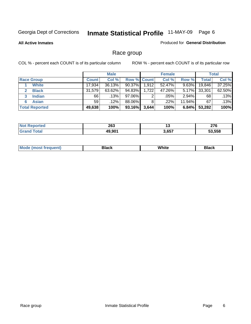**All Active Inmates**

#### Produced for **General Distribution**

# Race group

|                       |              | <b>Male</b> |                    |       | <b>Female</b> |          |        | <b>Total</b> |
|-----------------------|--------------|-------------|--------------------|-------|---------------|----------|--------|--------------|
| <b>Race Group</b>     | <b>Count</b> | Col %       | <b>Row % Count</b> |       | Col %         | Row %    | Total  | Col %        |
| <b>White</b>          | 17,934       | 36.13%      | 90.37%             | 1,912 | 52.47%        | 9.63%    | 19,846 | 37.25%       |
| <b>Black</b>          | 31,579       | 63.62%      | 94.83%             | 1,722 | 47.26%        | $5.17\%$ | 33,301 | 62.50%       |
| <b>Indian</b><br>3    | 66           | .13%        | 97.06%             | 2     | .05%          | $2.94\%$ | 68     | .13%         |
| <b>Asian</b>          | 59           | $.12\%$     | 88.06%             | 8     | .22%          | 11.94%   | 67     | .13%         |
| <b>Total Reported</b> | 49,638       | 100%        | 93.16%             | 3,644 | 100%          | 6.84%    | 53,282 | 100%         |

| 263<br>__        | יי    | ን 70<br><u>.</u> |
|------------------|-------|------------------|
| <b>901</b><br>10 | 3.657 | 53.558           |

| $ -$ | White<br>Mc<br>DIACK<br>nacn |  |
|------|------------------------------|--|
|------|------------------------------|--|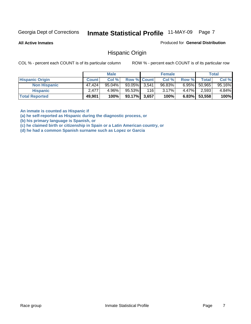**All Active Inmates**

Produced for **General Distribution**

### Hispanic Origin

COL % - percent each COUNT is of its particular column ROW % - percent each COUNT is of its particular row

|                        |              | <b>Male</b> |                 |     | <b>Female</b> |          |        | <b>Total</b> |
|------------------------|--------------|-------------|-----------------|-----|---------------|----------|--------|--------------|
| <b>Hispanic Origin</b> | <b>Count</b> | Col %       | Row % Count     |     | Col %         | Row %    | Total  | Col %        |
| <b>Non Hispanic</b>    | 47,424       | 95.04%      | $93.05\%$ 3,541 |     | 96.83%        | $6.95\%$ | 50,965 | 95.16%       |
| <b>Hispanic</b>        | 2.477        | 4.96%       | 95.53%          | 116 | 3.17%         | $4.47\%$ | 2,593  | $4.84\%$     |
| <b>Total Reported</b>  | 49,901       | 100%        | $93.17\%$ 3,657 |     | 100%          | $6.83\%$ | 53,558 | 100%         |

**An inmate is counted as Hispanic if** 

**(a) he self-reported as Hispanic during the diagnostic process, or** 

**(b) his primary language is Spanish, or** 

**(c) he claimed birth or citizenship in Spain or a Latin American country, or** 

**(d) he had a common Spanish surname such as Lopez or Garcia**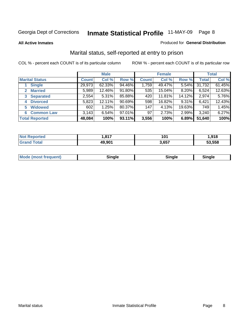**All Active Inmates**

#### Produced for **General Distribution**

# Marital status, self-reported at entry to prison

|                                    |              | <b>Male</b> |        |              | <b>Female</b> |        |              | <b>Total</b> |
|------------------------------------|--------------|-------------|--------|--------------|---------------|--------|--------------|--------------|
| <b>Marital Status</b>              | <b>Count</b> | Col %       | Row %  | <b>Count</b> | Col %         | Row %  | <b>Total</b> | Col %        |
| <b>Single</b>                      | 29,973       | $62.33\%$   | 94.46% | 1,759        | 49.47%        | 5.54%  | 31,732       | 61.45%       |
| <b>Married</b><br>$\mathbf{2}^-$   | 5,989        | 12.46%      | 91.80% | 535          | 15.04%        | 8.20%  | 6,524        | 12.63%       |
| <b>Separated</b><br>3 <sup>1</sup> | 2,554        | 5.31%       | 85.88% | 420          | 11.81%        | 14.12% | 2,974        | 5.76%        |
| <b>Divorced</b><br>4               | 5,823        | 12.11%      | 90.69% | 598          | 16.82%        | 9.31%  | 6,421        | 12.43%       |
| <b>Widowed</b><br>5                | 602          | 1.25%       | 80.37% | 147          | 4.13%         | 19.63% | 749          | 1.45%        |
| <b>Common Law</b><br>6.            | 3,143        | 6.54%       | 97.01% | 97           | 2.73%         | 2.99%  | 3,240        | 6.27%        |
| <b>Total Reported</b>              | 48,084       | 100%        | 93.11% | 3,556        | 100%          | 6.89%  | 51,640       | 100%         |

| тес<br>nu d     | 917<br>,,,,, | 101   | .918   |
|-----------------|--------------|-------|--------|
| $\sim$ 4 $\sim$ | 9,901        | 5.657 | 53.558 |

| Mode (most frequent)<br>sinale:<br>11 | Sinale |
|---------------------------------------|--------|
|---------------------------------------|--------|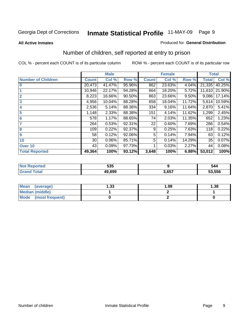#### **All Active Inmates**

#### Produced for **General Distribution**

# Number of children, self reported at entry to prison

|                           |              | <b>Male</b> |        |              | <b>Female</b> |        | <b>Total</b> |        |
|---------------------------|--------------|-------------|--------|--------------|---------------|--------|--------------|--------|
| <b>Number of Children</b> | <b>Count</b> | Col %       | Row %  | <b>Count</b> | Col %         | Row %  | <b>Total</b> | Col %  |
| $\bf{0}$                  | 20,473       | 41.47%      | 95.96% | 862          | 23.63%        | 4.04%  | 21,335       | 40.25% |
|                           | 10,946       | 22.17%      | 94.28% | 664          | 18.20%        | 5.72%  | 11,610       | 21.90% |
| $\overline{2}$            | 8,223        | 16.66%      | 90.50% | 863          | 23.66%        | 9.50%  | 9,086        | 17.14% |
| 3                         | 4,956        | 10.04%      | 88.28% | 658          | 18.04%        | 11.72% | 5,614        | 10.59% |
| 4                         | 2,536        | 5.14%       | 88.36% | 334          | 9.16%         | 11.64% | 2,870        | 5.41%  |
| 5                         | 1,148        | 2.33%       | 88.38% | 151          | 4.14%         | 11.62% | 1,299        | 2.45%  |
| 6                         | 578          | 1.17%       | 88.65% | 74           | 2.03%         | 11.35% | 652          | 1.23%  |
| 7                         | 264          | 0.53%       | 92.31% | 22           | 0.60%         | 7.69%  | 286          | 0.54%  |
| 8                         | 109          | 0.22%       | 92.37% | 9            | 0.25%         | 7.63%  | 118          | 0.22%  |
| 9                         | 58           | 0.12%       | 92.06% | 5            | 0.14%         | 7.94%  | 63           | 0.12%  |
| 10                        | 30           | 0.06%       | 85.71% | 5            | 0.14%         | 14.29% | 35           | 0.07%  |
| Over 10                   | 43           | 0.09%       | 97.73% |              | 0.03%         | 2.27%  | 44           | 0.08%  |
| <b>Total Reported</b>     | 49,364       | 100%        | 93.12% | 3,648        | 100%          | 6.88%  | 53,012       | 100%   |

| r^r<br>ວວວ<br>- - - |            | 544    |
|---------------------|------------|--------|
| <u>נה הו</u>        | <b>CET</b> | 53.556 |

| <b>Mean</b><br>(average) | l.33 | 1.98 | .38 |
|--------------------------|------|------|-----|
| <b>Median (middle)</b>   |      |      |     |
| Mode<br>(most frequent)  |      |      |     |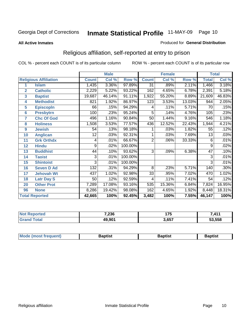#### **All Active Inmates**

#### Produced for **General Distribution**

# Religious affiliation, self-reported at entry to prison

|                  |                              | <b>Male</b>     |        |         | <b>Female</b>   |        | <b>Total</b> |                 |        |
|------------------|------------------------------|-----------------|--------|---------|-----------------|--------|--------------|-----------------|--------|
|                  | <b>Religious Affiliation</b> | <b>Count</b>    | Col %  | Row %   | <b>Count</b>    | Col %  | Row %        | <b>Total</b>    | Col %  |
| 1                | <b>Islam</b>                 | 1,435           | 3.36%  | 97.89%  | $\overline{31}$ | .89%   | 2.11%        | 1,466           | 3.18%  |
| $\overline{2}$   | <b>Catholic</b>              | 2,229           | 5.22%  | 93.22%  | 162             | 4.65%  | 6.78%        | 2,391           | 5.18%  |
| 3                | <b>Baptist</b>               | 19,687          | 46.14% | 91.11%  | 1,922           | 55.20% | 8.89%        | 21,609          | 46.83% |
| 4                | <b>Methodist</b>             | 821             | 1.92%  | 86.97%  | 123             | 3.53%  | 13.03%       | 944             | 2.05%  |
| 5                | <b>EpiscopIn</b>             | 66              | .15%   | 94.29%  | 4               | .11%   | 5.71%        | 70              | .15%   |
| 6                | <b>Presbytrn</b>             | 100             | .23%   | 95.24%  | 5               | .14%   | 4.76%        | 105             | .23%   |
| 7                | <b>Chc Of God</b>            | 496             | 1.16%  | 90.84%  | 50              | 1.44%  | 9.16%        | 546             | 1.18%  |
| 8                | <b>Holiness</b>              | 1,508           | 3.53%  | 77.57%  | 436             | 12.52% | 22.43%       | 1,944           | 4.21%  |
| $\boldsymbol{9}$ | <b>Jewish</b>                | 54              | .13%   | 98.18%  |                 | .03%   | 1.82%        | 55              | .12%   |
| 10               | <b>Anglican</b>              | $\overline{12}$ | .03%   | 92.31%  |                 | .03%   | 7.69%        | $\overline{13}$ | .03%   |
| 11               | <b>Grk Orthdx</b>            | 4               | .01%   | 66.67%  | $\overline{2}$  | .06%   | 33.33%       | 6               | .01%   |
| 12               | <b>Hindu</b>                 | 9               | .02%   | 100.00% |                 |        |              | 9               | .02%   |
| 13               | <b>Buddhist</b>              | 44              | .10%   | 93.62%  | $\overline{3}$  | .09%   | 6.38%        | $\overline{47}$ | .10%   |
| 14               | <b>Taoist</b>                | 3               | .01%   | 100.00% |                 |        |              | 3               | .01%   |
| 15               | <b>Shintoist</b>             | 3               | .01%   | 100.00% |                 |        |              | 3               | .01%   |
| 16               | <b>Seven D Ad</b>            | 132             | .31%   | 94.29%  | 8               | .23%   | 5.71%        | 140             | .30%   |
| 17               | <b>Jehovah Wt</b>            | 437             | 1.02%  | 92.98%  | $\overline{33}$ | .95%   | 7.02%        | 470             | 1.02%  |
| 18               | <b>Latr Day S</b>            | 50              | .12%   | 92.59%  | 4               | .11%   | 7.41%        | 54              | .12%   |
| 20               | <b>Other Prot</b>            | 7,289           | 17.08% | 93.16%  | 535             | 15.36% | 6.84%        | 7,824           | 16.95% |
| 96               | <b>None</b>                  | 8,286           | 19.42% | 98.08%  | 162             | 4.65%  | 1.92%        | 8,448           | 18.31% |
|                  | <b>Total Reported</b>        |                 | 100%   | 92.45%  | 3,482           | 100%   | 7.55%        | 46,147          | 100%   |

| rrec | 7.22c  | .     | $\overline{11}$ |
|------|--------|-------|-----------------|
|      | סכ∡,   | .     | .               |
|      | 49.901 | 3,657 | 53,558          |

| <b>Mode</b><br>frequent)<br>umost | 3aptist | 3aptist | <b>Baptist</b> |
|-----------------------------------|---------|---------|----------------|
|                                   |         |         |                |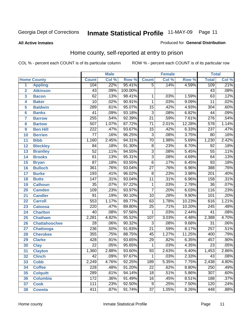**All Active Inmates**

#### Produced for **General Distribution**

# Home county, self-reported at entry to prison

|                 |                      |                  | <b>Male</b> |         |                 | <b>Female</b> |          | <b>Total</b>     |       |
|-----------------|----------------------|------------------|-------------|---------|-----------------|---------------|----------|------------------|-------|
|                 | <b>Home County</b>   | <b>Count</b>     | Col %       | Row %   | <b>Count</b>    | Col %         | Row %    | <b>Total</b>     | Col % |
| 1               | <b>Appling</b>       | 104              | .22%        | 95.41%  | $\overline{5}$  | .14%          | 4.59%    | 109              | .21%  |
| $\overline{2}$  | <b>Atkinson</b>      | $\overline{43}$  | .09%        | 100.00% |                 |               |          | $\overline{43}$  | .08%  |
| 3               | <b>Bacon</b>         | 62               | .13%        | 98.41%  | 1               | .03%          | 1.59%    | $\overline{63}$  | .12%  |
| 4               | <b>Baker</b>         | $\overline{10}$  | .02%        | 90.91%  | $\mathbf{1}$    | .03%          | 9.09%    | $\overline{11}$  | .02%  |
| 5               | <b>Baldwin</b>       | 289              | .61%        | 95.07%  | $\overline{15}$ | .42%          | 4.93%    | $\overline{304}$ | .60%  |
| $6\phantom{a}$  | <b>Banks</b>         | $\overline{41}$  | .09%        | 93.18%  | $\overline{3}$  | .08%          | 6.82%    | $\overline{44}$  | .09%  |
| $\overline{7}$  | <b>Barrow</b>        | 255              | .54%        | 92.39%  | $\overline{21}$ | .59%          | 7.61%    | $\overline{276}$ | .54%  |
| 8               | <b>Bartow</b>        | 507              | 1.07%       | 87.72%  | $\overline{71}$ | 2.01%         | 12.28%   | $\overline{578}$ | 1.14% |
| 9               | <b>Ben Hill</b>      | $\overline{222}$ | .47%        | 93.67%  | $\overline{15}$ | .42%          | 6.33%    | 237              | .47%  |
| 10              | <b>Berrien</b>       | $\overline{77}$  | .16%        | 96.25%  | $\overline{3}$  | .08%          | 3.75%    | $\overline{80}$  | .16%  |
| 11              | <b>Bibb</b>          | 1,160            | 2.45%       | 94.31%  | $\overline{70}$ | 1.98%         | 5.69%    | 1,230            | 2.42% |
| 12              | <b>Bleckley</b>      | 84               | .18%        | 91.30%  | $\overline{8}$  | .23%          | 8.70%    | $\overline{92}$  | .18%  |
| $\overline{13}$ | <b>Brantley</b>      | $\overline{52}$  | .11%        | 94.55%  | $\overline{3}$  | .08%          | 5.45%    | $\overline{55}$  | .11%  |
| $\overline{14}$ | <b>Brooks</b>        | $\overline{61}$  | .13%        | 95.31%  | $\overline{3}$  | .08%          | 4.69%    | 64               | .13%  |
| 15              | <b>Bryan</b>         | $\overline{87}$  | .18%        | 93.55%  | $\overline{6}$  | .17%          | 6.45%    | $\overline{93}$  | .18%  |
| 16              | <b>Bulloch</b>       | 361              | .76%        | 93.04%  | $\overline{27}$ | .76%          | 6.96%    | 388              | .76%  |
| $\overline{17}$ | <b>Burke</b>         | 193              | .41%        | 96.02%  | $\overline{8}$  | .23%          | 3.98%    | $\overline{201}$ | .40%  |
| 18              | <b>Butts</b>         | $\overline{147}$ | .31%        | 93.04%  | $\overline{11}$ | .31%          | 6.96%    | 158              | .31%  |
| 19              | <b>Calhoun</b>       | $\overline{35}$  | .07%        | 97.22%  | $\mathbf{1}$    | .03%          | 2.78%    | $\overline{36}$  | .07%  |
| 20              | <b>Camden</b>        | 109              | .23%        | 93.97%  | $\overline{7}$  | .20%          | 6.03%    | 116              | .23%  |
| 21              | <b>Candler</b>       | $\overline{91}$  | .19%        | 90.10%  | $\overline{10}$ | .28%          | 9.90%    | 101              | .20%  |
| $\overline{22}$ | <b>Carroll</b>       | $\overline{553}$ | 1.17%       | 89.77%  | 63              | 1.78%         | 10.23%   | 616              | 1.21% |
| 23              | <b>Catoosa</b>       | 220              | .47%        | 89.80%  | $\overline{25}$ | .71%          | 10.20%   | $\overline{245}$ | .48%  |
| 24              | <b>Charlton</b>      | $\overline{40}$  | .08%        | 97.56%  | $\mathbf{1}$    | .03%          | 2.44%    | $\overline{41}$  | .08%  |
| 25              | <b>Chatham</b>       | 2,281            | 4.82%       | 95.52%  | 107             | 3.03%         | 4.48%    | 2,388            | 4.70% |
| 26              | <b>Chattahoochee</b> | $\overline{28}$  | .06%        | 90.32%  | 3               | .08%          | 9.68%    | $\overline{31}$  | .06%  |
| 27              | <b>Chattooga</b>     | 236              | .50%        | 91.83%  | $\overline{21}$ | .59%          | 8.17%    | $\overline{257}$ | .51%  |
| 28              | <b>Cherokee</b>      | 355              | .75%        | 88.75%  | $\overline{45}$ | 1.27%         | 11.25%   | 400              | .79%  |
| 29              | <b>Clarke</b>        | $\overline{428}$ | .91%        | 93.65%  | $\overline{29}$ | .82%          | 6.35%    | 457              | .90%  |
| 30              | <b>Clay</b>          | $\overline{22}$  | .05%        | 95.65%  | $\mathbf{1}$    | .03%          | 4.35%    | $\overline{23}$  | .05%  |
| $\overline{31}$ | <b>Clayton</b>       | 1,360            | 2.88%       | 93.60%  | $\overline{93}$ | 2.63%         | 6.40%    | 1,453            | 2.86% |
| 32              | <b>Clinch</b>        | 42               | .09%        | 97.67%  | 1               | .03%          | $2.33\%$ | 43               | .08%  |
| 33              | <b>Cobb</b>          | 2,249            | 4.76%       | 92.25%  | 189             | 5.35%         | 7.75%    | 2,438            | 4.80% |
| 34              | <b>Coffee</b>        | 228              | .48%        | 91.20%  | $\overline{22}$ | .62%          | 8.80%    | 250              | .49%  |
| 35              | <b>Colquitt</b>      | 289              | .61%        | 94.14%  | $\overline{18}$ | .51%          | 5.86%    | $\overline{307}$ | .60%  |
| 36              | <b>Columbia</b>      | 172              | .36%        | 91.49%  | 16              | .45%          | 8.51%    | 188              | .37%  |
| 37              | <b>Cook</b>          | 111              | .23%        | 92.50%  | $\overline{9}$  | .25%          | 7.50%    | 120              | .24%  |
| 38              | <b>Coweta</b>        | 411              | .87%        | 91.74%  | $\overline{37}$ | 1.05%         | 8.26%    | 448              | .88%  |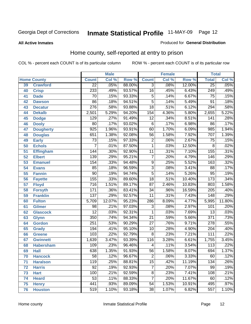#### **All Active Inmates**

#### Produced for **General Distribution**

# Home county, self-reported at entry to prison

|    |                    |                  | <b>Male</b> |        |                         | <b>Female</b> |        | <b>Total</b>     |                            |
|----|--------------------|------------------|-------------|--------|-------------------------|---------------|--------|------------------|----------------------------|
|    | <b>Home County</b> | <b>Count</b>     | Col %       | Row %  | <b>Count</b>            | Col %         | Row %  | <b>Total</b>     | $\overline{\text{Col }^9}$ |
| 39 | <b>Crawford</b>    | $\overline{22}$  | .05%        | 88.00% | $\overline{3}$          | .08%          | 12.00% | $\overline{25}$  | .05%                       |
| 40 | <b>Crisp</b>       | 233              | .49%        | 93.57% | $\overline{16}$         | .45%          | 6.43%  | 249              | .49%                       |
| 41 | <b>Dade</b>        | 70               | .15%        | 93.33% | $\overline{5}$          | .14%          | 6.67%  | 75               | .15%                       |
| 42 | <b>Dawson</b>      | $\overline{86}$  | .18%        | 94.51% | $\overline{5}$          | .14%          | 5.49%  | $\overline{91}$  | .18%                       |
| 43 | <b>Decatur</b>     | $\overline{276}$ | .58%        | 93.88% | $\overline{18}$         | .51%          | 6.12%  | 294              | .58%                       |
| 44 | <b>Dekalb</b>      | 2,501            | 5.29%       | 94.20% | 154                     | 4.36%         | 5.80%  | 2,655            | 5.22%                      |
| 45 | <b>Dodge</b>       | 129              | .27%        | 91.49% | $\overline{12}$         | .34%          | 8.51%  | 141              | .28%                       |
| 46 | <b>Dooly</b>       | $\overline{80}$  | .17%        | 93.02% | $\overline{6}$          | .17%          | 6.98%  | 86               | .17%                       |
| 47 | <b>Dougherty</b>   | $\overline{925}$ | 1.96%       | 93.91% | 60                      | 1.70%         | 6.09%  | 985              | 1.94%                      |
| 48 | <b>Douglas</b>     | 651              | 1.38%       | 92.08% | $\overline{56}$         | 1.58%         | 7.92%  | 707              | 1.39%                      |
| 49 | <b>Early</b>       | $\overline{73}$  | .15%        | 97.33% | $\overline{2}$          | .06%          | 2.67%  | 75               | .15%                       |
| 50 | <b>Echols</b>      | 7                | .01%        | 87.50% | $\overline{1}$          | .03%          | 12.50% | 8                | .02%                       |
| 51 | <b>Effingham</b>   | 144              | .30%        | 92.90% | $\overline{11}$         | .31%          | 7.10%  | 155              | .31%                       |
| 52 | <b>Elbert</b>      | 139              | .29%        | 95.21% | $\overline{7}$          | .20%          | 4.79%  | 146              | .29%                       |
| 53 | <b>Emanuel</b>     | 154              | .33%        | 94.48% | $\overline{9}$          | .25%          | 5.52%  | 163              | .32%                       |
| 54 | <b>Evans</b>       | 85               | .18%        | 96.59% | $\overline{3}$          | .08%          | 3.41%  | $\overline{88}$  | .17%                       |
| 55 | <b>Fannin</b>      | $\overline{90}$  | .19%        | 94.74% | $\overline{5}$          | .14%          | 5.26%  | $\overline{95}$  | .19%                       |
| 56 | <b>Fayette</b>     | 155              | .33%        | 89.60% | $\overline{18}$         | .51%          | 10.40% | $\overline{173}$ | .34%                       |
| 57 | <b>Floyd</b>       | $\overline{716}$ | 1.51%       | 89.17% | $\overline{87}$         | 2.46%         | 10.83% | 803              | 1.58%                      |
| 58 | <b>Forsyth</b>     | 171              | .36%        | 83.41% | $\overline{34}$         | .96%          | 16.59% | $\overline{205}$ | .40%                       |
| 59 | <b>Franklin</b>    | 137              | .29%        | 92.57% | $\overline{11}$         | .31%          | 7.43%  | 148              | .29%                       |
| 60 | <b>Fulton</b>      | 5,709            | 12.07%      | 95.23% | 286                     | 8.09%         | 4.77%  | 5,995            | 11.80%                     |
| 61 | <b>Gilmer</b>      | 98               | .21%        | 97.03% | 3                       | .08%          | 2.97%  | 101              | .20%                       |
| 62 | <b>Glascock</b>    | $\overline{12}$  | .03%        | 92.31% | $\mathbf 1$             | .03%          | 7.69%  | $\overline{13}$  | .03%                       |
| 63 | <b>Glynn</b>       | 350              | .74%        | 94.34% | $\overline{21}$         | .59%          | 5.66%  | $\overline{371}$ | .73%                       |
| 64 | <b>Gordon</b>      | $\overline{251}$ | .53%        | 90.29% | $\overline{27}$         | .76%          | 9.71%  | 278              | .55%                       |
| 65 | <b>Grady</b>       | 194              | .41%        | 95.10% | 10                      | .28%          | 4.90%  | $\overline{204}$ | .40%                       |
| 66 | <b>Greene</b>      | 103              | .22%        | 92.79% | $\overline{8}$          | .23%          | 7.21%  | $\overline{111}$ | .22%                       |
| 67 | <b>Gwinnett</b>    | 1,639            | 3.47%       | 93.39% | $\overline{116}$        | 3.28%         | 6.61%  | 1,755            | 3.45%                      |
| 68 | <b>Habersham</b>   | 109              | .23%        | 96.46% | 4                       | .11%          | 3.54%  | 113              | .22%                       |
| 69 | <b>Hall</b>        | 638              | 1.35%       | 91.93% | $\overline{56}$         | 1.58%         | 8.07%  | 694              | 1.37%                      |
| 70 | <b>Hancock</b>     | $\overline{58}$  | .12%        | 96.67% | $\overline{\mathbf{c}}$ | .06%          | 3.33%  | $\overline{60}$  | .12%                       |
| 71 | <b>Haralson</b>    | 119              | .25%        | 88.81% | $\overline{15}$         | .42%          | 11.19% | 134              | .26%                       |
| 72 | <b>Harris</b>      | $\overline{92}$  | .19%        | 92.93% | 7                       | .20%          | 7.07%  | $\overline{99}$  | .19%                       |
| 73 | <b>Hart</b>        | 100              | .21%        | 92.59% | $\overline{8}$          | .23%          | 7.41%  | 108              | .21%                       |
| 74 | <b>Heard</b>       | $\overline{53}$  | .11%        | 88.33% | $\overline{7}$          | .20%          | 11.67% | 60               | .12%                       |
| 75 | <b>Henry</b>       | 441              | .93%        | 89.09% | 54                      | 1.53%         | 10.91% | 495              | .97%                       |
| 76 | <b>Houston</b>     | 519              | 1.10%       | 93.18% | $\overline{38}$         | 1.07%         | 6.82%  | 557              | 1.10%                      |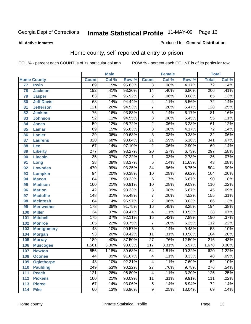#### **All Active Inmates**

#### Produced for **General Distribution**

# Home county, self-reported at entry to prison

|     |                    |                  | <b>Male</b> |        |                         | <b>Female</b> |        | <b>Total</b>     |         |
|-----|--------------------|------------------|-------------|--------|-------------------------|---------------|--------|------------------|---------|
|     | <b>Home County</b> | <b>Count</b>     | Col %       | Row %  | <b>Count</b>            | Col %         | Row %  | <b>Total</b>     | Col %   |
| 77  | <b>Irwin</b>       | 69               | .15%        | 95.83% | 3                       | .08%          | 4.17%  | $\overline{72}$  | .14%    |
| 78  | <b>Jackson</b>     | 192              | .41%        | 93.20% | $\overline{14}$         | .40%          | 6.80%  | 206              | .41%    |
| 79  | <b>Jasper</b>      | 63               | .13%        | 96.92% | $\overline{2}$          | .06%          | 3.08%  | 65               | .13%    |
| 80  | <b>Jeff Davis</b>  | $\overline{68}$  | .14%        | 94.44% | $\overline{\mathbf{4}}$ | .11%          | 5.56%  | $\overline{72}$  | .14%    |
| 81  | <b>Jefferson</b>   | $\overline{121}$ | .26%        | 94.53% | $\overline{7}$          | .20%          | 5.47%  | 128              | .25%    |
| 82  | <b>Jenkins</b>     | 76               | .16%        | 93.83% | $\overline{5}$          | .14%          | 6.17%  | $\overline{81}$  | .16%    |
| 83  | <b>Johnson</b>     | $\overline{52}$  | .11%        | 94.55% | $\overline{3}$          | .08%          | 5.45%  | $\overline{55}$  | .11%    |
| 84  | <b>Jones</b>       | $\overline{59}$  | .12%        | 96.72% | $\overline{2}$          | .06%          | 3.28%  | 61               | .12%    |
| 85  | <b>Lamar</b>       | 69               | .15%        | 95.83% | $\overline{3}$          | .08%          | 4.17%  | $\overline{72}$  | .14%    |
| 86  | <b>Lanier</b>      | $\overline{29}$  | .06%        | 90.63% | $\overline{3}$          | .08%          | 9.38%  | $\overline{32}$  | .06%    |
| 87  | <b>Laurens</b>     | $\overline{320}$ | .68%        | 93.84% | $\overline{21}$         | .59%          | 6.16%  | $\overline{341}$ | .67%    |
| 88  | Lee                | 67               | .14%        | 97.10% | $\overline{2}$          | .06%          | 2.90%  | 69               | .14%    |
| 89  | <b>Liberty</b>     | $\overline{277}$ | .59%        | 93.27% | $\overline{20}$         | .57%          | 6.73%  | 297              | .58%    |
| 90  | <b>Lincoln</b>     | $\overline{35}$  | .07%        | 97.22% | 1                       | .03%          | 2.78%  | $\overline{36}$  | .07%    |
| 91  | Long               | $\overline{38}$  | .08%        | 88.37% | $\overline{5}$          | .14%          | 11.63% | $\overline{43}$  | .08%    |
| 92  | <b>Lowndes</b>     | 470              | .99%        | 93.25% | $\overline{34}$         | .96%          | 6.75%  | 504              | .99%    |
| 93  | <b>Lumpkin</b>     | $\overline{94}$  | .20%        | 90.38% | $\overline{10}$         | .28%          | 9.62%  | 104              | .20%    |
| 94  | <b>Macon</b>       | $\overline{84}$  | .18%        | 93.33% | 6                       | .17%          | 6.67%  | $\overline{90}$  | .18%    |
| 95  | <b>Madison</b>     | 100              | .21%        | 90.91% | $\overline{10}$         | .28%          | 9.09%  | 110              | .22%    |
| 96  | <b>Marion</b>      | $\overline{42}$  | .09%        | 93.33% | $\overline{3}$          | .08%          | 6.67%  | 45               | .09%    |
| 97  | <b>Mcduffie</b>    | 148              | .31%        | 95.48% | $\overline{7}$          | .20%          | 4.52%  | 155              | .31%    |
| 98  | <b>Mcintosh</b>    | 64               | .14%        | 96.97% | $\overline{2}$          | .06%          | 3.03%  | 66               | .13%    |
| 99  | <b>Meriwether</b>  | $\overline{178}$ | .38%        | 91.75% | $\overline{16}$         | .45%          | 8.25%  | 194              | .38%    |
| 100 | <b>Miller</b>      | $\overline{34}$  | .07%        | 89.47% | 4                       | .11%          | 10.53% | $\overline{38}$  | .07%    |
| 101 | <b>Mitchell</b>    | 175              | .37%        | 92.11% | $\overline{15}$         | .42%          | 7.89%  | 190              | .37%    |
| 102 | <b>Monroe</b>      | 105              | .22%        | 93.75% | $\overline{7}$          | .20%          | 6.25%  | $\overline{112}$ | .22%    |
| 103 | <b>Montgomery</b>  | 48               | .10%        | 90.57% | 5                       | .14%          | 9.43%  | $\overline{53}$  | .10%    |
| 104 | <b>Morgan</b>      | $\overline{93}$  | .20%        | 89.42% | $\overline{11}$         | .31%          | 10.58% | 104              | .20%    |
| 105 | <b>Murray</b>      | 189              | .40%        | 87.50% | $\overline{27}$         | .76%          | 12.50% | $\overline{216}$ | .43%    |
| 106 | <b>Muscogee</b>    | 1,561            | 3.30%       | 93.03% | 117                     | 3.31%         | 6.97%  | 1,678            | 3.30%   |
| 107 | <b>Newton</b>      | 556              | 1.18%       | 89.68% | 64                      | 1.81%         | 10.32% | 620              | 1.22%   |
| 108 | <b>Oconee</b>      | 44               | .09%        | 91.67% | 4                       | .11%          | 8.33%  | 48               | $.09\%$ |
| 109 | <b>Oglethorpe</b>  | 48               | .10%        | 92.31% | 4                       | .11%          | 7.69%  | $\overline{52}$  | .10%    |
| 110 | <b>Paulding</b>    | 249              | .53%        | 90.22% | $\overline{27}$         | .76%          | 9.78%  | 276              | .54%    |
| 111 | <b>Peach</b>       | 121              | .26%        | 96.80% | 4                       | .11%          | 3.20%  | 125              | .25%    |
| 112 | <b>Pickens</b>     | 100              | .21%        | 90.09% | 11                      | .31%          | 9.91%  | 111              | .22%    |
| 113 | <b>Pierce</b>      | 67               | .14%        | 93.06% | 5                       | .14%          | 6.94%  | 72               | .14%    |
| 114 | <b>Pike</b>        | 60               | .13%        | 86.96% | $\overline{9}$          | .25%          | 13.04% | 69               | .14%    |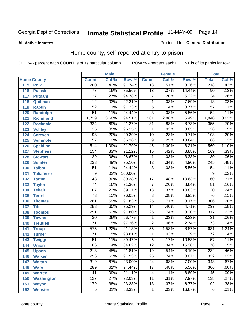#### **All Active Inmates**

#### Produced for **General Distribution**

# Home county, self-reported at entry to prison

|     |                    |                  | <b>Male</b> |         |                 | <b>Female</b> |        | <b>Total</b>     |       |
|-----|--------------------|------------------|-------------|---------|-----------------|---------------|--------|------------------|-------|
|     | <b>Home County</b> | <b>Count</b>     | Col %       | Row %   | <b>Count</b>    | Col %         | Row %  | <b>Total</b>     | Col % |
| 115 | <b>Polk</b>        | 200              | .42%        | 91.74%  | $\overline{18}$ | .51%          | 8.26%  | 218              | .43%  |
| 116 | <b>Pulaski</b>     | $\overline{77}$  | .16%        | 85.56%  | $\overline{13}$ | .37%          | 14.44% | $\overline{90}$  | .18%  |
| 117 | <b>Putnam</b>      | 127              | .27%        | 94.78%  | 7               | .20%          | 5.22%  | 134              | .26%  |
| 118 | Quitman            | $\overline{12}$  | .03%        | 92.31%  | $\mathbf 1$     | .03%          | 7.69%  | 13               | .03%  |
| 119 | <b>Rabun</b>       | $\overline{52}$  | .11%        | 91.23%  | $\overline{5}$  | .14%          | 8.77%  | 57               | .11%  |
| 120 | <b>Randolph</b>    | $\overline{51}$  | .11%        | 94.44%  | $\overline{3}$  | .08%          | 5.56%  | $\overline{54}$  | .11%  |
| 121 | <b>Richmond</b>    | 1,739            | 3.68%       | 94.51%  | 101             | 2.86%         | 5.49%  | 1,840            | 3.62% |
| 122 | <b>Rockdale</b>    | 324              | .69%        | 91.27%  | 31              | .88%          | 8.73%  | 355              | .70%  |
| 123 | <b>Schley</b>      | $\overline{25}$  | .05%        | 96.15%  | 1               | .03%          | 3.85%  | $\overline{26}$  | .05%  |
| 124 | <b>Screven</b>     | $\overline{93}$  | .20%        | 90.29%  | $\overline{10}$ | .28%          | 9.71%  | 103              | .20%  |
| 125 | <b>Seminole</b>    | $\overline{57}$  | .12%        | 86.36%  | 9               | .25%          | 13.64% | 66               | .13%  |
| 126 | <b>Spalding</b>    | $\overline{514}$ | 1.09%       | 91.79%  | 46              | 1.30%         | 8.21%  | 560              | 1.10% |
| 127 | <b>Stephens</b>    | 154              | .33%        | 91.12%  | $\overline{15}$ | .42%          | 8.88%  | 169              | .33%  |
| 128 | <b>Stewart</b>     | $\overline{29}$  | .06%        | 96.67%  | 1               | .03%          | 3.33%  | $\overline{30}$  | .06%  |
| 129 | <b>Sumter</b>      | 233              | .49%        | 95.10%  | $\overline{12}$ | .34%          | 4.90%  | 245              | .48%  |
| 130 | <b>Talbot</b>      | $\overline{51}$  | .11%        | 94.44%  | $\overline{3}$  | .08%          | 5.56%  | $\overline{54}$  | .11%  |
| 131 | <b>Taliaferro</b>  | 9                | .02%        | 100.00% |                 |               |        | 9                | .02%  |
| 132 | <b>Tattnall</b>    | $\overline{143}$ | .30%        | 89.38%  | $\overline{17}$ | .48%          | 10.63% | 160              | .31%  |
| 133 | <b>Taylor</b>      | 74               | .16%        | 91.36%  | $\overline{7}$  | .20%          | 8.64%  | 81               | .16%  |
| 134 | <b>Telfair</b>     | 107              | .23%        | 89.17%  | $\overline{13}$ | .37%          | 10.83% | 120              | .24%  |
| 135 | <b>Terrell</b>     | $\overline{73}$  | .15%        | 96.05%  | $\overline{3}$  | .08%          | 3.95%  | 76               | .15%  |
| 136 | <b>Thomas</b>      | $\overline{281}$ | .59%        | 91.83%  | $\overline{25}$ | .71%          | 8.17%  | 306              | .60%  |
| 137 | <b>Tift</b>        | 283              | .60%        | 95.29%  | $\overline{14}$ | .40%          | 4.71%  | 297              | .58%  |
| 138 | <b>Toombs</b>      | 291              | .62%        | 91.80%  | $\overline{26}$ | .74%          | 8.20%  | $\overline{317}$ | .62%  |
| 139 | <b>Towns</b>       | $\overline{30}$  | .06%        | 96.77%  | 1               | .03%          | 3.23%  | 31               | .06%  |
| 140 | <b>Treutlen</b>    | $\overline{71}$  | .15%        | 97.26%  | $\overline{2}$  | .06%          | 2.74%  | $\overline{73}$  | .14%  |
| 141 | <b>Troup</b>       | $\overline{575}$ | 1.22%       | 91.13%  | $\overline{56}$ | 1.58%         | 8.87%  | 631              | 1.24% |
| 142 | <b>Turner</b>      | $\overline{71}$  | .15%        | 98.61%  | $\mathbf{1}$    | .03%          | 1.39%  | $\overline{72}$  | .14%  |
| 143 | <b>Twiggs</b>      | $\overline{51}$  | .11%        | 89.47%  | $\overline{6}$  | .17%          | 10.53% | $\overline{57}$  | .11%  |
| 144 | <b>Union</b>       | 66               | .14%        | 84.62%  | $\overline{12}$ | .34%          | 15.38% | 78               | .15%  |
| 145 | <b>Upson</b>       | $\overline{213}$ | .45%        | 91.81%  | $\overline{19}$ | .54%          | 8.19%  | 232              | .46%  |
| 146 | <b>Walker</b>      | 296              | .63%        | 91.93%  | $\overline{26}$ | .74%          | 8.07%  | $\overline{322}$ | .63%  |
| 147 | <b>Walton</b>      | $\overline{319}$ | .67%        | 93.00%  | $\overline{24}$ | .68%          | 7.00%  | 343              | .67%  |
| 148 | <b>Ware</b>        | 289              | .61%        | 94.44%  | $\overline{17}$ | .48%          | 5.56%  | 306              | .60%  |
| 149 | <b>Warren</b>      | 41               | .09%        | 91.11%  | 4               | .11%          | 8.89%  | 45               | .09%  |
| 150 | <b>Washington</b>  | 127              | .27%        | 92.03%  | 11              | .31%          | 7.97%  | 138              | .27%  |
| 151 | <b>Wayne</b>       | 179              | .38%        | 93.23%  | $\overline{13}$ | .37%          | 6.77%  | 192              | .38%  |
| 152 | <b>Webster</b>     | $\overline{5}$   | .01%        | 83.33%  | 1               | .03%          | 16.67% | 6                | .01%  |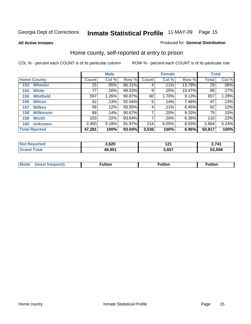**All Active Inmates**

#### Produced for **General Distribution**

# Home county, self-reported at entry to prison

|                      |                  |              | <b>Male</b> |        |              | <b>Female</b> |        | <b>Total</b> |         |
|----------------------|------------------|--------------|-------------|--------|--------------|---------------|--------|--------------|---------|
| <b>Home County</b>   |                  | <b>Count</b> | Col %       | Row %  | <b>Count</b> | Col %         | Row %  | <b>Total</b> | Col %   |
| 153                  | <b>Wheeler</b>   | 25           | .05%        | 86.21% | 4            | $.11\%$       | 13.79% | 29           | $.06\%$ |
| 154                  | <b>White</b>     | 77           | .16%        | 89.53% | 9            | .25%          | 10.47% | 86           | .17%    |
| 155                  | <b>Whitfield</b> | 597          | 1.26%       | 90.87% | 60           | 1.70%         | 9.13%  | 657          | 1.29%   |
| 156                  | <b>Wilcox</b>    | 62           | .13%        | 92.54% | 5            | .14%          | 7.46%  | 67           | .13%    |
| 157                  | <b>Wilkes</b>    | 58           | .12%        | 93.55% | 4            | $.11\%$       | 6.45%  | 62           | .12%    |
| 158                  | <b>Wilkinson</b> | 68           | .14%        | 90.67% | 7            | .20%          | 9.33%  | 75           | .15%    |
| 159                  | <b>Worth</b>     | 103          | .22%        | 93.64% | 7            | .20%          | 6.36%  | 110          | .22%    |
| 160                  | <b>Unknown</b>   | 2,450        | 5.18%       | 91.97% | 214          | 6.05%         | 8.03%  | 2,664        | 5.24%   |
| <b>Total Rported</b> |                  | 47,281       | 100%        | 93.04% | 3,536        | 100%          | 6.96%  | 50,817       | 100%    |

| тео<br>N | 2,620  | ោរ<br>. | 741 (  |
|----------|--------|---------|--------|
|          | 49.901 | 2 G57   | 53.558 |

| <b>Mode</b> | . | unon | -uποι. |
|-------------|---|------|--------|
|             |   |      |        |
|             |   |      |        |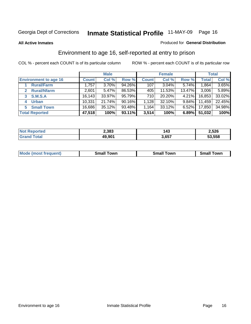**All Active Inmates**

#### Produced for **General Distribution**

# Environment to age 16, self-reported at entry to prison

|                                      | <b>Male</b>  |        | <b>Female</b> |              |          | <b>Total</b> |              |        |
|--------------------------------------|--------------|--------|---------------|--------------|----------|--------------|--------------|--------|
| <b>Environment to age 16</b>         | <b>Count</b> | Col %  | Row %         | <b>Count</b> | Col %    | Row %        | <b>Total</b> | Col %  |
| <b>Rural/Farm</b>                    | 1,757        | 3.70%  | 94.26%        | 107          | $3.04\%$ | 5.74%        | 1,864        | 3.65%  |
| <b>Rural/Nfarm</b><br>$\overline{2}$ | 2,601        | 5.47%  | 86.53%        | 405          | 11.53%   | 13.47%       | 3,006        | 5.89%  |
| <b>S.M.S.A</b><br>3                  | 16, 143      | 33.97% | 95.79%        | 710          | 20.20%   | $4.21\%$     | 16,853       | 33.02% |
| <b>Urban</b><br>4                    | 10,331       | 21.74% | 90.16%        | 1,128        | 32.10%   | $9.84\%$     | 11,459       | 22.45% |
| <b>Small Town</b><br>5.              | 16,686       | 35.12% | 93.48%        | 1,164        | 33.12%   | 6.52%        | 17,850       | 34.98% |
| <b>Total Reported</b>                | 47,518       | 100%   | 93.11%        | 3,514        | 100%     | 6.89%        | 51,032       | 100%   |

| <b>Not Reported</b> | 2,383  | 143   | 2,526  |
|---------------------|--------|-------|--------|
| <b>Grand Total</b>  | 49,901 | 3,657 | 53,558 |

| <b>Mode</b><br>requent)<br>. | owr<br>imall | <b>Smal</b><br>owr | <b>TOW</b> |
|------------------------------|--------------|--------------------|------------|
|                              |              |                    |            |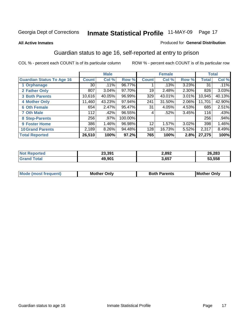#### **All Active Inmates**

#### Produced for **General Distribution**

# Guardian status to age 16, self-reported at entry to prison

|                                  |                    | <b>Male</b> |         |              | <b>Female</b> |          |        | <b>Total</b> |
|----------------------------------|--------------------|-------------|---------|--------------|---------------|----------|--------|--------------|
| <b>Guardian Status To Age 16</b> | Count <sup>'</sup> | Col %       | Row %   | <b>Count</b> | Col %         | Row %    | Total  | Col %        |
| 1 Orphanage                      | 30                 | .11%        | 96.77%  |              | .13%          | 3.23%    | 31     | .11%         |
| 2 Father Only                    | 807                | 3.04%       | 97.70%  | 19           | 2.48%         | $2.30\%$ | 826    | 3.03%        |
| <b>3 Both Parents</b>            | 10,616             | 40.05%      | 96.99%  | 329          | 43.01%        | 3.01%    | 10,945 | 40.13%       |
| <b>4 Mother Only</b>             | 11,460             | 43.23%      | 97.94%  | 241          | 31.50%        | 2.06%    | 11,701 | 42.90%       |
| <b>6 Oth Female</b>              | 654                | 2.47%       | 95.47%  | 31           | 4.05%         | 4.53%    | 685    | 2.51%        |
| <b>7 Oth Male</b>                | 112                | .42%        | 96.55%  | 4            | $.52\%$       | 3.45%    | 116    | .43%         |
| 8 Step-Parents                   | 256                | .97%        | 100.00% |              |               |          | 256    | .94%         |
| 9 Foster Home                    | 386                | 1.46%       | 96.98%  | 12           | 1.57%         | $3.02\%$ | 398    | 1.46%        |
| <b>10 Grand Parents</b>          | 2,189              | 8.26%       | 94.48%  | 128          | 16.73%        | 5.52%    | 2,317  | 8.49%        |
| <b>Total Reported</b>            | 26,510             | 100%        | 97.2%   | 765          | 100%          | 2.8%     | 27,275 | 100%         |

| NG | 23.39' | 2,892 | 26,283 |
|----|--------|-------|--------|
|    | 49.901 | 3,657 | 53.558 |

| Mode | Dnlv<br>Mot | <b>Roth</b><br>Parents | <b>IMot</b><br>Onlv<br>∵hei |
|------|-------------|------------------------|-----------------------------|
|      |             |                        |                             |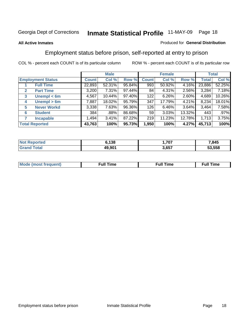#### **All Active Inmates**

#### Produced for **General Distribution**

# Employment status before prison, self-reported at entry to prison

|                          |                    | <b>Male</b>  |        |        | <b>Female</b> |          |        | <b>Total</b> |         |
|--------------------------|--------------------|--------------|--------|--------|---------------|----------|--------|--------------|---------|
| <b>Employment Status</b> |                    | <b>Count</b> | Col %  | Row %  | <b>Count</b>  | Col %    | Row %  | Total        | Col %   |
|                          | <b>Full Time</b>   | 22,893       | 52.31% | 95.84% | 993           | 50.92%   | 4.16%  | 23,886       | 52.25%  |
| $\mathbf{2}$             | <b>Part Time</b>   | 3,200        | 7.31%  | 97.44% | 84            | $4.31\%$ | 2.56%  | 3,284        | 7.18%   |
| 3                        | Unempl $<$ 6m      | 4,567        | 10.44% | 97.40% | 122           | 6.26%    | 2.60%  | 4,689        | 10.26%  |
| 4                        | Unempl > 6m        | 7,887        | 18.02% | 95.79% | 347           | 17.79%   | 4.21%  | 8,234        | 18.01%  |
| 5                        | <b>Never Workd</b> | 3,338        | 7.63%  | 96.36% | 126           | 6.46%    | 3.64%  | 3,464        | 7.58%   |
| 6                        | <b>Student</b>     | 384          | .88%   | 86.68% | 59            | 3.03%    | 13.32% | 443          | $.97\%$ |
| 7                        | <b>Incapable</b>   | 1,494        | 3.41%  | 87.22% | 219           | 11.23%   | 12.78% | 1,713        | 3.75%   |
| <b>Total Reported</b>    |                    | 43,763       | 100%   | 95.73% | 1,950         | 100%     | 4.27%  | 45,713       | 100%    |

| ;138   | ,707  | .845   |
|--------|-------|--------|
| 49.901 | 3 657 | 53.558 |

| <b>M</b> ດ | the contract of the contract of the contract of the contract of the contract of the contract of the contract of | the contract of the contract of the contract of the contract of the contract of the contract of the contract of | ----<br><b>Full Time</b> |
|------------|-----------------------------------------------------------------------------------------------------------------|-----------------------------------------------------------------------------------------------------------------|--------------------------|
|            |                                                                                                                 |                                                                                                                 |                          |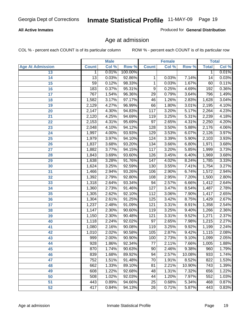#### **All Active Inmates**

Produced for **General Distribution**

# Age at admission

|                         |              | <b>Male</b> |         |                  | <b>Female</b> |        |              | <b>Total</b> |
|-------------------------|--------------|-------------|---------|------------------|---------------|--------|--------------|--------------|
| <b>Age At Admission</b> | <b>Count</b> | Col %       | Row %   | <b>Count</b>     | Col %         | Row %  | <b>Total</b> | Col %        |
| 13                      | 1            | 0.01%       | 100.00% |                  |               |        | 1            | 0.01%        |
| 14                      | 13           | 0.03%       | 92.86%  | 1                | 0.03%         | 7.14%  | 14           | 0.03%        |
| $\overline{15}$         | 59           | 0.12%       | 98.33%  | 1                | 0.03%         | 1.67%  | 60           | 0.11%        |
| 16                      | 183          | 0.37%       | 95.31%  | 9                | 0.25%         | 4.69%  | 192          | 0.36%        |
| $\overline{17}$         | 767          | 1.54%       | 96.36%  | $\overline{29}$  | 0.79%         | 3.64%  | 796          | 1.49%        |
| 18                      | 1,582        | 3.17%       | 97.17%  | 46               | 1.26%         | 2.83%  | 1,628        | 3.04%        |
| 19                      | 2,129        | 4.27%       | 96.99%  | 66               | 1.80%         | 3.01%  | 2,195        | 4.10%        |
| 20                      | 2,147        | 4.30%       | 94.83%  | 117              | 3.20%         | 5.17%  | 2,264        | 4.23%        |
| 21                      | 2,120        | 4.25%       | 94.69%  | 119              | 3.25%         | 5.31%  | 2,239        | 4.18%        |
| 22                      | 2,153        | 4.31%       | 95.69%  | 97               | 2.65%         | 4.31%  | 2,250        | 4.20%        |
| 23                      | 2,048        | 4.10%       | 94.12%  | 128              | 3.50%         | 5.88%  | 2,176        | 4.06%        |
| 24                      | 1,997        | 4.00%       | 93.93%  | 129              | 3.53%         | 6.07%  | 2,126        | 3.97%        |
| $\overline{25}$         | 1,979        | 3.97%       | 94.10%  | 124              | 3.39%         | 5.90%  | 2,103        | 3.93%        |
| 26                      | 1,837        | 3.68%       | 93.20%  | 134              | 3.66%         | 6.80%  | 1,971        | 3.68%        |
| 27                      | 1,882        | 3.77%       | 94.15%  | 117              | 3.20%         | 5.85%  | 1,999        | 3.73%        |
| 28                      | 1,843        | 3.69%       | 93.60%  | 126              | 3.45%         | 6.40%  | 1,969        | 3.68%        |
| 29                      | 1,638        | 3.28%       | 91.76%  | $\overline{147}$ | 4.02%         | 8.24%  | 1,785        | 3.33%        |
| 30                      | 1,624        | 3.25%       | 92.59%  | 130              | 3.55%         | 7.41%  | 1,754        | 3.27%        |
| 31                      | 1,466        | 2.94%       | 93.26%  | 106              | 2.90%         | 6.74%  | 1,572        | 2.94%        |
| 32                      | 1,392        | 2.79%       | 92.80%  | 108              | 2.95%         | 7.20%  | 1,500        | 2.80%        |
| 33                      | 1,318        | 2.64%       | 93.34%  | 94               | 2.57%         | 6.66%  | 1,412        | 2.64%        |
| 34                      | 1,360        | 2.73%       | 91.46%  | 127              | 3.47%         | 8.54%  | 1,487        | 2.78%        |
| 35                      | 1,305        | 2.62%       | 92.10%  | 112              | 3.06%         | 7.90%  | 1,417        | 2.65%        |
| 36                      | 1,304        | 2.61%       | 91.25%  | 125              | 3.42%         | 8.75%  | 1,429        | 2.67%        |
| 37                      | 1,237        | 2.48%       | 91.09%  | 121              | 3.31%         | 8.91%  | 1,358        | 2.54%        |
| 38                      | 1,147        | 2.30%       | 90.60%  | 119              | 3.25%         | 9.40%  | 1,266        | 2.36%        |
| 39                      | 1,150        | 2.30%       | 90.48%  | 121              | 3.31%         | 9.52%  | 1,271        | 2.37%        |
| 40                      | 1,118        | 2.24%       | 92.02%  | 97               | 2.65%         | 7.98%  | 1,215        | 2.27%        |
| 41                      | 1,080        | 2.16%       | 90.08%  | 119              | 3.25%         | 9.92%  | 1,199        | 2.24%        |
| 42                      | 1,010        | 2.02%       | 90.58%  | 105              | 2.87%         | 9.42%  | 1,115        | 2.08%        |
| 43                      | 999          | 2.00%       | 90.90%  | 100              | 2.73%         | 9.10%  | 1,099        | 2.05%        |
| 44                      | 928          | 1.86%       | 92.34%  | 77               | 2.11%         | 7.66%  | 1,005        | 1.88%        |
| 45                      | 870          | 1.74%       | 90.63%  | 90               | 2.46%         | 9.38%  | 960          | 1.79%        |
| 46                      | 839          | 1.68%       | 89.92%  | 94               | 2.57%         | 10.08% | 933          | 1.74%        |
| 47                      | 752          | 1.51%       | 91.48%  | $\overline{70}$  | 1.91%         | 8.52%  | 822          | 1.53%        |
| 48                      | 662          | 1.33%       | 89.10%  | 81               | 2.21%         | 10.90% | 743          | 1.39%        |
| 49                      | 608          | 1.22%       | 92.68%  | 48               | 1.31%         | 7.32%  | 656          | 1.22%        |
| 50                      | 508          | 1.02%       | 92.03%  | 44               | 1.20%         | 7.97%  | 552          | 1.03%        |
| 51                      | 443          | 0.89%       | 94.66%  | $\overline{25}$  | 0.68%         | 5.34%  | 468          | 0.87%        |
| 52                      | 417          | 0.84%       | 94.13%  | 26               | 0.71%         | 5.87%  | 443          | 0.83%        |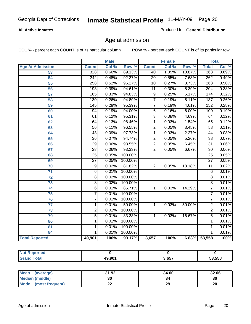#### **All Active Inmates**

Produced for **General Distribution**

# Age at admission

|                         | <b>Male</b>      |       | <b>Female</b> |                 |       | <b>Total</b> |                  |       |
|-------------------------|------------------|-------|---------------|-----------------|-------|--------------|------------------|-------|
| <b>Age At Admission</b> | <b>Count</b>     | Col % | Row %         | <b>Count</b>    | Col % | Row %        | <b>Total</b>     | Col % |
| 53                      | 328              | 0.66% | 89.13%        | 40              | 1.09% | 10.87%       | 368              | 0.69% |
| $\overline{54}$         | $\overline{242}$ | 0.48% | 92.37%        | $\overline{20}$ | 0.55% | 7.63%        | $\overline{262}$ | 0.49% |
| $\overline{55}$         | 258              | 0.52% | 96.27%        | $\overline{10}$ | 0.27% | 3.73%        | 268              | 0.50% |
| 56                      | 193              | 0.39% | 94.61%        | $\overline{11}$ | 0.30% | 5.39%        | $\overline{204}$ | 0.38% |
| $\overline{57}$         | 165              | 0.33% | 94.83%        | $\overline{9}$  | 0.25% | 5.17%        | 174              | 0.32% |
| 58                      | 130              | 0.26% | 94.89%        | $\overline{7}$  | 0.19% | 5.11%        | 137              | 0.26% |
| 59                      | 145              | 0.29% | 95.39%        | 7               | 0.19% | 4.61%        | 152              | 0.28% |
| 60                      | $\overline{94}$  | 0.19% | 94.00%        | $\overline{6}$  | 0.16% | 6.00%        | 100              | 0.19% |
| 61                      | 61               | 0.12% | 95.31%        | $\overline{3}$  | 0.08% | 4.69%        | 64               | 0.12% |
| 62                      | 64               | 0.13% | 98.46%        | 1               | 0.03% | 1.54%        | 65               | 0.12% |
| 63                      | $\overline{56}$  | 0.11% | 96.55%        | $\overline{2}$  | 0.05% | 3.45%        | 58               | 0.11% |
| 64                      | $\overline{43}$  | 0.09% | 97.73%        | 1               | 0.03% | 2.27%        | $\overline{44}$  | 0.08% |
| 65                      | $\overline{36}$  | 0.07% | 94.74%        | $\overline{2}$  | 0.05% | 5.26%        | $\overline{38}$  | 0.07% |
| 66                      | 29               | 0.06% | 93.55%        | $\overline{2}$  | 0.05% | 6.45%        | $\overline{31}$  | 0.06% |
| 67                      | 28               | 0.06% | 93.33%        | $\overline{2}$  | 0.05% | 6.67%        | 30               | 0.06% |
| 68                      | $\overline{25}$  | 0.05% | 100.00%       |                 |       |              | $\overline{25}$  | 0.05% |
| 69                      | $\overline{27}$  | 0.05% | 100.00%       |                 |       |              | $\overline{27}$  | 0.05% |
| 70                      | $\overline{9}$   | 0.02% | 81.82%        | $\overline{2}$  | 0.05% | 18.18%       | $\overline{11}$  | 0.02% |
| $\overline{71}$         | $\overline{6}$   | 0.01% | 100.00%       |                 |       |              | 6                | 0.01% |
| $\overline{72}$         | $\overline{8}$   | 0.02% | 100.00%       |                 |       |              | $\overline{8}$   | 0.01% |
| $\overline{73}$         | $\overline{8}$   | 0.02% | 100.00%       |                 |       |              | $\overline{8}$   | 0.01% |
| 74                      | $\overline{6}$   | 0.01% | 85.71%        | 1               | 0.03% | 14.29%       | $\overline{7}$   | 0.01% |
| $\overline{75}$         | $\overline{7}$   | 0.01% | 100.00%       |                 |       |              | 7                | 0.01% |
| 76                      | $\overline{7}$   | 0.01% | 100.00%       |                 |       |              | 7                | 0.01% |
| 77                      | $\mathbf{1}$     | 0.01% | 50.00%        | 1               | 0.03% | 50.00%       | $\overline{2}$   | 0.01% |
| 78                      | $\overline{2}$   | 0.01% | 100.00%       |                 |       |              | $\overline{2}$   | 0.01% |
| 79                      | $\overline{5}$   | 0.01% | 83.33%        | 1               | 0.03% | 16.67%       | $\overline{6}$   | 0.01% |
| 80                      | $\overline{1}$   | 0.01% | 100.00%       |                 |       |              | 1                | 0.01% |
| $\overline{81}$         | $\mathbf{1}$     | 0.01% | 100.00%       |                 |       |              | 1                | 0.01% |
| 84                      | 1                | 0.01% | 100.00%       |                 |       |              | 1                | 0.01% |
| <b>Total Reported</b>   | 49,901           | 100%  | 93.17%        | 3,657           | 100%  |              | 6.83% 53,558     | 100%  |

| <b>Not Reported</b> |        |       |        |
|---------------------|--------|-------|--------|
| <b>Grand Total</b>  | 49,901 | 3,657 | 53,558 |

| <b>Mean</b><br>(average) | 31.92     | 34.00 | 32.06 |
|--------------------------|-----------|-------|-------|
| <b>Median (middle)</b>   | 30        | 34    | 30    |
| Mode<br>(most frequent)  | <u>__</u> | 29    | 20    |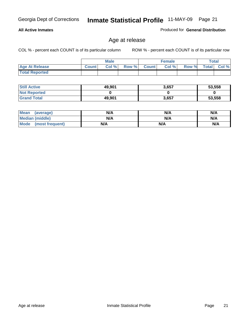#### **All Active Inmates**

Produced for **General Distribution**

# Age at release

|                       | <b>Male</b>  |       |       | <b>Female</b> |       |       | <b>Total</b> |       |
|-----------------------|--------------|-------|-------|---------------|-------|-------|--------------|-------|
| <b>Age At Release</b> | <b>Count</b> | Col % | Row % | <b>Count</b>  | Col % | Row % | <b>Total</b> | Col % |
| <b>Total Reported</b> |              |       |       |               |       |       |              |       |

| <b>Still Active</b> | 49,901 | 3,657 | 53,558 |
|---------------------|--------|-------|--------|
| <b>Not Reported</b> |        |       |        |
| <b>Grand Total</b>  | 49,901 | 3,657 | 53,558 |

| Mean (average)       | N/A | N/A | N/A |
|----------------------|-----|-----|-----|
| Median (middle)      | N/A | N/A | N/A |
| Mode (most frequent) | N/A | N/A | N/A |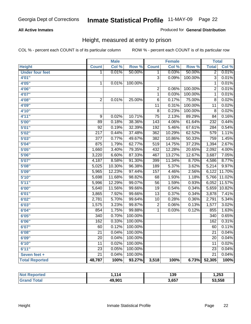#### **All Active Inmates**

#### Produced for **General Distribution**

# Height, measured at entry to prison

|                        |                  | <b>Male</b> |         |                  | <b>Female</b> |                  | <b>Total</b>    |        |
|------------------------|------------------|-------------|---------|------------------|---------------|------------------|-----------------|--------|
| <b>Height</b>          | <b>Count</b>     | Col %       | Row %   | <b>Count</b>     | Col %         | Row <sup>%</sup> | <b>Total</b>    | Col %  |
| <b>Under four feet</b> | 1                | 0.01%       | 50.00%  | 1                | 0.03%         | 50.00%           | $\overline{2}$  | 0.01%  |
| 4'01''                 |                  |             |         | 3                | 0.09%         | 100.00%          | $\overline{3}$  | 0.01%  |
| 4'05"                  | 1                | 0.01%       | 100.00% |                  |               |                  | $\mathbf{1}$    | 0.01%  |
| 4'06"                  |                  |             |         | $\overline{2}$   | 0.06%         | 100.00%          | $\overline{2}$  | 0.01%  |
| 4'07"                  |                  |             |         | $\overline{1}$   | 0.03%         | 100.00%          | $\mathbf 1$     | 0.01%  |
| 4'08"                  | $\overline{2}$   | 0.01%       | 25.00%  | $\overline{6}$   | 0.17%         | 75.00%           | $\overline{8}$  | 0.02%  |
| 4'09"                  |                  |             |         | $\overline{11}$  | 0.31%         | 100.00%          | 11              | 0.02%  |
| 4'10"                  |                  |             |         | 8                | 0.23%         | 100.00%          | $\overline{8}$  | 0.02%  |
| 4'11''                 | 9                | 0.02%       | 10.71%  | $\overline{75}$  | 2.13%         | 89.29%           | $\overline{84}$ | 0.16%  |
| 5'00''                 | 89               | 0.18%       | 38.36%  | 143              | 4.06%         | 61.64%           | 232             | 0.44%  |
| 5'01''                 | $\overline{92}$  | 0.19%       | 32.39%  | 192              | 5.46%         | 67.61%           | 284             | 0.54%  |
| 5'02''                 | $\overline{217}$ | 0.44%       | 37.48%  | 362              | 10.29%        | 62.52%           | 579             | 1.11%  |
| 5'03''                 | $\overline{377}$ | 0.77%       | 49.67%  | 382              | 10.86%        | 50.33%           | 759             | 1.45%  |
| 5'04"                  | 875              | 1.79%       | 62.77%  | $\overline{519}$ | 14.75%        | 37.23%           | 1,394           | 2.67%  |
| 5'05''                 | 1,660            | 3.40%       | 79.35%  | 432              | 12.28%        | 20.65%           | 2,092           | 4.00%  |
| 5'06''                 | 3,220            | 6.60%       | 87.33%  | 467              | 13.27%        | 12.67%           | 3,687           | 7.05%  |
| 5'07''                 | 4,187            | 8.58%       | 91.30%  | 399              | 11.34%        | 8.70%            | 4,586           | 8.77%  |
| 5'08''                 | 5,025            | 10.30%      | 96.38%  | 189              | 5.37%         | 3.62%            | 5,214           | 9.97%  |
| 5'09''                 | 5,965            | 12.23%      | 97.44%  | 157              | 4.46%         | 2.56%            | 6,122           | 11.70% |
| 5'10''                 | 5,698            | 11.68%      | 98.82%  | 68               | 1.93%         | 1.18%            | 5,766           | 11.02% |
| 5'11''                 | 5,996            | 12.29%      | 99.07%  | $\overline{56}$  | 1.59%         | 0.93%            | 6,052           | 11.57% |
| 6'00''                 | 5,640            | 11.56%      | 99.66%  | $\overline{19}$  | 0.54%         | 0.34%            | 5,659           | 10.82% |
| 6'01''                 | 3,865            | 7.92%       | 99.66%  | $\overline{13}$  | 0.37%         | 0.34%            | 3,878           | 7.41%  |
| 6'02''                 | 2,781            | 5.70%       | 99.64%  | $\overline{10}$  | 0.28%         | 0.36%            | 2,791           | 5.34%  |
| 6'03''                 | 1,575            | 3.23%       | 99.87%  | $\overline{2}$   | 0.06%         | 0.13%            | 1,577           | 3.02%  |
| 6'04''                 | 854              | 1.75%       | 99.88%  | 1                | 0.03%         | 0.12%            | 855             | 1.63%  |
| 6'05''                 | 340              | 0.70%       | 100.00% |                  |               |                  | 340             | 0.65%  |
| 6'06''                 | 162              | 0.33%       | 100.00% |                  |               |                  | 162             | 0.31%  |
| 6'07''                 | 60               | 0.12%       | 100.00% |                  |               |                  | 60              | 0.11%  |
| 6'08''                 | $\overline{21}$  | 0.04%       | 100.00% |                  |               |                  | $\overline{21}$ | 0.04%  |
| 6'09''                 | $\overline{20}$  | 0.04%       | 100.00% |                  |               |                  | $\overline{20}$ | 0.04%  |
| 6'10''                 | $\overline{11}$  | 0.02%       | 100.00% |                  |               |                  | $\overline{11}$ | 0.02%  |
| 6'11''                 | $\overline{23}$  | 0.05%       | 100.00% |                  |               |                  | $\overline{23}$ | 0.04%  |
| Seven feet +           | $\overline{21}$  | 0.04%       | 100.00% |                  |               |                  | $\overline{21}$ | 0.04%  |
| <b>Total Reported</b>  | 48,787           | 100%        | 93.27%  | 3,518            | 100%          | 6.73%            | 52,305          | 100%   |

| रeported     | 114    | 139   | 253, ا |
|--------------|--------|-------|--------|
| ⊺ota.<br>Gra | 49,901 | 3.657 | 53,558 |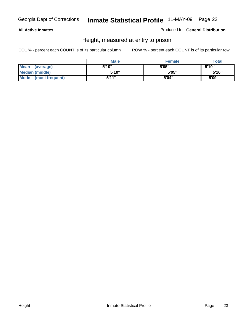#### **All Active Inmates**

Produced for **General Distribution**

# Height, measured at entry to prison

|                        | <b>Male</b> | <b>Female</b> | <b>Total</b> |
|------------------------|-------------|---------------|--------------|
| Mean (average)         | 5'10"       | 5'05"         | 5'10''       |
| <b>Median (middle)</b> | 5'10"       | 5'05"         | 5'10"        |
| Mode (most frequent)   | 5'11"       | 5'04"         | 5'09"        |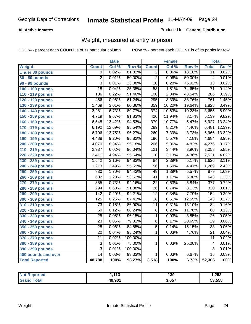#### **All Active Inmates**

#### Produced for **General Distribution**

# Weight, measured at entry to prison

|                        |                 | <b>Male</b> |         |                  | <b>Female</b> |                  | <b>Total</b>     |        |
|------------------------|-----------------|-------------|---------|------------------|---------------|------------------|------------------|--------|
| <b>Weight</b>          | <b>Count</b>    | Col %       | Row %   | <b>Count</b>     | Col %         | Row <sup>%</sup> | <b>Total</b>     | Col %  |
| <b>Under 80 pounds</b> | 9               | 0.02%       | 81.82%  | $\overline{2}$   | 0.06%         | 18.18%           | $\overline{11}$  | 0.02%  |
| 80 - 89 pounds         | $\overline{2}$  | 0.01%       | 50.00%  | $\overline{2}$   | 0.06%         | 50.00%           | $\overline{4}$   | 0.01%  |
| 90 - 99 pounds         | $\overline{3}$  | 0.01%       | 23.08%  | $\overline{10}$  | 0.28%         | 76.92%           | $\overline{13}$  | 0.02%  |
| 100 - 109 pounds       | $\overline{18}$ | 0.04%       | 25.35%  | $\overline{53}$  | 1.51%         | 74.65%           | $\overline{71}$  | 0.14%  |
| 110 - 119 pounds       | 106             | 0.22%       | 51.46%  | 100              | 2.84%         | 48.54%           | $\overline{206}$ | 0.39%  |
| 120 - 129 pounds       | 466             | 0.96%       | 61.24%  | 295              | 8.39%         | 38.76%           | 761              | 1.45%  |
| 130 - 139 pounds       | 1,469           | 3.01%       | 80.36%  | 359              | 10.20%        | 19.64%           | 1,828            | 3.49%  |
| 140 - 149 pounds       | 3,281           | 6.73%       | 89.77%  | $\overline{374}$ | 10.63%        | 10.23%           | 3,655            | 6.99%  |
| 150 - 159 pounds       | 4,719           | 9.67%       | 91.83%  | 420              | 11.94%        | 8.17%            | 5,139            | 9.82%  |
| 160 - 169 pounds       | 6,548           | 13.42%      | 94.53%  | $\overline{379}$ | 10.77%        | 5.47%            | 6,927            | 13.24% |
| 170 - 179 pounds       | 6,192           | 12.69%      | 95.54%  | 289              | 8.21%         | 4.46%            | 6,481            | 12.39% |
| 180 - 189 pounds       | 6,706           | 13.75%      | 96.27%  | 260              | 7.39%         | 3.73%            | 6,966            | 13.32% |
| 190 - 199 pounds       | 4,488           | 9.20%       | 95.82%  | 196              | 5.57%         | 4.18%            | 4,684            | 8.95%  |
| 200 - 209 pounds       | 4,070           | 8.34%       | 95.18%  | $\overline{206}$ | 5.86%         | 4.82%            | 4,276            | 8.17%  |
| 210 - 219 pounds       | 2,937           | 6.02%       | 96.04%  | $\overline{121}$ | 3.44%         | 3.96%            | 3,058            | 5.85%  |
| 220 - 229 pounds       | 2,411           | 4.94%       | 95.64%  | $\overline{110}$ | 3.13%         | 4.36%            | 2,521            | 4.82%  |
| 230 - 239 pounds       | 1,542           | 3.16%       | 94.83%  | $\overline{84}$  | 2.39%         | 5.17%            | 1,626            | 3.11%  |
| 240 - 249 pounds       | 1,213           | 2.49%       | 95.59%  | $\overline{56}$  | 1.59%         | 4.41%            | 1,269            | 2.43%  |
| 250 - 259 pounds       | 830             | 1.70%       | 94.43%  | 49               | 1.39%         | 5.57%            | 879              | 1.68%  |
| 260 - 269 pounds       | 602             | 1.23%       | 93.62%  | $\overline{41}$  | 1.17%         | 6.38%            | 643              | 1.23%  |
| 270 - 279 pounds       | 355             | 0.73%       | 94.16%  | $\overline{22}$  | 0.63%         | 5.84%            | $\overline{377}$ | 0.72%  |
| 280 - 289 pounds       | 294             | 0.60%       | 91.88%  | $\overline{26}$  | 0.74%         | 8.13%            | 320              | 0.61%  |
| 290 - 299 pounds       | 142             | 0.29%       | 92.21%  | $\overline{12}$  | 0.34%         | 7.79%            | 154              | 0.29%  |
| 300 - 309 pounds       | 125             | 0.26%       | 87.41%  | $\overline{18}$  | 0.51%         | 12.59%           | $\overline{143}$ | 0.27%  |
| 310 - 319 pounds       | $\overline{73}$ | 0.15%       | 86.90%  | 11               | 0.31%         | 13.10%           | 84               | 0.16%  |
| 320 - 329 pounds       | 60              | 0.12%       | 88.24%  | $\overline{8}$   | 0.23%         | 11.76%           | 68               | 0.13%  |
| 330 - 339 pounds       | 25              | 0.05%       | 96.15%  | $\overline{1}$   | 0.03%         | 3.85%            | $\overline{26}$  | 0.05%  |
| 340 - 349 pounds       | 23              | 0.05%       | 79.31%  | $\overline{6}$   | 0.17%         | 20.69%           | 29               | 0.06%  |
| 350 - 359 pounds       | 28              | 0.06%       | 84.85%  | $\overline{5}$   | 0.14%         | 15.15%           | $\overline{33}$  | 0.06%  |
| 360 - 369 pounds       | $\overline{20}$ | 0.04%       | 95.24%  | $\overline{1}$   | 0.03%         | 4.76%            | $\overline{21}$  | 0.04%  |
| 370 - 379 pounds       | $\overline{11}$ | 0.02%       | 100.00% |                  |               |                  | $\overline{11}$  | 0.02%  |
| 380 - 389 pounds       | $\overline{3}$  | 0.01%       | 75.00%  | 1                | 0.03%         | 25.00%           | 4                | 0.01%  |
| 390 - 399 pounds       | $\overline{3}$  | 0.01%       | 100.00% |                  |               |                  | $\overline{3}$   | 0.01%  |
| 400 pounds and over    | $\overline{14}$ | 0.03%       | 93.33%  | 1                | 0.03%         | 6.67%            | $\overline{15}$  | 0.03%  |
| <b>Total Reported</b>  | 48,788          | 100%        | 93.27%  | 3,518            | 100%          | 6.73%            | 52,306           | 100%   |

| Reported<br><b>NOT</b> | $-442$<br>. . | 139   | 1,252  |
|------------------------|---------------|-------|--------|
| īota.<br>' Gra         | 49,901        | 3,657 | 53,558 |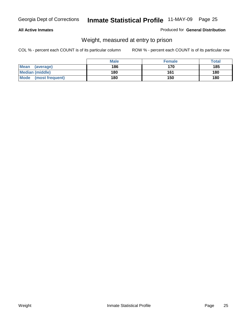#### **All Active Inmates**

#### Produced for **General Distribution**

# Weight, measured at entry to prison

|                                | <b>Male</b> | <b>Female</b> | Total |
|--------------------------------|-------------|---------------|-------|
| <b>Mean</b><br>(average)       | 186         | 170           | 185   |
| <b>Median (middle)</b>         | 180         | 161           | 180   |
| <b>Mode</b><br>(most frequent) | 180         | 150           | 180   |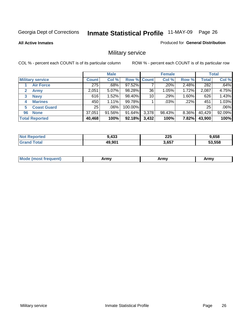**All Active Inmates**

#### Produced for **General Distribution**

# Military service

|                         |              | <b>Male</b> |                    |       | <b>Female</b> |       |              | <b>Total</b> |
|-------------------------|--------------|-------------|--------------------|-------|---------------|-------|--------------|--------------|
| <b>Military service</b> | <b>Count</b> | Col %       | <b>Row % Count</b> |       | Col %         | Row % | <b>Total</b> | Col %        |
| <b>Air Force</b>        | 275          | .68%        | 97.52%             |       | .20%          | 2.48% | 282          | .64%         |
| 2<br><b>Army</b>        | 2,051        | 5.07%       | 98.28%             | 36    | 1.05%         | 1.72% | 2,087        | 4.75%        |
| <b>Navy</b><br>3        | 616          | 1.52%       | 98.40%             | 10    | .29%          | 1.60% | 626          | 1.43%        |
| <b>Marines</b><br>4     | 450          | 1.11%       | 99.78%             |       | $.03\%$       | .22%  | 451          | 1.03%        |
| <b>Coast Guard</b><br>5 | 25           | $.06\%$     | 100.00%            |       |               |       | 25           | .06%         |
| <b>None</b><br>96       | 37,051       | $91.56\%$   | 91.64%             | 3,378 | 98.43%        | 8.36% | 40,429       | 92.09%       |
| <b>Total Reported</b>   | 40,468       | 100%        | 92.18%             | 3,432 | 100%          | 7.82% | 43,900       | 100%         |

| orted<br>NO.                      | ,433   | 225<br>$\sim$ | 9.658  |
|-----------------------------------|--------|---------------|--------|
| <sup>-</sup> otal<br><b>Grand</b> | 49,901 | 3,657         | 53.558 |

|  | <b>Mou</b> | Army | Army | Army |
|--|------------|------|------|------|
|--|------------|------|------|------|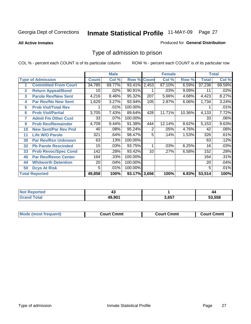#### **All Active Inmates**

#### Produced for **General Distribution**

# Type of admission to prison

|                |                             |              | <b>Male</b> |                    |     | <b>Female</b> |        |              | <b>Total</b> |
|----------------|-----------------------------|--------------|-------------|--------------------|-----|---------------|--------|--------------|--------------|
|                | <b>Type of Admission</b>    | <b>Count</b> | Col %       | <b>Row % Count</b> |     | Col %         | Row %  | <b>Total</b> | Col %        |
|                | <b>Committed From Court</b> | 34,785       | 69.77%      | 93.41% 2,453       |     | 67.10%        | 6.59%  | 37,238       | 69.59%       |
| $\overline{2}$ | <b>Return Appeal/Bond</b>   | 10           | .02%        | 90.91%             |     | .03%          | 9.09%  | 11           | .02%         |
| 3              | <b>Parole Rev/New Sent</b>  | 4,216        | 8.46%       | 95.32%             | 207 | 5.66%         | 4.68%  | 4,423        | 8.27%        |
| 4              | <b>Par Rev/No New Sent</b>  | 1,629        | 3.27%       | 93.94%             | 105 | 2.87%         | 6.06%  | 1,734        | 3.24%        |
| 5              | <b>Prob Viol/Total Rev</b>  |              | .01%        | 100.00%            |     |               |        |              | .01%         |
| 6              | <b>Prob Viol/Partial</b>    | 3,705        | 7.43%       | 89.64%             | 428 | 11.71%        | 10.36% | 4,133        | 7.72%        |
| 7              | <b>Admit Fm Other Cust</b>  | 33           | $.07\%$     | 100.00%            |     |               |        | 33           | .06%         |
| 9              | <b>Prob Rev/Remainder</b>   | 4,709        | 9.44%       | 91.38%             | 444 | 12.14%        | 8.62%  | 5,153        | 9.63%        |
| 10             | <b>New Sent/Par Rev Pnd</b> | 40           | .08%        | 95.24%             | 2   | .05%          | 4.76%  | 42           | .08%         |
| 11             | <b>Life W/O Parole</b>      | 321          | .64%        | 98.47%             | 5   | .14%          | 1.53%  | 326          | .61%         |
| 30             | <b>Par Rev/Rsn Unknown</b>  | 63           | .13%        | 100.00%            |     |               |        | 63           | .12%         |
| 32             | <b>Pb Parole Rescinded</b>  | 15           | .03%        | 93.75%             | 1   | .03%          | 6.25%  | 16           | .03%         |
| 33             | <b>Prob Revoc/Spec Cond</b> | 142          | .28%        | 93.42%             | 10  | .27%          | 6.58%  | 152          | .28%         |
| 40             | <b>Par Rev/Revoc Center</b> | 164          | .33%        | 100.00%            |     |               |        | 164          | .31%         |
| 44             | <b>Whitworth Detention</b>  | 20           | .04%        | 100.00%            |     |               |        | 20           | .04%         |
| 50             | <b>Dcys At Risk</b>         | 5            | .01%        | 100.00%            |     |               |        | 5            | .01%         |
|                | <b>Total Reported</b>       | 49,858       | 100%        | 93.17% 3,656       |     | 100%          | 6.83%  | 53,514       | 100%         |

| Reported<br><b>NOT</b> | —4⊶    |      | 44   |
|------------------------|--------|------|------|
| _____                  | ላስ ሰሰረ | .657 | .558 |

| Mou.<br>uent)<br>most trea | Court Cmmt | Cmmt<br>COULLET. | Cmm<br>∶ourt |
|----------------------------|------------|------------------|--------------|
|                            |            |                  |              |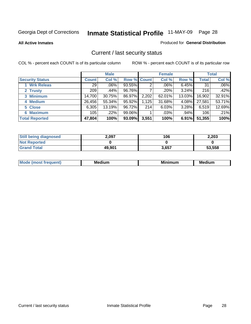**All Active Inmates**

#### Produced for **General Distribution**

# Current / last security status

|                        |                 | <b>Male</b> |             |       | <b>Female</b> |         |              | <b>Total</b> |
|------------------------|-----------------|-------------|-------------|-------|---------------|---------|--------------|--------------|
| <b>Security Status</b> | Count l         | Col %       | Row % Count |       | Col %         | Row %   | <b>Total</b> | Col %        |
| 1 Wrk Releas           | 29 <sub>1</sub> | $.06\%$     | 93.55%      | 2     | $.06\%$       | 6.45%   | 31           | $.06\%$      |
| 2 Trusty               | 209             | .44%        | 96.76%      |       | .20%          | 3.24%   | 216          | .42%         |
| 3 Minimum              | 14,700          | 30.75%      | 86.97%      | 2,202 | 62.01%        | 13.03%  | 16,902       | 32.91%       |
| 4 Medium               | 26,456          | 55.34%      | 95.92%      | 1,125 | 31.68%        | 4.08%   | 27,581       | 53.71%       |
| 5 Close                | 6,305           | 13.19%      | 96.72%      | 214   | 6.03%         | 3.28%   | 6,519        | 12.69%       |
| <b>6 Maximum</b>       | 105             | $.22\%$     | 99.06%      |       | $.03\%$       | $.94\%$ | 106          | .21%         |
| <b>Total Reported</b>  | 47,804          | 100%        | 93.09%      | 3,551 | 100%          | 6.91%   | 51,355       | 100%         |

| <b>Still being diagnosed</b> | 2,097  | 106   | 2,203  |
|------------------------------|--------|-------|--------|
| <b>Not Reported</b>          |        |       |        |
| <b>Grand Total</b>           | 49,901 | 3,657 | 53,558 |

| M.<br>.<br>--<br>M.<br><b>ALL 1999</b><br>----<br>w. |  |  |
|------------------------------------------------------|--|--|
|                                                      |  |  |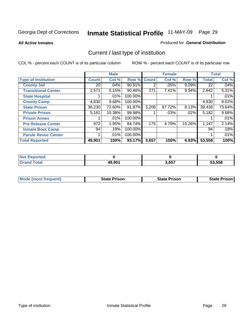**All Active Inmates**

#### Produced for **General Distribution**

# Current / last type of institution

|                            |                 | <b>Male</b> |         |              | <b>Female</b> |          |              | <b>Total</b> |
|----------------------------|-----------------|-------------|---------|--------------|---------------|----------|--------------|--------------|
| <b>Type of Institution</b> | <b>Count</b>    | Col %       | Row %   | <b>Count</b> | Col %         | Row %    | <b>Total</b> | Col %        |
| <b>County Jail</b>         | 20 <sub>1</sub> | .04%        | 90.91%  | 2            | $.05\%$       | $9.09\%$ | 22           | $.04\%$      |
| <b>Transitional Center</b> | 2,571           | 5.15%       | 90.46%  | 271          | 7.41%         | 9.54%    | 2,842        | 5.31%        |
| <b>State Hospital</b>      |                 | .01%        | 100.00% |              |               |          |              | .01%         |
| <b>County Camp</b>         | 4,830           | 9.68%       | 100.00% |              |               |          | 4,830        | 9.02%        |
| <b>State Prison</b>        | 36,230          | 72.60%      | 91.87%  | 3,208        | 87.72%        | 8.13%    | 39,438       | 73.64%       |
| <b>Private Prison</b>      | 5,181           | 10.38%      | 99.98%  |              | .03%          | .02%     | 5,182        | 9.68%        |
| <b>Prison Annex</b>        |                 | $.01\%$     | 100.00% |              |               |          |              | .01%         |
| <b>Pre Release Center</b>  | 972             | 1.95%       | 84.74%  | 175          | 4.79%         | 15.26%   | 1,147        | 2.14%        |
| <b>Inmate Boot Camp</b>    | 94              | .19%        | 100.00% |              |               |          | 94           | .18%         |
| <b>Parole Revoc Center</b> |                 | $.01\%$     | 100.00% |              |               |          |              | .01%         |
| <b>Total Reported</b>      | 49,901          | 100%        | 93.17%  | 3,657        | 100%          | 6.83%    | 53,558       | 100%         |

| oortea<br><b>NOT</b><br>69 G F |        |       |        |
|--------------------------------|--------|-------|--------|
| ota                            | 49 901 | 3,657 | 53.558 |

| <b>Mode (most frequent)</b><br><b>State Prison</b> | <b>State Prison</b> | <b>State Prison</b> |
|----------------------------------------------------|---------------------|---------------------|
|----------------------------------------------------|---------------------|---------------------|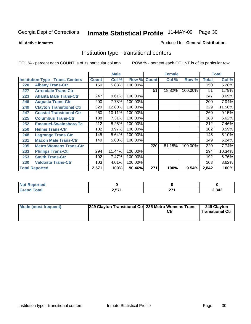**All Active Inmates**

#### Produced for **General Distribution**

# Institution type - transitional centers

|     |                                          |              | <b>Male</b> |         |              | <b>Female</b> |         |              | <b>Total</b> |
|-----|------------------------------------------|--------------|-------------|---------|--------------|---------------|---------|--------------|--------------|
|     | <b>Institution Type - Trans. Centers</b> | <b>Count</b> | Col %       | Row %   | <b>Count</b> | Col %         | Row %   | <b>Total</b> | Col %        |
| 220 | <b>Albany Trans-Ctr</b>                  | 150          | 5.83%       | 100.00% |              |               |         | 150          | 5.28%        |
| 227 | <b>Arrendale Trans-Ctr</b>               |              |             |         | 51           | 18.82%        | 100.00% | 51           | 1.79%        |
| 223 | <b>Atlanta Male Trans-Ctr</b>            | 247          | 9.61%       | 100.00% |              |               |         | 247          | 8.69%        |
| 246 | <b>Augusta Trans-Ctr</b>                 | 200          | 7.78%       | 100.00% |              |               |         | 200          | 7.04%        |
| 249 | <b>Clayton Transitional Ctr</b>          | 329          | 12.80%      | 100.00% |              |               |         | 329          | 11.58%       |
| 247 | <b>Coastal Transitional Ctr</b>          | 260          | 10.11%      | 100.00% |              |               |         | 260          | 9.15%        |
| 225 | <b>Columbus Trans-Ctr</b>                | 188          | 7.31%       | 100.00% |              |               |         | 188          | 6.62%        |
| 252 | <b>Emanuel-Swainsboro Tc</b>             | 212          | 8.25%       | 100.00% |              |               |         | 212          | 7.46%        |
| 250 | <b>Helms Trans-Ctr</b>                   | 102          | 3.97%       | 100.00% |              |               |         | 102          | 3.59%        |
| 248 | <b>Lagrange Trans Ctr</b>                | 145          | 5.64%       | 100.00% |              |               |         | 145          | 5.10%        |
| 231 | <b>Macon Male Trans-Ctr</b>              | 149          | 5.80%       | 100.00% |              |               |         | 149          | 5.24%        |
| 235 | <b>Metro Womens Trans-Ctr</b>            |              |             |         | 220          | 81.18%        | 100.00% | 220          | 7.74%        |
| 233 | <b>Phillips Trans-Ctr</b>                | 294          | 11.44%      | 100.00% |              |               |         | 294          | 10.34%       |
| 253 | <b>Smith Trans-Ctr</b>                   | 192          | 7.47%       | 100.00% |              |               |         | 192          | 6.76%        |
| 230 | <b>Valdosta Trans-Ctr</b>                | 103          | 4.01%       | 100.00% |              |               |         | 103          | 3.62%        |
|     | <b>Total Reported</b>                    | 2,571        | 100%        | 90.46%  | 271          | 100%          | 9.54%   | 2,842        | 100%         |

| portea<br>m. |            |               |       |
|--------------|------------|---------------|-------|
| <b>otal</b>  | 0.574<br>- | $\sim$<br>- - | 2,842 |

| Mode (most frequent) | 249 Clayton Transitional Ctrl 235 Metro Womens Trans- | Ctr | 249 Clayton<br><b>Transitional Ctr</b> |
|----------------------|-------------------------------------------------------|-----|----------------------------------------|
|                      |                                                       |     |                                        |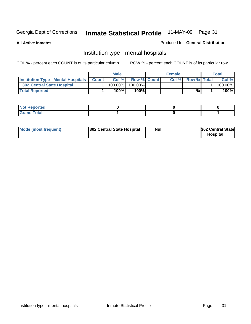**All Active Inmates**

#### Produced for **General Distribution**

# Institution type - mental hospitals

|                                                  | <b>Male</b> |                    | <b>Female</b> |                    | Total   |
|--------------------------------------------------|-------------|--------------------|---------------|--------------------|---------|
| <b>Institution Type - Mental Hospitals Count</b> | Col%        | <b>Row % Count</b> | Col%          | <b>Row % Total</b> | Col %   |
| 302 Central State Hospital                       | $100.00\%$  | 100.00%            |               |                    | 100.00% |
| <b>Total Reported</b>                            | 100%        | $100\%$            |               | %                  | 100%    |

| Not Reported |  |  |
|--------------|--|--|
| <b>otal</b>  |  |  |

| Mode (most frequent) | 302 Central State Hospital | Null | <b>302 Central State</b><br><b>Hospital</b> |
|----------------------|----------------------------|------|---------------------------------------------|
|----------------------|----------------------------|------|---------------------------------------------|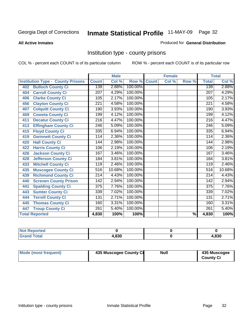#### **All Active Inmates**

#### Produced for **General Distribution**

# Institution type - county prisons

|                                          |                  | <b>Male</b> |         |              | <b>Female</b> |                          |                  | <b>Total</b> |
|------------------------------------------|------------------|-------------|---------|--------------|---------------|--------------------------|------------------|--------------|
| <b>Institution Type - County Prisons</b> | <b>Count</b>     | Col %       | Row %   | <b>Count</b> | Col %         | Row %                    | <b>Total</b>     | Col %        |
| <b>Bulloch County Ci</b><br>402          | 139              | 2.88%       | 100.00% |              |               |                          | 139              | 2.88%        |
| <b>Carroll County Ci</b><br>404          | $\overline{207}$ | 4.29%       | 100.00% |              |               |                          | $\overline{207}$ | 4.29%        |
| <b>Clarke County Ci</b><br>406           | 105              | 2.17%       | 100.00% |              |               |                          | 105              | 2.17%        |
| <b>Clayton County Ci</b><br>456          | 221              | 4.58%       | 100.00% |              |               |                          | 221              | 4.58%        |
| <b>Colquitt County Ci</b><br>407         | 190              | 3.93%       | 100.00% |              |               |                          | 190              | 3.93%        |
| <b>Coweta County Ci</b><br>409           | 199              | 4.12%       | 100.00% |              |               |                          | 199              | 4.12%        |
| <b>Decatur County Ci</b><br>411          | 216              | 4.47%       | 100.00% |              |               |                          | $\overline{216}$ | 4.47%        |
| <b>Effingham County Ci</b><br>413        | $\overline{246}$ | 5.09%       | 100.00% |              |               |                          | $\overline{246}$ | 5.09%        |
| <b>Floyd County Ci</b><br>415            | 335              | 6.94%       | 100.00% |              |               |                          | 335              | 6.94%        |
| <b>Gwinnett County Ci</b><br>419         | 114              | 2.36%       | 100.00% |              |               |                          | 114              | 2.36%        |
| <b>Hall County Ci</b><br>420             | 144              | 2.98%       | 100.00% |              |               |                          | 144              | 2.98%        |
| <b>Harris County Ci</b><br>422           | 106              | 2.19%       | 100.00% |              |               |                          | 106              | 2.19%        |
| <b>Jackson County Ci</b><br>426          | 167              | 3.46%       | 100.00% |              |               |                          | 167              | 3.46%        |
| <b>Jefferson County Ci</b><br>428        | 184              | 3.81%       | 100.00% |              |               |                          | 184              | 3.81%        |
| <b>Mitchell County Ci</b><br>433         | 119              | 2.46%       | 100.00% |              |               |                          | 119              | 2.46%        |
| <b>Muscogee County Ci</b><br>435         | 516              | 10.68%      | 100.00% |              |               |                          | $\overline{516}$ | 10.68%       |
| <b>Richmond County Ci</b><br>439         | $\overline{214}$ | 4.43%       | 100.00% |              |               |                          | $\overline{214}$ | 4.43%        |
| <b>Screven County Prison</b><br>440      | $\overline{142}$ | 2.94%       | 100.00% |              |               |                          | 142              | 2.94%        |
| <b>Spalding County Ci</b><br>441         | $\overline{375}$ | 7.76%       | 100.00% |              |               |                          | $\overline{375}$ | 7.76%        |
| <b>Sumter County Ci</b><br>443           | 339              | 7.02%       | 100.00% |              |               |                          | 339              | 7.02%        |
| <b>Terrell County Ci</b><br>444          | 131              | 2.71%       | 100.00% |              |               |                          | 131              | 2.71%        |
| <b>Thomas County Ci</b><br>445           | 160              | 3.31%       | 100.00% |              |               |                          | 160              | 3.31%        |
| <b>Troup County Ci</b><br>447            | 261              | 5.40%       | 100.00% |              |               |                          | 261              | 5.40%        |
| <b>Total Reported</b>                    | 4,830            | 100%        | 100%    |              |               | $\overline{\frac{9}{6}}$ | 4,830            | 100%         |

| <b>Not Reported</b>          |      |      |
|------------------------------|------|------|
| <b>Total</b><br><b>Grand</b> | .830 | .830 |

| <b>Mode (most frequent)</b><br>435 Muscogee County Ci | Null | 435 Muscogee<br><b>County Ci</b> |
|-------------------------------------------------------|------|----------------------------------|
|-------------------------------------------------------|------|----------------------------------|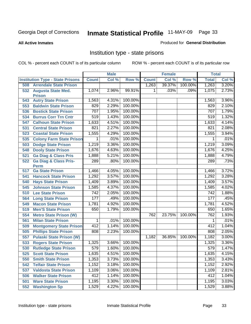#### **All Active Inmates**

#### Produced for **General Distribution**

# Institution type - state prisons

|     |                                            |              | <b>Male</b> |         |              | <b>Female</b> |         | <b>Total</b> |          |
|-----|--------------------------------------------|--------------|-------------|---------|--------------|---------------|---------|--------------|----------|
|     | <b>Institution Type - State Prisons</b>    | <b>Count</b> | Col %       | Row %   | <b>Count</b> | Col %         | Row %   | <b>Total</b> | Col %    |
| 508 | <b>Arrendale State Prison</b>              |              |             |         | 1,263        | 39.37%        | 100.00% | 1,263        | 3.20%    |
| 532 | <b>Augusta State Med.</b><br><b>Prison</b> | 1,074        | 2.96%       | 99.91%  | 1            | .03%          | .09%    | 1,075        | 2.73%    |
| 543 | <b>Autry State Prison</b>                  | 1,563        | 4.31%       | 100.00% |              |               |         | 1,563        | 3.96%    |
| 553 | <b>Baldwin State Prison</b>                | 829          | 2.29%       | 100.00% |              |               |         | 829          | 2.10%    |
| 536 | <b>Bostick State Prison</b>                | 707          | 1.95%       | 100.00% |              |               |         | 707          | 1.79%    |
| 534 | <b>Burrus Corr Trn Cntr</b>                | 519          | 1.43%       | 100.00% |              |               |         | 519          | 1.32%    |
| 547 | <b>Calhoun State Prison</b>                | 1,633        | 4.51%       | 100.00% |              |               |         | 1,633        | 4.14%    |
| 531 | <b>Central State Prison</b>                | 821          | 2.27%       | 100.00% |              |               |         | 821          | 2.08%    |
| 523 | <b>Coastal State Prison</b>                | 1,555        | 4.29%       | 100.00% |              |               |         | 1,555        | 3.94%    |
| 535 | <b>Colony Farm State Prison</b>            | 1            | .01%        | 100.00% |              |               |         | 1            | .01%     |
| 503 | <b>Dodge State Prison</b>                  | 1,219        | 3.36%       | 100.00% |              |               |         | 1,219        | 3.09%    |
| 548 | <b>Dooly State Prison</b>                  | 1,676        | 4.63%       | 100.00% |              |               |         | 1,676        | 4.25%    |
| 521 | <b>Ga Diag &amp; Class Pris</b>            | 1,888        | 5.21%       | 100.00% |              |               |         | 1,888        | 4.79%    |
| 522 | <b>Ga Diag &amp; Class Pris-</b>           | 289          | .80%        | 100.00% |              |               |         | 289          | .73%     |
|     | <b>Perm</b>                                |              |             |         |              |               |         |              |          |
| 517 | <b>Ga State Prison</b>                     | 1,466        | 4.05%       | 100.00% |              |               |         | 1,466        | 3.72%    |
| 541 | <b>Hancock State Prison</b>                | 1,292        | 3.57%       | 100.00% |              |               |         | 1,292        | 3.28%    |
| 540 | <b>Hays State Prison</b>                   | 1,409        | 3.89%       | 100.00% |              |               |         | 1,409        | 3.57%    |
| 545 | <b>Johnson State Prison</b>                | 1,585        | 4.37%       | 100.00% |              |               |         | 1,585        | 4.02%    |
| 510 | <b>Lee State Prison</b>                    | 742          | 2.05%       | 100.00% |              |               |         | 742          | 1.88%    |
| 564 | <b>Long State Prison</b>                   | 177          | .49%        | 100.00% |              |               |         | 177          | .45%     |
| 549 | <b>Macon State Prison</b>                  | 1,781        | 4.92%       | 100.00% |              |               |         | 1,781        | 4.52%    |
| 519 | <b>Men'S State Prison</b>                  | 650          | 1.79%       | 100.00% |              |               |         | 650          | 1.65%    |
| 554 | <b>Metro State Prison (W)</b>              |              |             |         | 762          | 23.75%        | 100.00% | 762          | 1.93%    |
| 561 | <b>Milan State Prison</b>                  | 1            | .01%        | 100.00% |              |               |         | 1            | .01%     |
| 509 | <b>Montgomery State Prison</b>             | 412          | 1.14%       | 100.00% |              |               |         | 412          | 1.04%    |
| 505 | <b>Phillips State Prison</b>               | 808          | 2.23%       | 100.00% |              |               |         | 808          | 2.05%    |
| 557 | <b>Pulaski State Prison (W)</b>            |              |             |         | 1,182        | 36.85%        | 100.00% | 1,182        | $3.00\%$ |
| 533 | <b>Rogers State Prison</b>                 | 1,325        | 3.66%       | 100.00% |              |               |         | 1,325        | 3.36%    |
| 530 | <b>Rutledge State Prison</b>               | 579          | 1.60%       | 100.00% |              |               |         | 579          | 1.47%    |
| 525 | <b>Scott State Prison</b>                  | 1,635        | 4.51%       | 100.00% |              |               |         | 1,635        | 4.15%    |
| 550 | <b>Smith State Prison</b>                  | 1,353        | 3.73%       | 100.00% |              |               |         | 1,353        | 3.43%    |
| 542 | <b>Telfair State Prison</b>                | 1,152        | 3.18%       | 100.00% |              |               |         | 1,152        | 2.92%    |
| 537 | <b>Valdosta State Prison</b>               | 1,109        | 3.06%       | 100.00% |              |               |         | 1,109        | 2.81%    |
| 506 | <b>Walker State Prison</b>                 | 412          | 1.14%       | 100.00% |              |               |         | 412          | 1.04%    |
| 501 | <b>Ware State Prison</b>                   | 1,195        | 3.30%       | 100.00% |              |               |         | 1,195        | 3.03%    |
| 552 | <b>Washington Sp</b>                       | 1,529        | 4.22%       | 100.00% |              |               |         | 1,529        | 3.88%    |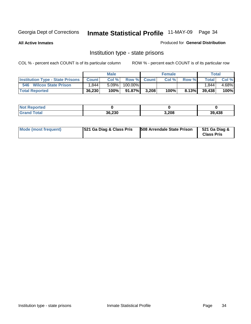**All Active Inmates**

Produced for **General Distribution**

# Institution type - state prisons

|                                         |              | <b>Male</b> |         |             | <b>Female</b> |          |        | <b>Total</b> |
|-----------------------------------------|--------------|-------------|---------|-------------|---------------|----------|--------|--------------|
| <b>Institution Type - State Prisons</b> | <b>Count</b> | Col %       |         | Row % Count | Col %         | Row %    | Total  | Col %        |
| 546<br><b>Wilcox State Prison</b>       | .844         | $5.09\%$    | 100.00% |             |               |          | .844   | 4.68%        |
| <b>Total Reported</b>                   | 36,230       | 100%        | 91.87%I | 3,208       | 100%          | $8.13\%$ | 39,438 | 100%         |

| <b>eported</b> |        |       |             |
|----------------|--------|-------|-------------|
|                | 36.230 | 3,208 | .438<br>20. |

| Mode (most frequent) | 521 Ga Diag & Class Pris | 508 Arrendale State Prison | 521 Ga Diag &<br><b>Class Pris</b> |
|----------------------|--------------------------|----------------------------|------------------------------------|
|----------------------|--------------------------|----------------------------|------------------------------------|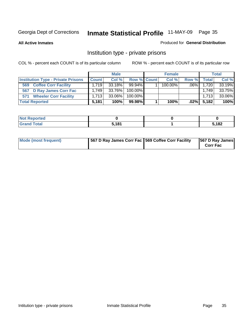**All Active Inmates**

#### Produced for **General Distribution**

# Institution type - private prisons

|                                           |              | <b>Male</b> |             | <b>Female</b> |         |               | <b>Total</b> |
|-------------------------------------------|--------------|-------------|-------------|---------------|---------|---------------|--------------|
| <b>Institution Type - Private Prisons</b> | <b>Count</b> | Col %       | Row % Count | Col %         | Row %   | <b>Total</b>  | Col %        |
| <b>Coffee Corr Facility</b><br>569        | 1.719        | $33.18\%$   | $99.94\%$   | $100.00\%$    | $.06\%$ | 1,720         | 33.19%       |
| <b>D Ray James Corr Fac</b><br>567        | 1.749        | 33.76%      | $100.00\%$  |               |         | 1.749         | 33.75%       |
| <b>Wheeler Corr Facility</b><br>571       | 1.713        | 33.06%      | $100.00\%$  |               |         | 1,713         | 33.06%       |
| <b>Total Reported</b>                     | 5,181        | 100%        | 99.98%      | 100%          |         | $.02\%$ 5,182 | 100%         |

| <b>Not</b><br><b>Reported</b> |       |       |
|-------------------------------|-------|-------|
| nd Total                      | 5,181 | 5,182 |

| <b>Mode (most frequent)</b> | 567 D Ray James Corr Fac 569 Coffee Corr Facility |  | 567 D Ray James<br><b>Corr Fac</b> |
|-----------------------------|---------------------------------------------------|--|------------------------------------|
|-----------------------------|---------------------------------------------------|--|------------------------------------|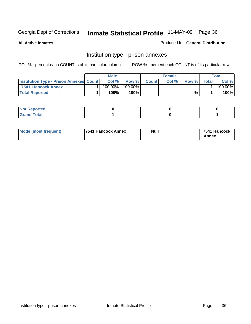**All Active Inmates**

Produced for **General Distribution**

# Institution type - prison annexes

|                                                | <b>Male</b> |            |         | <b>Female</b> |       |       | Total        |         |
|------------------------------------------------|-------------|------------|---------|---------------|-------|-------|--------------|---------|
| <b>Institution Type - Prison Annexes Count</b> |             | Col %      | Row %   | <b>Count</b>  | Col % | Row % | <b>Total</b> | Col %   |
| 7541 Hancock Annex                             |             | $100.00\%$ | 100.00% |               |       |       |              | 100.00% |
| <b>Total Reported</b>                          |             | 100%       | 100%    |               |       | %     |              | 100%    |

| <b>Not Reported</b><br>NOT. |  |  |
|-----------------------------|--|--|
| <b>Grand Total</b>          |  |  |

| <b>Mode (most frequent)</b> | <b>7541 Hancock Annex</b> | <b>Null</b> | 7541 Hancock |
|-----------------------------|---------------------------|-------------|--------------|
|                             |                           |             | Annex        |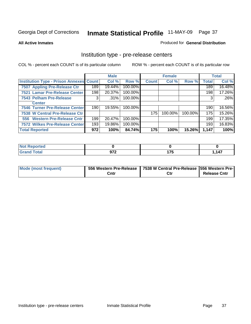### **All Active Inmates**

### Produced for **General Distribution**

## Institution type - pre-release centers

|                                                |     | <b>Male</b> |         |              | <b>Female</b> |         |              | <b>Total</b> |
|------------------------------------------------|-----|-------------|---------|--------------|---------------|---------|--------------|--------------|
| <b>Institution Type - Prison Annexes Count</b> |     | Col %       | Row %   | <b>Count</b> | Col %         | Row %   | <b>Total</b> | Col %        |
| 7507 Appling Pre-Release Ctr                   | 189 | 19.44%      | 100.00% |              |               |         | 189          | 16.48%       |
| 7521 Lamar Pre-Release Center                  | 198 | 20.37%      | 100.00% |              |               |         | 198          | 17.26%       |
| 7543 Pelham Pre-Release                        | 3   | .31%        | 100.00% |              |               |         | 3            | .26%         |
| <b>Center</b>                                  |     |             |         |              |               |         |              |              |
| 7546 Turner Pre-Release Center                 | 190 | 19.55%      | 100.00% |              |               |         | 190          | 16.56%       |
| 7538 W Central Pre-Release Ctr                 |     |             |         | 175          | 100.00%       | 100.00% | 175          | 15.26%       |
| 556 Western Pre-Release Cntr                   | 199 | 20.47%      | 100.00% |              |               |         | 199          | 17.35%       |
| <b>7572 Wilkes Pre-Release Center</b>          | 193 | 19.86%      | 100.00% |              |               |         | 193          | 16.83%       |
| <b>Total Reported</b>                          | 972 | 100%        | 84.74%  | 175          | 100%          | 15.26%  | 1,147        | 100%         |

| <b>Reported</b> |      |   |       |
|-----------------|------|---|-------|
| <b>Total</b>    | 972  | . | 1,147 |
| Gran            | 31 L | . |       |

| Mode (most frequent) |      | 556 Western Pre-Release   7538 W Central Pre-Release   556 Western Pre- |                     |
|----------------------|------|-------------------------------------------------------------------------|---------------------|
|                      | Cntr | Ctr                                                                     | <b>Release Cntr</b> |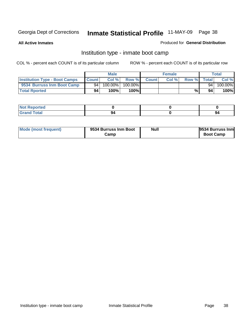**All Active Inmates**

## Produced for **General Distribution**

# Institution type - inmate boot camp

|                                      |              | <b>Male</b> |         |              | <b>Female</b> |       |       | <b>Total</b> |
|--------------------------------------|--------------|-------------|---------|--------------|---------------|-------|-------|--------------|
| <b>Institution Type - Boot Camps</b> | <b>Count</b> | Col %       | Row %   | <b>Count</b> | Col%          | Row % | Total | Col %        |
| 9534 Burruss Inm Boot Camp           | 94           | $100.00\%$  | 100.00% |              |               |       | 94    | 100.00%      |
| <b>Total Rported</b>                 | 94           | 100%        | 100%    |              |               | %     | 94    | 100%         |

| Reported<br>$\sim$<br>.         |  |         |
|---------------------------------|--|---------|
| <b>c</b> otal<br>C.v.<br>$\sim$ |  | <br>-24 |

| Mode (most frequent) | 9534 Burruss Inm Boot | <b>Null</b> | 9534 Burruss Inm |
|----------------------|-----------------------|-------------|------------------|
|                      | Camp                  |             | <b>Boot Camp</b> |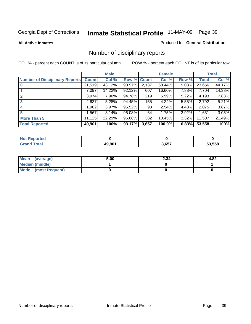### **All Active Inmates**

### Produced for **General Distribution**

# Number of disciplinary reports

|                                       |              | <b>Male</b> |        |              | <b>Female</b> |       |              | <b>Total</b> |
|---------------------------------------|--------------|-------------|--------|--------------|---------------|-------|--------------|--------------|
| <b>Number of Disciplinary Reports</b> | <b>Count</b> | Col %       | Row %  | <b>Count</b> | Col %         | Row % | <b>Total</b> | Col %        |
|                                       | 21,519       | 43.12%      | 90.97% | 2,137        | 58.44%        | 9.03% | 23,656       | 44.17%       |
|                                       | 7,097        | 14.22%      | 92.12% | 607          | 16.60%        | 7.88% | 7,704        | 14.38%       |
|                                       | 3,974        | 7.96%       | 94.78% | 219          | 5.99%         | 5.22% | 4,193        | 7.83%        |
| 3                                     | 2,637        | 5.28%       | 94.45% | 155          | 4.24%         | 5.55% | 2,792        | 5.21%        |
|                                       | .982         | $3.97\%$    | 95.52% | 93           | 2.54%         | 4.48% | 2,075        | 3.87%        |
| 5                                     | 1,567        | 3.14%       | 96.08% | 64           | 1.75%         | 3.92% | 1,631        | 3.05%        |
| <b>More Than 5</b>                    | 11,125       | 22.29%      | 96.68% | 382          | 10.45%        | 3.32% | 11,507       | 21.49%       |
| <b>Total Reported</b>                 | 49,901       | 100%        | 93.17% | 3,657        | 100.0%        | 6.83% | 53,558       | 100%         |

| $\sim$ 10<br>______ | 10.00 <sup>-</sup> | 3,657 | $-3.558$ |
|---------------------|--------------------|-------|----------|

| Mean (average)       | 5.00 | 2.34 | 4.82 |
|----------------------|------|------|------|
| Median (middle)      |      |      |      |
| Mode (most frequent) |      |      |      |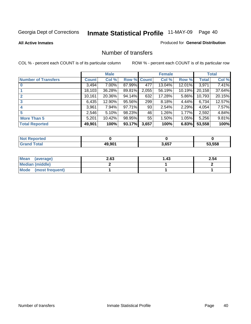**All Active Inmates**

### Produced for **General Distribution**

## Number of transfers

|                            |         | <b>Male</b> |             |       | <b>Female</b> |           |              | <b>Total</b> |
|----------------------------|---------|-------------|-------------|-------|---------------|-----------|--------------|--------------|
| <b>Number of Transfers</b> | Count l | Col %       | Row % Count |       | Col %         | Row %     | <b>Total</b> | Col %        |
|                            | 3,494   | $7.00\%$    | 87.99%      | 477   | 13.04%        | 12.01%    | 3,971        | 7.41%        |
|                            | 18,103  | 36.28%      | 89.81%      | 2,055 | 56.19%        | $10.19\%$ | 20,158       | 37.64%       |
|                            | 10,161  | 20.36%      | 94.14%      | 632   | 17.28%        | 5.86%     | 10,793       | 20.15%       |
| 3                          | 6,435   | 12.90%      | 95.56%      | 299   | 8.18%         | $4.44\%$  | 6,734        | 12.57%       |
|                            | 3,961   | 7.94%       | 97.71%      | 93    | 2.54%         | 2.29%     | 4,054        | 7.57%        |
| 5                          | 2,546   | 5.10%       | 98.23%      | 46    | 1.26%         | 1.77%     | 2,592        | 4.84%        |
| <b>More Than 5</b>         | 5,201   | 10.42%      | 98.95%      | 55    | 1.50%         | $1.05\%$  | 5,256        | 9.81%        |
| <b>Total Reported</b>      | 49,901  | 100%        | 93.17%      | 3,657 | 100%          | 6.83%     | 53,558       | 100%         |

| $\sim$ $\sim$<br>______ | $AO$ $\Omega$ | 3,657 | 53 558 |
|-------------------------|---------------|-------|--------|

| Mean (average)         | 2.63 | 1.43 | 2.54 |
|------------------------|------|------|------|
| <b>Median (middle)</b> |      |      |      |
| Mode (most frequent)   |      |      |      |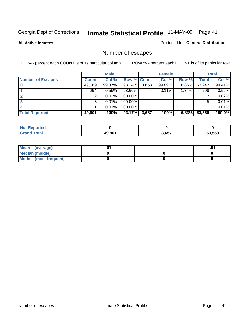**All Active Inmates**

## Produced for **General Distribution**

# Number of escapes

|                          |                  | <b>Male</b> |                    |       | <b>Female</b> |          |        | <b>Total</b> |
|--------------------------|------------------|-------------|--------------------|-------|---------------|----------|--------|--------------|
| <b>Number of Escapes</b> | Count l          | Col %       | <b>Row % Count</b> |       | Col %         | Row %    | Total  | Col %        |
|                          | 49,589           | 99.37%      | 93.14%             | 3,653 | 99.89%        | $6.86\%$ | 53,242 | 99.41%       |
|                          | 294 <sub>1</sub> | 0.59%       | 98.66%             | 4     | 0.11%         | $1.34\%$ | 298    | 0.56%        |
|                          | 12               | 0.02%       | 100.00%            |       |               |          | 12     | 0.02%        |
|                          | 5.               | 0.01%       | 100.00%            |       |               |          | 5      | 0.01%        |
|                          |                  | 0.01%       | 100.00%            |       |               |          |        | 0.01%        |
| <b>Total Reported</b>    | 49,901           | 100%        | 93.17%             | 3,657 | 100%          | 6.83%    | 53,558 | 100.0%       |

| тео            |        |       |        |
|----------------|--------|-------|--------|
| T <sub>0</sub> | 19.901 | 3,657 | 53.558 |

| <b>Mean</b><br>(average) |  | .0 |
|--------------------------|--|----|
| Median (middle)          |  |    |
| Mode (most frequent)     |  |    |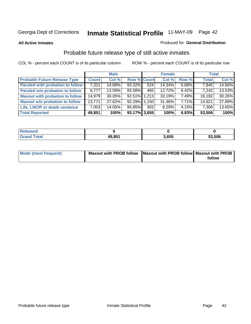### **All Active Inmates**

## Produced for **General Distribution**

# Probable future release type of still active inmates

|                                         |              | <b>Male</b> |                    |                  | <b>Female</b> |          | <b>Total</b> |        |
|-----------------------------------------|--------------|-------------|--------------------|------------------|---------------|----------|--------------|--------|
| <b>Probable Future Release Type</b>     | <b>Count</b> | Col %       | <b>Row % Count</b> |                  | Col %         | Row %    | <b>Total</b> | Col %  |
| <b>Paroled with probation to follow</b> | 7,321        | 14.69%      | 93.32%             | 524              | 14.34%        | $6.68\%$ | 7,845        | 14.66% |
| Paroled w/o probation to follow         | 6,777        | 13.59%      | 93.58%             | 465              | 12.72%        | $6.42\%$ | 7,242        | 13.53% |
| <b>Maxout with probation to follow</b>  | 14,979       | $30.05\%$   | 92.51% 1.213       |                  | 33.19%        | $7.49\%$ | 16, 192      | 30.26% |
| <b>Maxout w/o probation to follow</b>   | 13,771       | 27.62%      | 92.29%             | 1.150            | 31.46%        | $7.71\%$ | 14,921       | 27.89% |
| Life, LWOP or death sentence            | 7,003        | 14.05%      | 95.85%             | 303 <sub>1</sub> | 8.29%         | $4.15\%$ | 7,306        | 13.65% |
| <b>Total Reported</b>                   | 49,851       | 100%        | 93.17% 3,655       |                  | 100%          | 6.83%    | 53,506       | 100%   |

| Released                        |        |       |        |
|---------------------------------|--------|-------|--------|
| $\mathsf{Total}$<br><b>Grar</b> | 49.851 | 3.655 | 53,506 |

| Mode (most frequent) | Maxout with PROB follow   Maxout with PROB follow   Maxout with PROB |        |
|----------------------|----------------------------------------------------------------------|--------|
|                      |                                                                      | follow |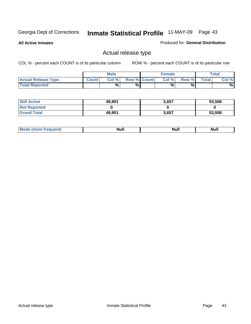**All Active Inmates**

## Produced for **General Distribution**

# Actual release type

|                            |              | <b>Male</b> |                    | <b>Female</b> |       |       | Total |
|----------------------------|--------------|-------------|--------------------|---------------|-------|-------|-------|
| <b>Actual Release Type</b> | <b>Count</b> | Col %       | <b>Row % Count</b> | Col %1        | Row % | Total | Col % |
| <b>Total Reported</b>      |              | %           | %                  | %             | %     |       | %     |

| <b>Still Active</b> | 49,901 | 3,657 | 53,558 |
|---------------------|--------|-------|--------|
| <b>Not Reported</b> |        |       |        |
| <b>Grand Total</b>  | 49,901 | 3,657 | 53,558 |

| M<br>____<br>_____ | NI | Null | $\cdots$ |
|--------------------|----|------|----------|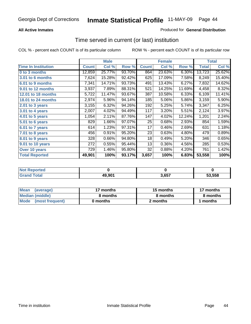## **All Active Inmates**

## Produced for **General Distribution**

## Time served in current (or last) institution

|                            |              | <b>Male</b> |        |              | <b>Female</b> |        |              | <b>Total</b> |
|----------------------------|--------------|-------------|--------|--------------|---------------|--------|--------------|--------------|
| <b>Time In Institution</b> | <b>Count</b> | Col %       | Row %  | <b>Count</b> | Col %         | Row %  | <b>Total</b> | Col %        |
| 0 to 3 months              | 12,859       | 25.77%      | 93.70% | 864          | 23.63%        | 6.30%  | 13,723       | 25.62%       |
| 3.01 to 6 months           | 7,624        | 15.28%      | 92.42% | 625          | 17.09%        | 7.58%  | 8,249        | 15.40%       |
| 6.01 to 9 months           | 7,341        | 14.71%      | 93.73% | 491          | 13.43%        | 6.27%  | 7,832        | 14.62%       |
| 9.01 to 12 months          | 3,937        | 7.89%       | 88.31% | 521          | 14.25%        | 11.69% | 4,458        | 8.32%        |
| 12.01 to 18 months         | 5,722        | 11.47%      | 93.67% | 387          | 10.58%        | 6.33%  | 6,109        | 11.41%       |
| <b>18.01 to 24 months</b>  | 2,974        | 5.96%       | 94.14% | 185          | 5.06%         | 5.86%  | 3,159        | 5.90%        |
| 2.01 to 3 years            | 3,155        | 6.32%       | 94.26% | 192          | 5.25%         | 5.74%  | 3,347        | 6.25%        |
| 3.01 to 4 years            | 2,007        | 4.02%       | 94.49% | 117          | 3.20%         | 5.51%  | 2,124        | 3.97%        |
| 4.01 to 5 years            | 1,054        | 2.11%       | 87.76% | 147          | 4.02%         | 12.24% | 1,201        | 2.24%        |
| 5.01 to 6 years            | 829          | 1.66%       | 97.07% | 25           | 0.68%         | 2.93%  | 854          | 1.59%        |
| 6.01 to 7 years            | 614          | 1.23%       | 97.31% | 17           | 0.46%         | 2.69%  | 631          | 1.18%        |
| 7.01 to 8 years            | 456          | 0.91%       | 95.20% | 23           | 0.63%         | 4.80%  | 479          | 0.89%        |
| 8.01 to 9 years            | 328          | 0.66%       | 94.80% | 18           | 0.49%         | 5.20%  | 346          | 0.65%        |
| 9.01 to 10 years           | 272          | 0.55%       | 95.44% | 13           | 0.36%         | 4.56%  | 285          | 0.53%        |
| Over 10 years              | 729          | 1.46%       | 95.80% | 32           | 0.88%         | 4.20%  | 761          | 1.42%        |
| <b>Total Reported</b>      | 49,901       | 100%        | 93.17% | 3,657        | 100%          | 6.83%  | 53,558       | 100%         |

| Not I<br>Reported |        |       |        |
|-------------------|--------|-------|--------|
| <b>ota</b>        | 49,901 | 3 657 | 53.558 |

| <b>Mean</b><br>(average) | 17 months | 15 months | 17 months |  |  |
|--------------------------|-----------|-----------|-----------|--|--|
| Median (middle)          | 8 months  | 8 months  | 8 months  |  |  |
| Mode<br>(most frequent)  | 0 months  | 2 months  | months    |  |  |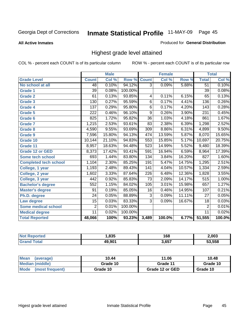**All Active Inmates**

### Produced for **General Distribution**

# Highest grade level attained

|                              |                  | <b>Male</b> |         |                 | <b>Female</b>             |        |                 | <b>Total</b> |
|------------------------------|------------------|-------------|---------|-----------------|---------------------------|--------|-----------------|--------------|
| <b>Grade Level</b>           | <b>Count</b>     | Col %       | Row %   | <b>Count</b>    | $\overline{\text{Col}}$ % | Row %  | <b>Total</b>    | Col %        |
| No school at all             | 48               | 0.10%       | 94.12%  | $\overline{3}$  | 0.09%                     | 5.88%  | $\overline{51}$ | 0.10%        |
| <b>Grade 1</b>               | 39               | 0.08%       | 100.00% |                 |                           |        | $\overline{39}$ | 0.08%        |
| <b>Grade 2</b>               | 61               | 0.13%       | 93.85%  | 4               | 0.11%                     | 6.15%  | 65              | 0.13%        |
| <b>Grade 3</b>               | 130              | 0.27%       | 95.59%  | 6               | 0.17%                     | 4.41%  | 136             | 0.26%        |
| <b>Grade 4</b>               | $\overline{137}$ | 0.29%       | 95.80%  | $\overline{6}$  | 0.17%                     | 4.20%  | 143             | 0.28%        |
| Grade 5                      | 222              | 0.46%       | 96.10%  | $\overline{9}$  | 0.26%                     | 3.90%  | 231             | 0.45%        |
| Grade 6                      | 825              | 1.72%       | 95.82%  | $\overline{36}$ | 1.03%                     | 4.18%  | 861             | 1.67%        |
| <b>Grade 7</b>               | 1,215            | 2.53%       | 93.61%  | $\overline{83}$ | 2.38%                     | 6.39%  | 1,298           | 2.52%        |
| <b>Grade 8</b>               | 4,590            | 9.55%       | 93.69%  | 309             | 8.86%                     | 6.31%  | 4,899           | 9.50%        |
| Grade 9                      | 7,596            | 15.80%      | 94.13%  | 474             | 13.59%                    | 5.87%  | 8,070           | 15.65%       |
| Grade 10                     | 10,144           | 21.10%      | 94.83%  | 553             | 15.85%                    | 5.17%  | 10,697          | 20.75%       |
| Grade 11                     | 8,957            | 18.63%      | 94.48%  | 523             | 14.99%                    | 5.52%  | 9,480           | 18.39%       |
| <b>Grade 12 or GED</b>       | 8,373            | 17.42%      | 93.41%  | 591             | 16.94%                    | 6.59%  | 8,964           | 17.39%       |
| <b>Some tech school</b>      | 693              | 1.44%       | 83.80%  | 134             | 3.84%                     | 16.20% | 827             | 1.60%        |
| <b>Completed tech school</b> | 1,104            | 2.30%       | 85.25%  | 191             | 5.47%                     | 14.75% | 1,295           | 2.51%        |
| College, 1 year              | 1,193            | 2.48%       | 89.43%  | 141             | 4.04%                     | 10.57% | 1,334           | 2.59%        |
| College, 2 year              | 1,602            | 3.33%       | 87.64%  | 226             | 6.48%                     | 12.36% | 1,828           | 3.55%        |
| College, 3 year              | 442              | 0.92%       | 85.83%  | $\overline{73}$ | 2.09%                     | 14.17% | 515             | 1.00%        |
| <b>Bachelor's degree</b>     | 552              | 1.15%       | 84.02%  | 105             | 3.01%                     | 15.98% | 657             | 1.27%        |
| <b>Master's degree</b>       | 91               | 0.19%       | 85.05%  | 16              | 0.46%                     | 14.95% | 107             | 0.21%        |
| Ph.D. degree                 | $\overline{24}$  | 0.05%       | 88.89%  | $\overline{3}$  | 0.09%                     | 11.11% | 27              | 0.05%        |
| Law degree                   | $\overline{15}$  | 0.03%       | 83.33%  | $\overline{3}$  | 0.09%                     | 16.67% | $\overline{18}$ | 0.03%        |
| <b>Some medical school</b>   | $\overline{2}$   | 0.01%       | 100.00% |                 |                           |        | $\overline{2}$  | 0.01%        |
| <b>Medical degree</b>        | $\overline{11}$  | 0.02%       | 100.00% |                 |                           |        | 11              | 0.02%        |
| <b>Total Reported</b>        | 48,066           | 100%        | 93.23%  | 3,489           | 100.0%                    | 6.77%  | 51,555          | 100.0%       |

| .835     | 168<br>- - | 2,003  |
|----------|------------|--------|
| 00.001 م | 3.657      | 53.558 |

| <b>Mean</b><br>(average)       | 10.44    | 11.06           | 10.48    |
|--------------------------------|----------|-----------------|----------|
| Median (middle)                | Grade 10 | Grade 11        | Grade 10 |
| <b>Mode</b><br>(most frequent) | Grade 10 | Grade 12 or GED | Grade 10 |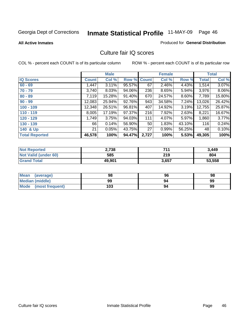## **All Active Inmates**

## Produced for **General Distribution**

## Culture fair IQ scores

|                       |              | <b>Male</b> |        |              | <b>Female</b> |          |              | <b>Total</b> |
|-----------------------|--------------|-------------|--------|--------------|---------------|----------|--------------|--------------|
| <b>IQ Scores</b>      | <b>Count</b> | Col %       | Row %  | <b>Count</b> | Col %         | Row %    | <b>Total</b> | Col %        |
| $60 - 69$             | 1,447        | $3.11\%$    | 95.57% | 67           | 2.46%         | 4.43%    | 1,514        | 3.07%        |
| $70 - 79$             | 3,740        | 8.03%       | 94.06% | 236          | 8.65%         | 5.94%    | 3,976        | 8.06%        |
| $80 - 89$             | 7,119        | 15.28%      | 91.40% | 670          | 24.57%        | $8.60\%$ | 7,789        | 15.80%       |
| $90 - 99$             | 12,083       | 25.94%      | 92.76% | 943          | 34.58%        | 7.24%    | 13,026       | 26.42%       |
| $100 - 109$           | 12,348       | 26.51%      | 96.81% | 407          | 14.92%        | 3.19%    | 12,755       | 25.87%       |
| $110 - 119$           | 8,005        | 17.19%      | 97.37% | 216          | 7.92%         | 2.63%    | 8,221        | 16.67%       |
| $120 - 129$           | 1,749        | 3.75%       | 94.03% | 111          | 4.07%         | 5.97%    | 1,860        | 3.77%        |
| $130 - 139$           | 66           | 0.14%       | 56.90% | 50           | 1.83%         | 43.10%   | 116          | 0.24%        |
| 140 & Up              | 21           | 0.05%       | 43.75% | 27           | 0.99%         | 56.25%   | 48           | 0.10%        |
| <b>Total Reported</b> | 46,578       | 100%        | 94.47% | 2,727        | 100%          | 5.53%    | 49,305       | 100%         |

| <b>Not Reported</b>  | 2,738  | 744   | 3,449  |
|----------------------|--------|-------|--------|
| Not Valid (under 60) | 585    | 219   | 804    |
| <b>Grand Total</b>   | 49,901 | 3,657 | 53,558 |

| <b>Mean</b><br>(average) | 98  | 96 | 98 |
|--------------------------|-----|----|----|
| Median (middle)          | 99  | 94 | 99 |
| Mode<br>(most frequent)  | 103 | 94 | 99 |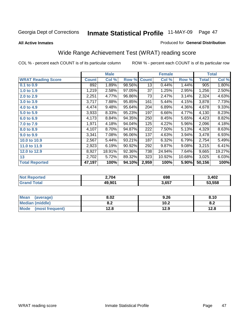### **All Active Inmates**

## Produced for **General Distribution**

# Wide Range Achievement Test (WRAT) reading score

|                           |              | <b>Male</b> |        |                  | <b>Female</b> |        |              | <b>Total</b> |
|---------------------------|--------------|-------------|--------|------------------|---------------|--------|--------------|--------------|
| <b>WRAT Reading Score</b> | <b>Count</b> | Col %       | Row %  | <b>Count</b>     | Col %         | Row %  | <b>Total</b> | Col %        |
| 0.1 to 0.9                | 892          | 1.89%       | 98.56% | $\overline{13}$  | 0.44%         | 1.44%  | 905          | 1.80%        |
| 1.0 to 1.9                | 1,219        | 2.58%       | 97.05% | 37               | 1.25%         | 2.95%  | 1,256        | 2.50%        |
| 2.0 to 2.9                | 2,251        | 4.77%       | 96.86% | 73               | 2.47%         | 3.14%  | 2,324        | 4.63%        |
| 3.0 to 3.9                | 3,717        | 7.88%       | 95.85% | 161              | 5.44%         | 4.15%  | 3,878        | 7.73%        |
| 4.0 to 4.9                | 4,474        | 9.48%       | 95.64% | 204              | 6.89%         | 4.36%  | 4,678        | 9.33%        |
| 5.0 to 5.9                | 3,933        | 8.33%       | 95.23% | 197              | 6.66%         | 4.77%  | 4,130        | 8.23%        |
| 6.0 to 6.9                | 4,173        | 8.84%       | 94.35% | 250              | 8.45%         | 5.65%  | 4,423        | 8.82%        |
| 7.0 to 7.9                | 1,971        | 4.18%       | 94.04% | 125              | 4.22%         | 5.96%  | 2,096        | 4.18%        |
| 8.0 to 8.9                | 4,107        | 8.70%       | 94.87% | $\overline{222}$ | 7.50%         | 5.13%  | 4,329        | 8.63%        |
| 9.0 to 9.9                | 3,341        | 7.08%       | 96.06% | 137              | 4.63%         | 3.94%  | 3,478        | 6.93%        |
| 10.0 to 10.9              | 2,567        | 5.44%       | 93.21% | 187              | 6.32%         | 6.79%  | 2,754        | 5.49%        |
| 11.0 to 11.9              | 2,923        | 6.19%       | 90.92% | 292              | 9.87%         | 9.08%  | 3,215        | 6.41%        |
| 12.0 to 12.9              | 8,927        | 18.91%      | 92.36% | 738              | 24.94%        | 7.64%  | 9,665        | 19.27%       |
| 13                        | 2,702        | 5.72%       | 89.32% | 323              | 10.92%        | 10.68% | 3,025        | 6.03%        |
| <b>Total Reported</b>     | 47,197       | 100%        | 94.10% | 2,959            | 100%          | 5.90%  | 50,156       | 100%         |

| orted<br>NO       | $^{\circ}$ ,704 | 698   | ,402   |
|-------------------|-----------------|-------|--------|
| <b>ota</b><br>Gr. | 49,901          | 3,657 | 53.558 |

| Mean<br>(average)      | 8.02       | 9.26 | 8.10                                              |
|------------------------|------------|------|---------------------------------------------------|
| <b>Median (middle)</b> | י ס<br>o.z | 10.2 | ດ -<br>$\mathbf{0}.\mathbf{\mathbf{\mathcal{L}}}$ |
| Mode (most frequent)   | 12.8       | 12.9 | 12.8                                              |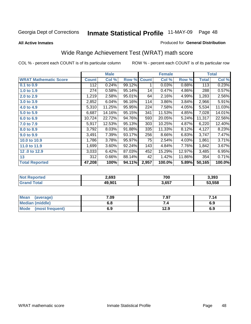### **All Active Inmates**

## Produced for **General Distribution**

# Wide Range Achievement Test (WRAT) math score

|                              |              | <b>Male</b> |        |              | <b>Female</b> |        |              | <b>Total</b> |
|------------------------------|--------------|-------------|--------|--------------|---------------|--------|--------------|--------------|
| <b>WRAT Mathematic Score</b> | <b>Count</b> | Col %       | Row %  | <b>Count</b> | Col %         | Row %  | <b>Total</b> | Col %        |
| 0.1 to 0.9                   | 112          | 0.24%       | 99.12% | 1            | 0.03%         | 0.88%  | 113          | 0.23%        |
| 1.0 to 1.9                   | 274          | 0.58%       | 95.14% | 14           | 0.47%         | 4.86%  | 288          | 0.57%        |
| 2.0 to 2.9                   | 1,219        | 2.58%       | 95.01% | 64           | 2.16%         | 4.99%  | 1,283        | 2.56%        |
| 3.0 to 3.9                   | 2,852        | 6.04%       | 96.16% | 114          | 3.86%         | 3.84%  | 2,966        | 5.91%        |
| 4.0 to 4.9                   | 5,310        | 11.25%      | 95.95% | 224          | 7.58%         | 4.05%  | 5,534        | 11.03%       |
| 5.0 to 5.9                   | 6,687        | 14.16%      | 95.15% | 341          | 11.53%        | 4.85%  | 7,028        | 14.01%       |
| 6.0 to 6.9                   | 10,724       | 22.72%      | 94.76% | 593          | 20.05%        | 5.24%  | 11,317       | 22.56%       |
| 7.0 to 7.9                   | 5,917        | 12.53%      | 95.13% | 303          | 10.25%        | 4.87%  | 6,220        | 12.40%       |
| 8.0 to 8.9                   | 3,792        | 8.03%       | 91.88% | 335          | 11.33%        | 8.12%  | 4,127        | 8.23%        |
| 9.0 to 9.9                   | 3,491        | 7.39%       | 93.17% | 256          | 8.66%         | 6.83%  | 3,747        | 7.47%        |
| 10.0 to 10.9                 | 1,786        | 3.78%       | 95.97% | 75           | 2.54%         | 4.03%  | 1,861        | 3.71%        |
| 11.0 to 11.9                 | 1,699        | 3.60%       | 92.24% | 143          | 4.84%         | 7.76%  | 1,842        | 3.67%        |
| 12.0 to 12.9                 | 3,033        | 6.42%       | 87.03% | 452          | 15.29%        | 12.97% | 3,485        | 6.95%        |
| 13                           | 312          | 0.66%       | 88.14% | 42           | 1.42%         | 11.86% | 354          | 0.71%        |
| <b>Total Reported</b>        | 47,208       | 100%        | 94.11% | 2,957        | 100.0%        | 5.89%  | 50,165       | 100.0%       |

| 2.693  | 700              | 3,393  |
|--------|------------------|--------|
| 19.901 | 2 G57<br>. ს. ს. | 53.558 |

| <b>Mean</b><br>(average) | 7.09       | 7.97 | 7.14 |
|--------------------------|------------|------|------|
| <b>Median (middle)</b>   | e a<br>o.o |      | 6.9  |
| Mode (most frequent)     | 6.9        | 12.9 | 6.9  |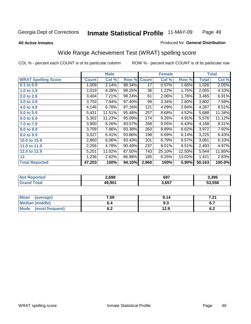### **All Active Inmates**

## Produced for **General Distribution**

# Wide Range Achievement Test (WRAT) spelling score

|                            |              | <b>Male</b> |        |              | <b>Female</b> |        |              | <b>Total</b> |
|----------------------------|--------------|-------------|--------|--------------|---------------|--------|--------------|--------------|
| <b>WRAT Spelling Score</b> | <b>Count</b> | Col %       | Row %  | <b>Count</b> | Col %         | Row %  | <b>Total</b> | Col %        |
| 0.1 to 0.9                 | 1,009        | 2.14%       | 98.34% | 17           | 0.57%         | 1.66%  | 1,026        | 2.05%        |
| 1.0 to 1.9                 | 2,019        | 4.28%       | 98.25% | 36           | 1.22%         | 1.75%  | 2,055        | 4.10%        |
| 2.0 to 2.9                 | 3,404        | 7.21%       | 98.24% | 61           | 2.06%         | 1.76%  | 3,465        | 6.91%        |
| 3.0 to 3.9                 | 3,703        | 7.84%       | 97.40% | 99           | 3.34%         | 2.60%  | 3,802        | 7.58%        |
| 4.0 to 4.9                 | 4,146        | 8.78%       | 97.16% | 121          | 4.09%         | 2.84%  | 4,267        | 8.51%        |
| 5.0 to 5.9                 | 5,431        | 11.51%      | 95.48% | 257          | 8.68%         | 4.52%  | 5,688        | 11.34%       |
| 6.0 to 6.9                 | 5,302        | 11.23%      | 95.09% | 274          | 9.26%         | 4.91%  | 5,576        | 11.12%       |
| 7.0 to 7.9                 | 3,900        | 8.26%       | 93.57% | 268          | 9.05%         | 6.43%  | 4,168        | 8.31%        |
| 8.0 to 8.9                 | 3,709        | 7.86%       | 93.38% | 263          | 8.89%         | 6.62%  | 3,972        | 7.92%        |
| 9.0 to 9.9                 | 3,027        | 6.41%       | 93.86% | 198          | 6.69%         | 6.14%  | 3,225        | 6.43%        |
| 10.0 to 10.9               | 2,860        | 6.06%       | 93.43% | 201          | 6.79%         | 6.57%  | 3,061        | 6.10%        |
| 11.0 to 11.9               | 2,256        | 4.78%       | 90.49% | 237          | 8.01%         | 9.51%  | 2,493        | 4.97%        |
| 12.0 to 12.9               | 5,201        | 11.02%      | 87.50% | 743          | 25.10%        | 12.50% | 5,944        | 11.85%       |
| 13                         | 1,236        | 2.62%       | 86.98% | 185          | 6.25%         | 13.02% | 1,421        | 2.83%        |
| <b>Total Reported</b>      | 47,203       | 100%        | 94.10% | 2,960        | 100%          | 5.90%  | 50,163       | 100.0%       |

| 2,698  | 697   | 3,395  |
|--------|-------|--------|
| 19.901 | 3,657 | 53.558 |

| <b>Mean</b><br>(average) | 7.09 | 9.14 | 4 הי<br>1 .Z I |
|--------------------------|------|------|----------------|
| <b>Median (middle)</b>   | b.4  | ৬.১  | י.ט            |
| Mode (most frequent)     | ο.Ζ  | 12.9 | υ.Ζ            |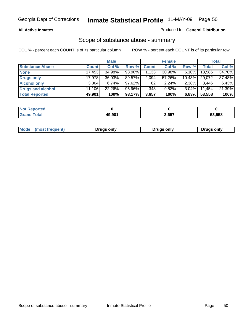## **All Active Inmates**

## Produced for **General Distribution**

## Scope of substance abuse - summary

|                        |              | <b>Male</b> |           |              | <b>Female</b> |           |              | <b>Total</b> |
|------------------------|--------------|-------------|-----------|--------------|---------------|-----------|--------------|--------------|
| <b>Substance Abuse</b> | <b>Count</b> | Col %       | Row %     | <b>Count</b> | Col %         | Row %     | <b>Total</b> | Col %        |
| <b>None</b>            | 17,453       | 34.98%      | 93.90%    | 1,133        | 30.98%        | $6.10\%$  | 18,586       | 34.70%       |
| <b>Drugs only</b>      | 17.978       | 36.03%      | 89.57%    | 2,094        | 57.26%        | $10.43\%$ | 20.072       | 37.48%       |
| <b>Alcohol only</b>    | 3.364        | $6.74\%$    | 97.62%    | 82           | $2.24\%$      | $2.38\%$  | 3,446        | 6.43%        |
| Drugs and alcohol      | 11.106       | 22.26%      | $96.96\%$ | 348          | 9.52%         | $3.04\%$  | 11.454       | 21.39%       |
| <b>Total Reported</b>  | 49,901       | 100%        | 93.17%    | 3,657        | 100%          | 6.83%     | 53,558       | 100%         |

| <b>Not</b><br>Reported |        |       |        |
|------------------------|--------|-------|--------|
| <b>Grand</b><br>`otal  | 49.901 | 3,657 | 53.558 |

|  | Mode<br>(most freauent) | Drugs only | Druas only | Drugs only |
|--|-------------------------|------------|------------|------------|
|--|-------------------------|------------|------------|------------|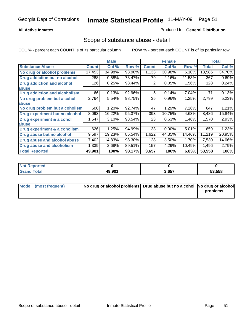## **All Active Inmates**

## Produced for **General Distribution**

## Scope of substance abuse - detail

|                                      |              | <b>Male</b> |        |              | <b>Female</b> |        |              | <b>Total</b> |
|--------------------------------------|--------------|-------------|--------|--------------|---------------|--------|--------------|--------------|
| <b>Substance Abuse</b>               | <b>Count</b> | Col %       | Row %  | <b>Count</b> | Col %         | Row %  | <b>Total</b> | Col %        |
| No drug or alcohol problems          | 17,453       | 34.98%      | 93.90% | 1,133        | 30.98%        | 6.10%  | 18,586       | 34.70%       |
| Drug addiction but no alcohol        | 288          | 0.58%       | 78.47% | 79           | 2.16%         | 21.53% | 367          | 0.69%        |
| <b>Drug addiction and alcohol</b>    | 126          | 0.25%       | 98.44% | 2            | 0.05%         | 1.56%  | 128          | 0.24%        |
| <b>labuse</b>                        |              |             |        |              |               |        |              |              |
| <b>Drug addiction and alcoholism</b> | 66           | 0.13%       | 92.96% | 5            | 0.14%         | 7.04%  | 71           | 0.13%        |
| No drug problem but alcohol          | 2,764        | 5.54%       | 98.75% | 35           | 0.96%         | 1.25%  | 2,799        | 5.23%        |
| <b>labuse</b>                        |              |             |        |              |               |        |              |              |
| No drug problem but alcoholism       | 600          | 1.20%       | 92.74% | 47           | 1.29%         | 7.26%  | 647          | 1.21%        |
| Drug experiment but no alcohol       | 8,093        | 16.22%      | 95.37% | 393          | 10.75%        | 4.63%  | 8,486        | 15.84%       |
| <b>Drug experiment &amp; alcohol</b> | 1,547        | 3.10%       | 98.54% | 23           | 0.63%         | 1.46%  | 1,570        | 2.93%        |
| <b>labuse</b>                        |              |             |        |              |               |        |              |              |
| Drug experiment & alcoholism         | 626          | 1.25%       | 94.99% | 33           | 0.90%         | 5.01%  | 659          | 1.23%        |
| Drug abuse but no alcohol            | 9,597        | 19.23%      | 85.54% | 1,622        | 44.35%        | 14.46% | 11,219       | 20.95%       |
| Drug abuse and alcohol abuse         | 7,402        | 14.83%      | 98.30% | 128          | 3.50%         | 1.70%  | 7,530        | 14.06%       |
| Drug abuse and alcoholism            | 1,339        | 2.68%       | 89.51% | 157          | 4.29%         | 10.49% | 1.496        | 2.79%        |
| <b>Total Reported</b>                | 49,901       | 100%        | 93.17% | 3,657        | 100%          | 6.83%  | 53,558       | 100%         |

| Reported<br><b>NOT</b> |           |       |          |
|------------------------|-----------|-------|----------|
| <b>otal</b>            | 00.011 40 | 3,657 | $-3.558$ |

| Mode (most frequent) | No drug or alcohol problems Drug abuse but no alcohol No drug or alcohol |          |
|----------------------|--------------------------------------------------------------------------|----------|
|                      |                                                                          | problems |
|                      |                                                                          |          |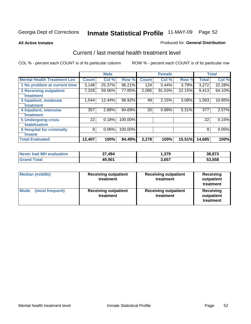### **All Active Inmates**

### Produced for **General Distribution**

## Current / last mental health treatment level

|                                    |              | <b>Male</b> |         |              | <b>Female</b> |        |              | <b>Total</b> |
|------------------------------------|--------------|-------------|---------|--------------|---------------|--------|--------------|--------------|
| <b>Mental Health Treatment Lev</b> | <b>Count</b> | Col %       | Row %   | <b>Count</b> | Col %         | Row %  | <b>Total</b> | Col%         |
| 1 No problem at current time       | 3,148        | 25.37%      | 96.21%  | 124          | 5.44%         | 3.79%  | 3,272        | 22.28%       |
| 2 Receiving outpatient             | 7,328        | 59.06%      | 77.85%  | 2,085        | 91.53%        | 22.15% | 9,413        | 64.10%       |
| treatment                          |              |             |         |              |               |        |              |              |
| 3 Inpatient, moderate              | 1,544        | 12.44%      | 96.92%  | 49           | 2.15%         | 3.08%  | 1,593        | 10.85%       |
| treatment                          |              |             |         |              |               |        |              |              |
| 4 Inpatient, intensive             | 357          | 2.88%       | 94.69%  | 20           | 0.88%         | 5.31%  | 377          | 2.57%        |
| treatment                          |              |             |         |              |               |        |              |              |
| <b>5 Undergoing crisis</b>         | 22           | 0.18%       | 100.00% |              |               |        | 22           | 0.15%        |
| stabilization                      |              |             |         |              |               |        |              |              |
| <b>6 Hospital for criminally</b>   | 8            | 0.06%       | 100.00% |              |               |        | 8            | 0.05%        |
| insane                             |              |             |         |              |               |        |              |              |
| <b>Total Evaluated</b>             | 12,407       | 100%        | 84.49%  | 2,278        | 100%          | 15.51% | 14,685       | 100%         |

| Never had MH evaluation | 37,494 | . 379 | 38,873 |
|-------------------------|--------|-------|--------|
| <b>Total</b><br>Grand   | 49,901 | 3.657 | 53,558 |

| <b>Median (middle)</b>         | <b>Receiving outpatient</b><br>treatment | <b>Receiving outpatient</b><br>treatment | <b>Receiving</b><br>outpatient<br>treatment |
|--------------------------------|------------------------------------------|------------------------------------------|---------------------------------------------|
| <b>Mode</b><br>(most frequent) | <b>Receiving outpatient</b><br>treatment | <b>Receiving outpatient</b><br>treatment | <b>Receiving</b><br>outpatient<br>treatment |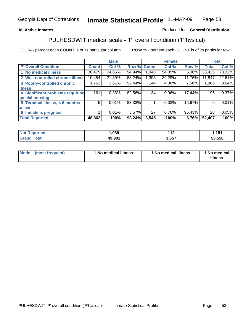## **All Active Inmates**

## Produced for **General Distribution**

# PULHESDWIT medical scale - 'P' overall condition ('P'hysical)

|                                   |              | <b>Male</b> |        |              | <b>Female</b> |        |              | <b>Total</b> |
|-----------------------------------|--------------|-------------|--------|--------------|---------------|--------|--------------|--------------|
| 'P' Overall Condition             | <b>Count</b> | Col %       | Row %  | <b>Count</b> | Col %         | Row %  | <b>Total</b> | Col %        |
| 1 No medical illness              | 36,479       | 74.66%      | 94.94% | , 946        | 54.89%        | 5.06%  | 38,425       | 73.32%       |
| 2 Well-controlled chronic illness | 10,454       | 21.39%      | 88.24% | 1,393        | 39.29%        | 11.76% | 11,847       | 22.61%       |
| 3 Poorly-controlled chronic       | 1,762        | $3.61\%$    | 92.44% | 144          | 4.06%         | 7.56%  | 1,906        | 3.64%        |
| <b>illness</b>                    |              |             |        |              |               |        |              |              |
| 4 Significant problems requiring  | 161          | 0.33%       | 82.56% | 34           | 0.96%         | 17.44% | 195          | 0.37%        |
| special housing                   |              |             |        |              |               |        |              |              |
| 5 Terminal illness, < 6 months    | 5            | 0.01%       | 83.33% |              | 0.03%         | 16.67% | 6            | 0.01%        |
| to live                           |              |             |        |              |               |        |              |              |
| Inmate is pregnant<br>6           |              | 0.01%       | 3.57%  | 27           | 0.76%         | 96.43% | 28           | 0.05%        |
| <b>Total Reported</b>             | 48,862       | 100%        | 93.24% | 3,545        | 100%          | 6.76%  | 52,407       | 100%         |

| <b>Not Reported</b> | 1,039  | 112<br>- 14 | 1,151  |
|---------------------|--------|-------------|--------|
| <b>Grand Total</b>  | 49,901 | 3,657       | 53,558 |

| Mode (most frequent) | 1 No medical illness | 1 No medical illness | 1 No medical |
|----------------------|----------------------|----------------------|--------------|
|                      |                      |                      | illness      |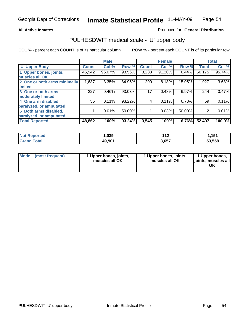## **All Active Inmates**

## Produced for **General Distribution**

## PULHESDWIT medical scale - 'U' upper body

|                              |              | <b>Male</b> |        |              | <b>Female</b> |        |              | <b>Total</b> |
|------------------------------|--------------|-------------|--------|--------------|---------------|--------|--------------|--------------|
| <b>U' Upper Body</b>         | <b>Count</b> | Col %       | Row %  | <b>Count</b> | Col %         | Row %  | <b>Total</b> | Col %        |
| 1 Upper bones, joints,       | 46,942       | 96.07%      | 93.56% | 3,233        | 91.20%        | 6.44%  | 50,175       | 95.74%       |
| muscles all OK               |              |             |        |              |               |        |              |              |
| 2 One or both arms minimally | 1,637        | 3.35%       | 84.95% | 290          | 8.18%         | 15.05% | 1,927        | 3.68%        |
| limited                      |              |             |        |              |               |        |              |              |
| 3 One or both arms           | 227          | 0.46%       | 93.03% | 17           | 0.48%         | 6.97%  | 244          | 0.47%        |
| moderately limited           |              |             |        |              |               |        |              |              |
| 4 One arm disabled,          | 55           | 0.11%       | 93.22% | 4            | 0.11%         | 6.78%  | 59           | 0.11%        |
| paralyzed, or amputated      |              |             |        |              |               |        |              |              |
| 5 Both arms disabled,        |              | 0.01%       | 50.00% |              | 0.03%         | 50.00% | 2            | 0.01%        |
| paralyzed, or amputated      |              |             |        |              |               |        |              |              |
| <b>Total Reported</b>        | 48,862       | 100%        | 93.24% | 3,545        | 100%          | 6.76%  | 52,407       | 100.0%       |

| <b>Not Reported</b>         | ,039   | 140<br>- 14 | 1,151  |
|-----------------------------|--------|-------------|--------|
| $\tau$ otal<br><b>Grand</b> | 49,901 | 3,657       | 53,558 |

| <b>Mode</b> | (most frequent) | 1 Upper bones, joints,<br>muscles all OK | 1 Upper bones, joints,<br>muscles all OK | 1 Upper bones,<br>joints, muscles all<br>ΟK |
|-------------|-----------------|------------------------------------------|------------------------------------------|---------------------------------------------|
|-------------|-----------------|------------------------------------------|------------------------------------------|---------------------------------------------|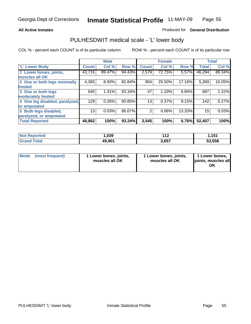## **All Active Inmates**

## Produced for **General Distribution**

## PULHESDWIT medical scale - 'L' lower body

|                                |        | <b>Male</b> |        |                | <b>Female</b> |        |              | <b>Total</b> |
|--------------------------------|--------|-------------|--------|----------------|---------------|--------|--------------|--------------|
| <b>L' Lower Body</b>           | Count! | Col %       | Row %  | <b>Count</b>   | Col %         | Row %  | <b>Total</b> | Col %        |
| 1 Lower bones, joints,         | 43,715 | 89.47%      | 94.43% | 2,579          | 72.75%        | 5.57%  | 46,294       | 88.34%       |
| muscles all OK                 |        |             |        |                |               |        |              |              |
| 2 One or both legs minimally   | 4,365  | 8.93%       | 82.84% | 904            | 25.50%        | 17.16% | 5,269        | 10.05%       |
| limited                        |        |             |        |                |               |        |              |              |
| 3 One or both legs             | 640    | 1.31%       | 93.16% | 47             | 1.33%         | 6.84%  | 687          | 1.31%        |
| moderately limited             |        |             |        |                |               |        |              |              |
| 4 One leg disabled, paralyzed, | 129    | 0.26%       | 90.85% | 13             | 0.37%         | 9.15%  | 142          | 0.27%        |
| or amputated                   |        |             |        |                |               |        |              |              |
| 5 Both legs disabled,          | 13     | 0.03%       | 86.67% | $\overline{2}$ | 0.06%         | 13.33% | 15           | 0.03%        |
| paralyzed, or amputated        |        |             |        |                |               |        |              |              |
| <b>Total Reported</b>          | 48,862 | 100%        | 93.24% | 3,545          | 100%          | 6.76%  | 52,407       | 100%         |

| <b>Reported</b> | ,039   | 119   | <b>454</b> |
|-----------------|--------|-------|------------|
| NOT <b>h</b>    |        | - 14  | .          |
| Γotal<br>'Grano | 49,901 | 3.657 | 53,558     |

| Mode | (most frequent) | 1 Lower bones, joints,<br>muscles all OK | 1 Lower bones, joints,<br>muscles all OK | 1 Lower bones,<br>joints, muscles all<br>ΟK |
|------|-----------------|------------------------------------------|------------------------------------------|---------------------------------------------|
|------|-----------------|------------------------------------------|------------------------------------------|---------------------------------------------|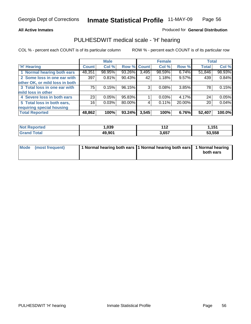## **All Active Inmates**

## Produced for **General Distribution**

## PULHESDWIT medical scale - 'H' hearing

|                                |              | <b>Male</b> |             |       | <b>Female</b> |        | <b>Total</b> |        |
|--------------------------------|--------------|-------------|-------------|-------|---------------|--------|--------------|--------|
| <b>H'</b> Hearing              | <b>Count</b> | Col %       | Row % Count |       | Col %         | Row %  | <b>Total</b> | Col %  |
| 1 Normal hearing both ears     | 48,351       | 98.95%      | 93.26%      | 3,495 | 98.59%        | 6.74%  | 51,846       | 98.93% |
| 2 Some loss in one ear with    | 397          | 0.81%       | 90.43%      | 42    | 1.18%         | 9.57%  | 439          | 0.84%  |
| other OK, or mild loss in both |              |             |             |       |               |        |              |        |
| 3 Total loss in one ear with   | 75           | 0.15%       | 96.15%      | 3     | 0.08%         | 3.85%  | 78           | 0.15%  |
| mild loss in other             |              |             |             |       |               |        |              |        |
| 4 Severe loss in both ears     | 23           | 0.05%       | 95.83%      |       | 0.03%         | 4.17%  | 24           | 0.05%  |
| 5 Total loss in both ears,     | 16           | 0.03%       | 80.00%      | 4     | 0.11%         | 20.00% | 20           | 0.04%  |
| requiring special housing      |              |             |             |       |               |        |              |        |
| <b>Total Reported</b>          | 48,862       | 100%        | 93.24%      | 3,545 | 100%          | 6.76%  | 52,407       | 100.0% |

| rteo                            | non.   | 440   | 4 E 4  |
|---------------------------------|--------|-------|--------|
|                                 | ココマ    | - 14  | .      |
| $\mathcal{L}$ and $\mathcal{L}$ | 49 901 | 3,657 | 53,558 |

| Mode (most frequent) | 1 Normal hearing both ears   1 Normal hearing both ears   1 Normal hearing |           |
|----------------------|----------------------------------------------------------------------------|-----------|
|                      |                                                                            | both ears |
|                      |                                                                            |           |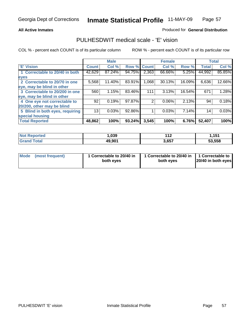## **All Active Inmates**

## Produced for **General Distribution**

## PULHESDWIT medical scale - 'E' vision

|                                 |              | <b>Male</b> |                    |       | <b>Female</b> |        |              | <b>Total</b> |
|---------------------------------|--------------|-------------|--------------------|-------|---------------|--------|--------------|--------------|
| 'E' Vision                      | <b>Count</b> | Col %       | <b>Row % Count</b> |       | Col %         | Row %  | <b>Total</b> | Col %        |
| 1 Correctable to 20/40 in both  | 42,629       | 87.24%      | 94.75%             | 2,363 | 66.66%        | 5.25%  | 44,992       | 85.85%       |
| eyes                            |              |             |                    |       |               |        |              |              |
| 2 Correctable to 20/70 in one   | 5,568        | 11.40%      | 83.91%             | 0.068 | 30.13%        | 16.09% | 6,636        | 12.66%       |
| eye, may be blind in other      |              |             |                    |       |               |        |              |              |
| 3 Correctable to 20/200 in one  | 560          | 1.15%       | 83.46%             | 111   | 3.13%         | 16.54% | 671          | 1.28%        |
| eye, may be blind in other      |              |             |                    |       |               |        |              |              |
| 4 One eye not correctable to    | 92           | 0.19%       | 97.87%             | 2     | 0.06%         | 2.13%  | 94           | 0.18%        |
| 20/200, other may be blind      |              |             |                    |       |               |        |              |              |
| 5 Blind in both eyes, requiring | 13           | 0.03%       | 92.86%             |       | 0.03%         | 7.14%  | 14           | 0.03%        |
| special housing                 |              |             |                    |       |               |        |              |              |
| <b>Total Reported</b>           | 48,862       | 100%        | 93.24%             | 3,545 | 100%          | 6.76%  | 52,407       | 100%         |

| <b>Not Reported</b>   | ,039   | $\overline{A}$<br>. | ,151   |
|-----------------------|--------|---------------------|--------|
| <b>Total</b><br>Grand | 49,901 | 3,657               | 53,558 |

|  | Mode (most frequent) | 1 Correctable to 20/40 in<br>both eves | 1 Correctable to 20/40 in   1 Correctable to<br>both eves | 20/40 in both eyes |
|--|----------------------|----------------------------------------|-----------------------------------------------------------|--------------------|
|--|----------------------|----------------------------------------|-----------------------------------------------------------|--------------------|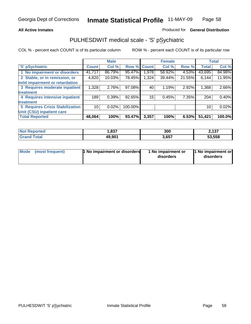## **All Active Inmates**

## Produced for **General Distribution**

# PULHESDWIT medical scale - 'S' pSychiatric

|                                        |              | <b>Male</b> |         |              | <b>Female</b> |        |              | <b>Total</b> |
|----------------------------------------|--------------|-------------|---------|--------------|---------------|--------|--------------|--------------|
| 'S' pSychiatric                        | <b>Count</b> | Col %       | Row %   | <b>Count</b> | Col %         | Row %  | <b>Total</b> | Col %        |
| 1 No impairment or disorders           | 41,717       | 86.79%      | 95.47%  | .978         | 58.92%        | 4.53%  | 43,695       | 84.98%       |
| 2 Stable, or in remission, or          | 4,820        | 10.03%      | 78.45%  | 1,324        | 39.44%        | 21.55% | 6,144        | 11.95%       |
| mild impairment or retardation         |              |             |         |              |               |        |              |              |
| 3 Requires moderate inpatient          | 1,328        | 2.76%       | 97.08%  | 40           | 1.19%         | 2.92%  | 1,368        | 2.66%        |
| treatment                              |              |             |         |              |               |        |              |              |
| 4 Requires intensive inpatient         | 189          | 0.39%       | 92.65%  | 15           | 0.45%         | 7.35%  | 204          | 0.40%        |
| treatment                              |              |             |         |              |               |        |              |              |
| <b>5 Requires Crisis Stabilization</b> | 10           | 0.02%       | 100.00% |              |               |        | 10           | 0.02%        |
| Unit (CSU) inpatient care              |              |             |         |              |               |        |              |              |
| <b>Total Reported</b>                  | 48,064       | 100%        | 93.47%  | 3,357        | 100%          | 6.53%  | 51,421       | 100.0%       |

| <b>Not Reported</b>     | ,837   | 300   | 2,137  |
|-------------------------|--------|-------|--------|
| <b>Total</b><br>' Grand | 49,901 | 3,657 | 53,558 |

| Mode (most frequent) | <b>1</b> No impairment or disorders | 1 No impairment or<br>disorders | 1 No impairment or<br>disorders |
|----------------------|-------------------------------------|---------------------------------|---------------------------------|
|                      |                                     |                                 |                                 |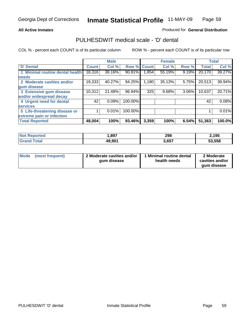## **All Active Inmates**

## Produced for **General Distribution**

# PULHESDWIT medical scale - 'D' dental

|                                 |              | <b>Male</b> |             |       | <b>Female</b> |          |                     | <b>Total</b> |
|---------------------------------|--------------|-------------|-------------|-------|---------------|----------|---------------------|--------------|
| 'D' Dental                      | <b>Count</b> | Col %       | Row % Count |       | Col %         | Row %    | <b>Total</b>        | Col %        |
| 1 Minimal routine dental health | 18,316       | 38.16%      | 90.81%      | 1,854 | 55.19%        | 9.19%    | 20,170              | 39.27%       |
| <b>needs</b>                    |              |             |             |       |               |          |                     |              |
| 2 Moderate cavities and/or      | 19,333       | 40.27%      | 94.25%      | 1,180 | 35.13%        | 5.75%    | $\overline{20,513}$ | 39.94%       |
| gum disease                     |              |             |             |       |               |          |                     |              |
| 3 Extensive gum disease         | 10,312       | 21.48%      | 96.94%      | 325   | 9.68%         | $3.06\%$ | 10,637              | 20.71%       |
| and/or widespread decay         |              |             |             |       |               |          |                     |              |
| 4 Urgent need for dental        | 42           | 0.09%       | 100.00%     |       |               |          | 42                  | 0.08%        |
| <b>services</b>                 |              |             |             |       |               |          |                     |              |
| 5 Life-threatening disease or   |              | 0.01%       | 100.00%     |       |               |          |                     | 0.01%        |
| extreme pain or infection       |              |             |             |       |               |          |                     |              |
| <b>Total Reported</b>           | 48,004       | 100%        | 93.46%      | 3,359 | 100%          | 6.54%    | 51,363              | 100.0%       |

| <b>Not Reported</b> | ,897   | 298   | 2,195  |
|---------------------|--------|-------|--------|
| Гоtа                | 49,901 | 3,657 | 53,558 |

| <b>Mode</b> | (most frequent) | 2 Moderate cavities and/or<br>qum disease | 1 Minimal routine dental<br>health needs | 2 Moderate<br>cavities and/or |
|-------------|-----------------|-------------------------------------------|------------------------------------------|-------------------------------|
|             |                 |                                           |                                          | aum disease                   |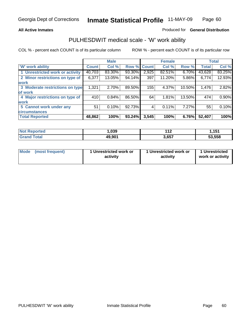## **All Active Inmates**

## Produced for **General Distribution**

## PULHESDWIT medical scale - 'W' work ability

|                                 |              | <b>Male</b> |        |              | <b>Female</b> |        |              | <b>Total</b> |
|---------------------------------|--------------|-------------|--------|--------------|---------------|--------|--------------|--------------|
| W' work ability                 | <b>Count</b> | Col %       | Row %  | <b>Count</b> | Col %         | Row %  | <b>Total</b> | Col %        |
| 1 Unrestricted work or activity | 40,703       | 83.30%      | 93.30% | 2,925        | 82.51%        | 6.70%  | 43,628       | 83.25%       |
| 2 Minor restrictions on type of | 6,377        | 13.05%      | 94.14% | 397          | 11.20%        | 5.86%  | 6,774        | 12.93%       |
| <b>work</b>                     |              |             |        |              |               |        |              |              |
| 3 Moderate restrictions on type | 1,321        | 2.70%       | 89.50% | 155          | 4.37%         | 10.50% | 1,476        | 2.82%        |
| of work                         |              |             |        |              |               |        |              |              |
| 4 Major restrictions on type of | 410          | 0.84%       | 86.50% | 64           | 1.81%         | 13.50% | 474          | $0.90\%$     |
| <b>work</b>                     |              |             |        |              |               |        |              |              |
| 5 Cannot work under any         | 51           | 0.10%       | 92.73% | 4            | 0.11%         | 7.27%  | 55           | 0.10%        |
| <b>circumstances</b>            |              |             |        |              |               |        |              |              |
| <b>Total Reported</b>           | 48,862       | 100%        | 93.24% | 3,545        | 100%          | 6.76%  | 52,407       | 100%         |

| <b>Not Reported</b>          | ,039   | 449<br>- 14 | 151.ا  |
|------------------------------|--------|-------------|--------|
| <b>Total</b><br><b>Grand</b> | 49,901 | 3,657       | 53,558 |

| Mode            | 1 Unrestricted work or | 1 Unrestricted work or | 1 Unrestricted   |
|-----------------|------------------------|------------------------|------------------|
| (most frequent) | activity               | activity               | work or activity |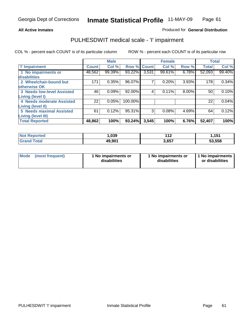### **All Active Inmates**

## Produced for **General Distribution**

# PULHESDWIT medical scale - 'I' impairment

|                                   |              | <b>Male</b> |         |              | <b>Female</b> |       |              | <b>Total</b> |
|-----------------------------------|--------------|-------------|---------|--------------|---------------|-------|--------------|--------------|
| <b>T' Impairment</b>              | <b>Count</b> | Col %       | Row %   | <b>Count</b> | Col %         | Row % | <b>Total</b> | Col %        |
| 1 No impairments or               | 48,562       | 99.39%      | 93.22%  | 3,531        | 99.61%        | 6.78% | 52,093       | 99.40%       |
| disabilities                      |              |             |         |              |               |       |              |              |
| 2 Wheelchair-bound but            | 171          | 0.35%       | 96.07%  |              | 0.20%         | 3.93% | 178          | 0.34%        |
| otherwise OK                      |              |             |         |              |               |       |              |              |
| <b>3 Needs low-level Assisted</b> | 46'          | 0.09%       | 92.00%  | 4            | 0.11%         | 8.00% | 50           | 0.10%        |
| Living (level I)                  |              |             |         |              |               |       |              |              |
| 4 Needs moderate Assisted         | 22           | 0.05%       | 100.00% |              |               |       | 22           | 0.04%        |
| <b>Living (level II)</b>          |              |             |         |              |               |       |              |              |
| <b>5 Needs maximal Assisted</b>   | 61           | 0.12%       | 95.31%  | 3            | 0.08%         | 4.69% | 64           | 0.12%        |
| <b>Living (level III)</b>         |              |             |         |              |               |       |              |              |
| <b>Total Reported</b>             | 48,862       | 100%        | 93.24%  | 3,545        | 100%          | 6.76% | 52,407       | 100%         |

| <b>Not</b><br>Reported | .039   | 149<br>- 14 | 1,151  |
|------------------------|--------|-------------|--------|
| 「otal<br><b>'Granc</b> | 49,901 | 3,657       | 53,558 |

| <b>Mode</b> | (most frequent) | 1 No impairments or<br>disabilities | 1 No impairments or<br>disabilities | 1 1 No impairments<br>or disabilities |
|-------------|-----------------|-------------------------------------|-------------------------------------|---------------------------------------|
|-------------|-----------------|-------------------------------------|-------------------------------------|---------------------------------------|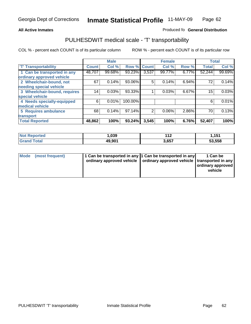#### **Inmate Statistical Profile** 11-MAY-09 Page Page 62

## All Active Inmates **All Active Inmates All Active Inmates Produced fo General Distribution**

## PULHESDWIT medical scale - 'T' transportability

|                              |              | <b>Male</b> |         |              | <b>Female</b> |       | <b>Total</b> |        |
|------------------------------|--------------|-------------|---------|--------------|---------------|-------|--------------|--------|
| <b>T' Transportability</b>   | <b>Count</b> | Col %       | Row %   | <b>Count</b> | Col %         | Row % | <b>Total</b> | Col %  |
| 1 Can be transported in any  | 48,707       | 99.68%      | 93.23%  | 3,537        | 99.77%        | 6.77% | 52,244       | 99.69% |
| ordinary approved vehicle    |              |             |         |              |               |       |              |        |
| 2 Wheelchair-bound, not      | 67           | 0.14%       | 93.06%  | 5            | 0.14%         | 6.94% | 72           | 0.14%  |
| needing special vehicle      |              |             |         |              |               |       |              |        |
| 3 Wheelchair-bound, requires | 14           | 0.03%       | 93.33%  |              | 0.03%         | 6.67% | 15           | 0.03%  |
| special vehicle              |              |             |         |              |               |       |              |        |
| 4 Needs specially-equipped   | 6            | 0.01%       | 100.00% |              |               |       | 6            | 0.01%  |
| medical vehicle              |              |             |         |              |               |       |              |        |
| <b>5 Requires ambulance</b>  | 68           | 0.14%       | 97.14%  | 2            | 0.06%         | 2.86% | 70           | 0.13%  |
| transport                    |              |             |         |              |               |       |              |        |
| <b>Total Reported</b>        | 48,862       | 100%        | 93.24%  | 3,545        | 100%          | 6.76% | 52,407       | 100%   |

| <b>Not</b><br>Reported       | ,039   | 142<br>14 | ,151   |
|------------------------------|--------|-----------|--------|
| <b>Total</b><br><b>Grand</b> | 49,901 | 3,657     | 53,558 |

| Mode (most frequent) | 1 Can be transported in any 1 Can be transported in any | ordinary approved vehicle   ordinary approved vehicle   transported in any | 1 Can be<br>  ordinary approved  <br>vehicle |
|----------------------|---------------------------------------------------------|----------------------------------------------------------------------------|----------------------------------------------|
|                      |                                                         |                                                                            |                                              |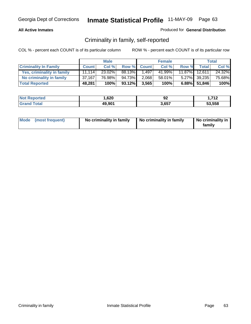## **All Active Inmates**

## Produced for **General Distribution**

# Criminality in family, self-reported

|                              |              | <b>Male</b> |        |              | <b>Female</b> |       |               | <b>Total</b> |
|------------------------------|--------------|-------------|--------|--------------|---------------|-------|---------------|--------------|
| <b>Criminality In Family</b> | <b>Count</b> | Col %       | Row %  | <b>Count</b> | Col %         | Row % | <b>Total</b>  | Col %        |
| Yes, criminality in family   | 11.114       | 23.02%      | 88.13% | 1.497        | 41.99%        |       | 11.87% 12,611 | 24.32%       |
| No criminality in family     | 37,167       | 76.98%      | 94.73% | 2,068        | 58.01%        |       | 5.27% 39,235  | 75.68%       |
| <b>Total Reported</b>        | 48,281       | 100%        | 93.12% | 3,565        | 100%          |       | 6.88% 51,846  | 100%         |

| <b>Not</b><br><b>Reported</b> | 620, ا | ୬∠    | <b>740</b> |
|-------------------------------|--------|-------|------------|
| <b>ofa</b>                    | 49,901 | 3,657 | 53.558     |

| Mode (most frequent) |  | No criminality in family | No criminality in family | No criminality in<br>family |
|----------------------|--|--------------------------|--------------------------|-----------------------------|
|----------------------|--|--------------------------|--------------------------|-----------------------------|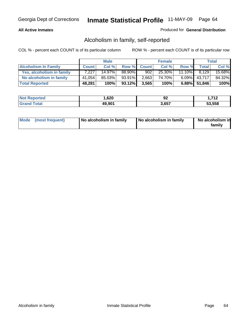## **All Active Inmates**

## Produced for **General Distribution**

# Alcoholism in family, self-reported

|                             |              | <b>Male</b> |        |              | <b>Female</b> |           |                 | <b>Total</b> |
|-----------------------------|--------------|-------------|--------|--------------|---------------|-----------|-----------------|--------------|
| <b>Alcoholism In Family</b> | <b>Count</b> | Col %       | Row %  | <b>Count</b> | Col %         | Row %     | <b>Total</b>    | Col %        |
| Yes, alcoholism in family   | 7.227        | 14.97%      | 88.90% | 902          | 25.30%        | $11.10\%$ | 8.129           | 15.68%       |
| No alcoholism in family     | 41,054       | 85.03%      | 93.91% | 2,663        | 74.70%        |           | $6.09\%$ 43,717 | 84.32%       |
| <b>Total Reported</b>       | 48,281       | 100%        | 93.12% | 3,565        | 100%          |           | $6.88\%$ 51,846 | 100%         |

| <b>Not Reported</b>          | .,620  | JZ    | <b>740</b><br>- I 4 |
|------------------------------|--------|-------|---------------------|
| <b>Total</b><br><b>Grand</b> | 49,901 | 3,657 | 53.558              |

|  | Mode (most frequent) | No alcoholism in family | No alcoholism in family | No alcoholism in<br>family |
|--|----------------------|-------------------------|-------------------------|----------------------------|
|--|----------------------|-------------------------|-------------------------|----------------------------|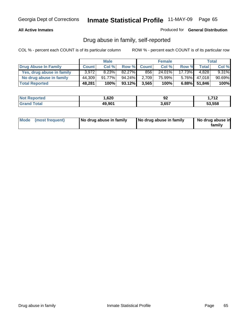## **All Active Inmates**

Produced for **General Distribution**

# Drug abuse in family, self-reported

|                           |              | <b>Male</b> |           |              | <b>Female</b> |                 |              | <b>Total</b> |
|---------------------------|--------------|-------------|-----------|--------------|---------------|-----------------|--------------|--------------|
| Drug Abuse In Family      | <b>Count</b> | Col %       | Row %     | <b>Count</b> | Col %         | Row %           | <b>Total</b> | Col %        |
| Yes, drug abuse in family | 3.972        | 8.23%       | $82.27\%$ | 856          | 24.01%        | 17.73% <b>I</b> | 4.828        | $9.31\%$     |
| No drug abuse in family   | 44.309       | $91.77\%$   | 94.24%    | 2,709        | 75.99%        | $5.76\%$        | 47.018       | 90.69%       |
| <b>Total Reported</b>     | 48,281       | 100%        | 93.12%    | 3,565        | 100%          |                 | 6.88% 51,846 | 100%         |

| <b>Not Reported</b>          | .,620  | JZ    | <b>740</b><br>- I 4 |
|------------------------------|--------|-------|---------------------|
| <b>Total</b><br><b>Grand</b> | 49,901 | 3,657 | 53.558              |

|  | Mode (most frequent) | No drug abuse in family | No drug abuse in family | No drug abuse in<br>family |
|--|----------------------|-------------------------|-------------------------|----------------------------|
|--|----------------------|-------------------------|-------------------------|----------------------------|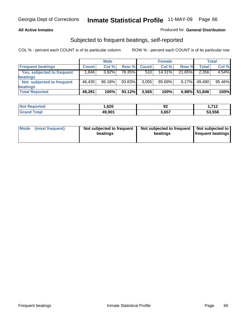## **All Active Inmates**

## Produced for **General Distribution**

## Subjected to frequent beatings, self-reported

|                                   |              | <b>Male</b> |        |              | <b>Female</b> |        |        | Total  |
|-----------------------------------|--------------|-------------|--------|--------------|---------------|--------|--------|--------|
| <b>Frequent beatings</b>          | <b>Count</b> | Col%        | Row %  | <b>Count</b> | Col%          | Row %  | Total  | Col %  |
| <b>Yes, subjected to frequent</b> | ا 846.1      | 3.82%       | 78.35% | 510          | $14.31\%$     | 21.65% | 2,356  | 4.54%  |
| beatings                          |              |             |        |              |               |        |        |        |
| Not subjected to frequent         | 46.435       | 96.18%      | 93.83% | 3,055        | 85.69%        | 6.17%  | 49,490 | 95.46% |
| beatings                          |              |             |        |              |               |        |        |        |
| <b>Total Reported</b>             | 48,281       | 100%        | 93.12% | 3,565        | 100%          | 6.88%  | 51,846 | 100%   |

| <b>orted</b> | .,620  | n,   | <b>740</b> |
|--------------|--------|------|------------|
| NO.          |        | ୬∠   |            |
| int<br>. Gr  | 49.901 | 3657 | 53,558     |

| <b>Mode</b><br>(most frequent) | Not subjected to frequent<br>beatings | Not subjected to frequent   Not subjected to  <br>beatings | <b>frequent beatings</b> |  |
|--------------------------------|---------------------------------------|------------------------------------------------------------|--------------------------|--|
|                                |                                       |                                                            |                          |  |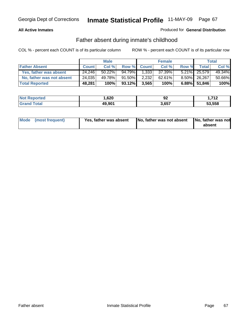## **All Active Inmates**

## Produced for **General Distribution**

## Father absent during inmate's childhood

|                           |              | <b>Male</b> |           |              | <b>Female</b> |       |              | <b>Total</b> |
|---------------------------|--------------|-------------|-----------|--------------|---------------|-------|--------------|--------------|
| <b>Father Absent</b>      | <b>Count</b> | Col %       | Row %     | <b>Count</b> | Col %         | Row % | Total        | Col %        |
| Yes, father was absent    | 24.246       | $50.22\%$   | $94.79\%$ | 1,333        | 37.39%        |       | 5.21% 25,579 | 49.34%       |
| No, father was not absent | 24,035       | 49.78%      | 91.50%    | 2,232        | 62.61%        |       | 8.50% 26,267 | 50.66%       |
| <b>Total Reported</b>     | 48,281       | 100%        | 93.12%    | 3,565        | 100%          |       | 6.88% 51,846 | 100%         |

| <b>Not Reported</b> | ,620   | ୬∠    | - 74 2<br>-14 |
|---------------------|--------|-------|---------------|
| <b>Grand Total</b>  | 49,901 | 3,657 | 53.558        |

| Mode (most frequent) | Yes, father was absent | No, father was not absent No, father was not | absent |
|----------------------|------------------------|----------------------------------------------|--------|
|                      |                        |                                              |        |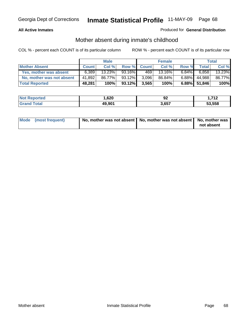## **All Active Inmates**

## Produced for **General Distribution**

# Mother absent during inmate's childhood

|                           |              | <b>Male</b> |           |              | <b>Female</b> |          |              | <b>Total</b> |
|---------------------------|--------------|-------------|-----------|--------------|---------------|----------|--------------|--------------|
| <b>Mother Absent</b>      | <b>Count</b> | Col %       | Row %     | <b>Count</b> | Col %         | Row %    | Total        | Col %        |
| Yes, mother was absent    | 6,389        | 13.23%      | 93.16%    | 4691         | 13.16%        | $6.84\%$ | 6.858        | 13.23%       |
| No, mother was not absent | 41,892       | 86.77%      | $93.12\%$ | 3,096        | 86.84%        | $6.88\%$ | 44,988       | 86.77%       |
| <b>Total Reported</b>     | 48,281       | 100%        | 93.12%    | 3,565        | 100%          |          | 6.88% 51,846 | 100%         |

| <b>Not Reported</b> | ,620   | ୬∠    | - 74 2<br>14 |
|---------------------|--------|-------|--------------|
| <b>Tota</b>         | 49,901 | 3.657 | 53.558       |

| Mode (most frequent) | No, mother was not absent   No, mother was not absent   No, mother was | not absent |
|----------------------|------------------------------------------------------------------------|------------|
|----------------------|------------------------------------------------------------------------|------------|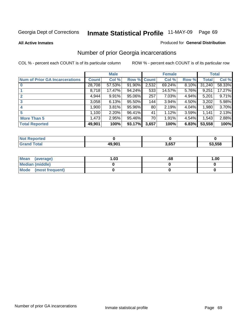**All Active Inmates**

## Produced for **General Distribution**

# Number of prior Georgia incarcerations

|                                       |              | <b>Male</b> |                    |       | <b>Female</b> |       |        | <b>Total</b> |
|---------------------------------------|--------------|-------------|--------------------|-------|---------------|-------|--------|--------------|
| <b>Num of Prior GA Incarcerations</b> | <b>Count</b> | Col %       | <b>Row % Count</b> |       | Col %         | Row % | Total  | Col %        |
| $\bf{0}$                              | 28,708       | 57.53%      | 91.90%             | 2,532 | 69.24%        | 8.10% | 31,240 | 58.33%       |
|                                       | 8,718        | 17.47%      | 94.24%             | 533   | 14.57%        | 5.76% | 9,251  | 17.27%       |
|                                       | 4,944        | 9.91%       | 95.06%             | 257   | 7.03%         | 4.94% | 5,201  | 9.71%        |
| 3                                     | 3,058        | 6.13%       | 95.50%             | 144   | 3.94%         | 4.50% | 3,202  | 5.98%        |
|                                       | 1,900        | 3.81%       | 95.96%             | 80    | 2.19%         | 4.04% | 1,980  | 3.70%        |
| 5                                     | 1,100        | 2.20%       | 96.41%             | 41    | 1.12%         | 3.59% | 1,141  | 2.13%        |
| <b>More Than 5</b>                    | 1,473        | 2.95%       | 95.46%             | 70 l  | 1.91%         | 4.54% | 1,543  | 2.88%        |
| <b>Total Reported</b>                 | 49,901       | 100%        | 93.17%             | 3,657 | 100%          | 6.83% | 53,558 | 100%         |

| orted<br>NO         |        |       |        |
|---------------------|--------|-------|--------|
| <b>otal</b><br>. Gr | 49.901 | 3,657 | 53,558 |

| Mean (average)       | l.O3 | .00 | 1.00 |
|----------------------|------|-----|------|
| Median (middle)      |      |     |      |
| Mode (most frequent) |      |     |      |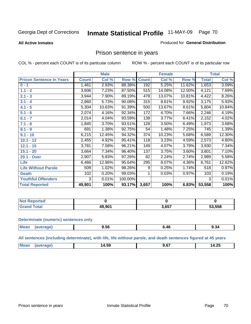**All Active Inmates**

### Produced for **General Distribution**

## Prison sentence in years

COL % - percent each COUNT is of its particular column ROW % - percent each COUNT is of its particular row

|                                 |              | <b>Male</b> |         |              | <b>Female</b> |        |              | <b>Total</b> |
|---------------------------------|--------------|-------------|---------|--------------|---------------|--------|--------------|--------------|
| <b>Prison Sentence In Years</b> | <b>Count</b> | Col %       | Row %   | <b>Count</b> | Col %         | Row %  | <b>Total</b> | Col %        |
| $0 - 1$                         | 1,461        | 2.93%       | 88.38%  | 192          | 5.25%         | 11.62% | 1,653        | 3.09%        |
| $1.1 - 2$                       | 3,606        | 7.23%       | 87.50%  | 515          | 14.08%        | 12.50% | 4,121        | 7.69%        |
| $2.1 - 3$                       | 3,944        | 7.90%       | 89.19%  | 478          | 13.07%        | 10.81% | 4,422        | 8.26%        |
| $3.1 - 4$                       | 2,860        | 5.73%       | 90.08%  | 315          | 8.61%         | 9.92%  | 3,175        | 5.93%        |
| $4.1 - 5$                       | 5,304        | 10.63%      | 91.39%  | 500          | 13.67%        | 8.61%  | 5,804        | 10.84%       |
| $5.1 - 6$                       | 2,074        | 4.16%       | 92.34%  | 172          | 4.70%         | 7.66%  | 2,246        | 4.19%        |
| $6.1 - 7$                       | 2,014        | 4.04%       | 93.59%  | 138          | 3.77%         | 6.41%  | 2,152        | 4.02%        |
| $7.1 - 8$                       | 1,845        | 3.70%       | 93.51%  | 128          | 3.50%         | 6.49%  | 1,973        | 3.68%        |
| $8.1 - 9$                       | 691          | 1.38%       | 92.75%  | 54           | 1.48%         | 7.25%  | 745          | 1.39%        |
| $9.1 - 10$                      | 6,215        | 12.45%      | 94.32%  | 374          | 10.23%        | 5.68%  | 6,589        | 12.30%       |
| $10.1 - 12$                     | 2,455        | 4.92%       | 95.41%  | 118          | 3.23%         | 4.59%  | 2,573        | 4.80%        |
| $12.1 - 15$                     | 3,781        | 7.58%       | 96.21%  | 149          | 4.07%         | 3.79%  | 3,930        | 7.34%        |
| $15.1 - 20$                     | 3,664        | 7.34%       | 96.40%  | 137          | 3.75%         | 3.60%  | 3,801        | 7.10%        |
| 20.1 - Over                     | 2,907        | 5.83%       | 97.26%  | 82           | 2.24%         | 2.74%  | 2,989        | 5.58%        |
| <b>Life</b>                     | 6,466        | 12.96%      | 95.64%  | 295          | 8.07%         | 4.36%  | 6,761        | 12.62%       |
| <b>Life Without Parole</b>      | 509          | 1.02%       | 98.26%  | 9            | 0.25%         | 1.74%  | 518          | 0.97%        |
| <b>Death</b>                    | 102          | 0.20%       | 99.03%  |              | 0.03%         | 0.97%  | 103          | 0.19%        |
| <b>Youthful Offenders</b>       | 3            | 0.01%       | 100.00% |              |               |        | 3            | 0.01%        |
| <b>Total Reported</b>           | 49,901       | 100%        | 93.17%  | 3,657        | 100%          | 6.83%  | 53,558       | 100%         |

| <b>Not Reported</b> |        |       |        |
|---------------------|--------|-------|--------|
| Гоtal               | 19.901 | 3,657 | 53,558 |

### **Determinate (numeric) sentences only**

| Mear<br>$\cdots$ | ane | 9.36<br>_____ | 40<br>____ | -<br>9.34 |
|------------------|-----|---------------|------------|-----------|
|                  |     |               |            |           |

**All sentences (including determinate), with life, life without parole, and death sentences figured at 45 years**

| <b>Mea</b><br>.<br>14.59<br>$-$<br>,,,<br>1л<br>.<br>1119811<br>___<br>___ |
|----------------------------------------------------------------------------|
|----------------------------------------------------------------------------|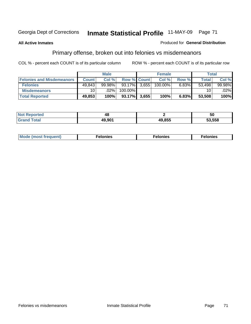## **All Active Inmates**

## Produced for **General Distribution**

# Primary offense, broken out into felonies vs misdemeanors

|                                  | <b>Male</b>  |           |                    | <b>Female</b> |         |       | Total        |           |
|----------------------------------|--------------|-----------|--------------------|---------------|---------|-------|--------------|-----------|
| <b>Felonies and Misdemeanors</b> | <b>Count</b> | Col %     | <b>Row % Count</b> |               | Col%    | Row % | <b>Total</b> | Col %     |
| <b>Felonies</b>                  | 49,843       | $99.98\%$ | $93.17\%$          | 3.655         | 100.00% | 6.83% | 53.498       | $99.98\%$ |
| <b>Misdemeanors</b>              | 10 I         | $.02\%$   | 100.00%            |               |         |       | 10           | .02%      |
| <b>Total Reported</b>            | 49,853       | 100%      | 93.17%             | 3,655         | 100%    | 6.83% | 53,508       | 100%      |

| ted.<br>NO<br>⋯ | 4۵     |        | วบ     |
|-----------------|--------|--------|--------|
|                 | 19 9N1 | 49.855 | 53.558 |

| Mode (most frequent) | elonies | elonies | onies<br>-е к |
|----------------------|---------|---------|---------------|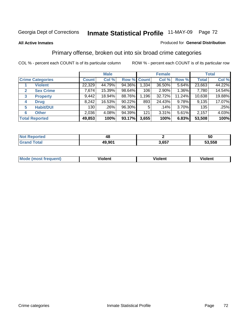## **All Active Inmates**

## Produced for **General Distribution**

# Primary offense, broken out into six broad crime categories

|                                  |              | <b>Male</b> |             |       | <b>Female</b> |          |              | <b>Total</b> |
|----------------------------------|--------------|-------------|-------------|-------|---------------|----------|--------------|--------------|
| <b>Crime Categories</b>          | <b>Count</b> | Col %       | Row % Count |       | Col %         | Row %    | <b>Total</b> | Col %        |
| <b>Violent</b>                   | 22,329       | 44.79%      | 94.36%      | 1,334 | 36.50%        | 5.64%    | 23,663       | 44.22%       |
| <b>Sex Crime</b><br>$\mathbf{2}$ | 7,674        | 15.39%      | 98.64%      | 106   | 2.90%         | 1.36%    | 7,780        | 14.54%       |
| $\mathbf{3}$<br><b>Property</b>  | 9,442        | 18.94%      | 88.76%      | 1,196 | 32.72%        | 11.24%   | 10,638       | 19.88%       |
| <b>Drug</b><br>4                 | 8,242        | 16.53%      | $90.22\%$   | 893   | 24.43%        | 9.78%    | 9,135        | 17.07%       |
| <b>Habit/DUI</b><br>5            | 130          | .26%        | 96.30%      | 5     | .14%          | $3.70\%$ | 135          | .25%         |
| <b>Other</b><br>6                | 2,036        | 4.08%       | 94.39%      | 121   | 3.31%         | 5.61%    | 2,157        | 4.03%        |
| <b>Total Reported</b>            | 49,853       | 100%        | 93.17%      | 3,655 | 100%          | 6.83%    | 53,508       | 100%         |

| orted<br>NO | ™      |       | วบ     |  |
|-------------|--------|-------|--------|--|
| $\sim$ 40   | 49,901 | 3,657 | 53.558 |  |

| <b>Mou</b> | .<br>วient | วlent | ent |
|------------|------------|-------|-----|
|            |            |       |     |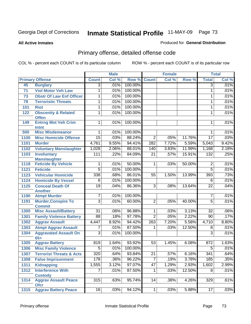#### **All Active Inmates**

### Produced for **General Distribution**

# Primary offense, detailed offense code

|      |                                                         | <b>Male</b>     |       | <b>Female</b> |                 |       | <b>Total</b> |                  |       |
|------|---------------------------------------------------------|-----------------|-------|---------------|-----------------|-------|--------------|------------------|-------|
|      | <b>Primary Offense</b>                                  | <b>Count</b>    | Col % | Row %         | <b>Count</b>    | Col % | Row %        | <b>Total</b>     | Col % |
| 45   | <b>Burglary</b>                                         | $\overline{3}$  | .01%  | 100.00%       |                 |       |              | $\overline{3}$   | .01%  |
| 71   | <b>Viol Motor Veh Law</b>                               | 1               | .01%  | 100.00%       |                 |       |              | $\mathbf{1}$     | .01%  |
| 73   | <b>Obstr Of Law Enf Officer</b>                         | 1               | .01%  | 100.00%       |                 |       |              | 1                | .01%  |
| 78   | <b>Terroristic Threats</b>                              | 1               | .01%  | 100.00%       |                 |       |              | 1                | .01%  |
| 101  | <b>Riot</b>                                             | $\overline{1}$  | .01%  | 100.00%       |                 |       |              | $\mathbf{1}$     | .01%  |
| 122  | <b>Obscenity &amp; Related</b>                          | 1               | .01%  | 100.00%       |                 |       |              | 1                | .01%  |
|      | <b>Offen</b>                                            |                 |       |               |                 |       |              |                  |       |
| 149  | <b>Entrng Mot Veh Crim</b><br><b>Intnt</b>              | 1               | .01%  | 100.00%       |                 |       |              | 1                | .01%  |
| 500  | <b>Misc Misdemeanor</b>                                 | 1               | .01%  | 100.00%       |                 |       |              | 1                | .01%  |
| 1100 | <b>Misc Homicide Offense</b>                            | $\overline{15}$ | .03%  | 88.24%        | $\overline{2}$  | .05%  | 11.76%       | $\overline{17}$  | .03%  |
| 1101 | <b>Murder</b>                                           | 4,761           | 9.55% | 94.41%        | 282             | 7.72% | 5.59%        | 5,043            | 9.42% |
| 1102 | <b>Voluntary Manslaughter</b>                           | 1,028           | 2.06% | 88.01%        | 140             | 3.83% | 11.99%       | 1,168            | 2.18% |
| 1103 | <b>Involuntary</b>                                      | 111             | .22%  | 84.09%        | 21              | .57%  | 15.91%       | 132              | .25%  |
|      | <b>Manslaughter</b>                                     |                 |       |               |                 |       |              |                  |       |
| 1118 | <b>Feticide By Vehicle</b>                              | 1               | .01%  | 50.00%        | $\mathbf 1$     | .03%  | 50.00%       | 2                | .01%  |
| 1121 | <b>Feticide</b>                                         | $\overline{5}$  | .01%  | 100.00%       |                 |       |              | $\overline{5}$   | .01%  |
| 1123 | <b>Vehicular Homicide</b>                               | 338             | .68%  | 86.01%        | 55              | 1.50% | 13.99%       | 393              | .73%  |
| 1124 | <b>Homicide By Vessel</b>                               | $\overline{6}$  | .01%  | 100.00%       |                 |       |              | $\overline{6}$   | .01%  |
| 1125 | <b>Conceal Death Of</b>                                 | $\overline{19}$ | .04%  | 86.36%        | $\overline{3}$  | .08%  | 13.64%       | $\overline{22}$  | .04%  |
|      | <b>Another</b>                                          |                 |       |               |                 |       |              |                  |       |
| 1190 | <b>Atmpt Murder</b>                                     | $\overline{7}$  | .01%  | 100.00%       |                 |       |              | 7                | .01%  |
| 1191 | <b>Murder, Conspire To</b>                              | $\overline{3}$  | .01%  | 60.00%        | $\overline{2}$  | .05%  | 40.00%       | 5                | .01%  |
| 1300 | <b>Commit</b>                                           | $\overline{31}$ | .06%  | 96.88%        | $\mathbf 1$     | .03%  | 3.13%        | $\overline{32}$  | .06%  |
| 1301 | <b>Misc Assault/Battery</b>                             | $\overline{88}$ | .18%  | 97.78%        | $\overline{2}$  | .05%  | 2.22%        | 90               | .17%  |
| 1302 | <b>Family Violence Battery</b><br><b>Aggrav Assault</b> | 4,447           | 8.92% | 94.42%        | 263             | 7.20% | 5.58%        | 4,710            | 8.80% |
| 1303 |                                                         | 7               | .01%  | 87.50%        | 1               | .03%  | 12.50%       | $\overline{8}$   | .01%  |
|      | <b>Atmpt Aggrav Assault</b>                             | $\overline{3}$  | .01%  | 100.00%       |                 |       |              | 3                | .01%  |
| 1304 | <b>Aggravated Assault On</b><br>$65+$                   |                 |       |               |                 |       |              |                  |       |
| 1305 | <b>Aggrav Battery</b>                                   | 819             | 1.64% | 93.92%        | $\overline{53}$ | 1.45% | 6.08%        | 872              | 1.63% |
| 1306 | <b>Misc Family Violence</b>                             | $\overline{5}$  | .01%  | 100.00%       |                 |       |              | $\overline{5}$   | .01%  |
| 1307 | <b>Terrorist Threats &amp; Acts</b>                     | 320             | .64%  | 93.84%        | $\overline{21}$ | .57%  | 6.16%        | $\overline{341}$ | .64%  |
| 1308 | <b>False Imprisonment</b>                               | 178             | .36%  | 96.22%        | $\overline{7}$  | .19%  | 3.78%        | 185              | .35%  |
| 1311 | <b>Kidnapping</b>                                       | 1,555           | 3.12% | 97.07%        | 47              | 1.29% | 2.93%        | 1,602            | 2.99% |
| 1312 | <b>Interference With</b>                                | $\overline{7}$  | .01%  | 87.50%        | $\overline{1}$  | .03%  | 12.50%       | $\overline{8}$   | .01%  |
|      | <b>Custody</b>                                          |                 |       |               |                 |       |              |                  |       |
| 1314 | <b>Aggrav Assault Peace</b>                             | 315             | .63%  | 95.74%        | 14              | .38%  | 4.26%        | 329              | .61%  |
| 1315 | <b>Ofcr</b><br><b>Aggrav Battery Peace</b>              | 16              | .03%  | 94.12%        | 1               | .03%  | 5.88%        | 17               | .03%  |
|      |                                                         |                 |       |               |                 |       |              |                  |       |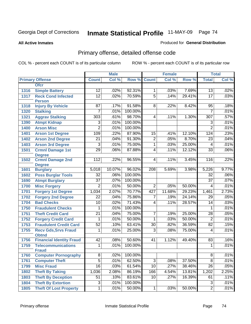#### **All Active Inmates**

### Produced for **General Distribution**

# Primary offense, detailed offense code

|      |                                                             |                 | <b>Male</b> |                 |                 | <b>Female</b> |        |                          | <b>Total</b> |
|------|-------------------------------------------------------------|-----------------|-------------|-----------------|-----------------|---------------|--------|--------------------------|--------------|
|      | <b>Primary Offense</b>                                      | <b>Count</b>    | Col %       | Row %           | <b>Count</b>    | Col %         | Row %  | <b>Total</b>             | Col %        |
|      | <b>Ofcr</b>                                                 |                 |             |                 |                 |               |        |                          |              |
| 1316 | <b>Simple Battery</b>                                       | $\overline{12}$ | .02%        | 92.31%          | $\mathbf 1$     | .03%          | 7.69%  | 13                       | .02%         |
| 1317 | <b>Reck Cond Infected</b>                                   | $\overline{12}$ | .02%        | 70.59%          | $\overline{5}$  | .14%          | 29.41% | $\overline{17}$          | .03%         |
|      | <b>Person</b>                                               |                 |             |                 |                 |               |        |                          |              |
| 1318 | <b>Injury By Vehicle</b>                                    | 87              | .17%        | 91.58%          | 8               | .22%          | 8.42%  | 95                       | .18%         |
| 1320 | <b>Stalking</b>                                             | 7               | .01%        | 100.00%         |                 |               |        | 7                        | .01%         |
| 1321 | <b>Aggrav Stalking</b>                                      | 303             | .61%        | 98.70%          | 4               | .11%          | 1.30%  | 307                      | .57%         |
| 1390 | <b>Atmpt Kidnap</b>                                         | 3               | .01%        | 100.00%         |                 |               |        | 3                        | .01%         |
| 1400 | <b>Arson Misc</b>                                           | $\overline{2}$  | .01%        | 100.00%         |                 |               |        | $\overline{2}$           | .01%         |
| 1401 | <b>Arson 1st Degree</b>                                     | 109             | .22%        | 87.90%          | 15              | .41%          | 12.10% | 124                      | .23%         |
| 1402 | <b>Arson 2nd Degree</b>                                     | $\overline{21}$ | .04%        | 91.30%          | $\overline{2}$  | .05%          | 8.70%  | 23                       | .04%         |
| 1403 | <b>Arson 3rd Degree</b>                                     | 3               | .01%        | 75.00%          | $\overline{1}$  | .03%          | 25.00% | $\overline{\mathcal{A}}$ | .01%         |
| 1501 | <b>Crmnl Damage 1st</b>                                     | $\overline{29}$ | .06%        | 87.88%          | $\overline{4}$  | .11%          | 12.12% | $\overline{33}$          | .06%         |
|      | <b>Degree</b>                                               |                 |             |                 |                 |               |        |                          |              |
| 1502 | <b>Crmnl Damage 2nd</b>                                     | 112             | .22%        | 96.55%          | 4               | .11%          | 3.45%  | 116                      | .22%         |
| 1601 | <b>Degree</b><br><b>Burglary</b>                            | 5,018           | 10.07%      | 96.02%          | 208             | 5.69%         | 3.98%  | 5,226                    | 9.77%        |
| 1602 | <b>Poss Burglar Tools</b>                                   | $\overline{32}$ | .06%        | 100.00%         |                 |               |        | 32                       | $.06\%$      |
| 1690 | <b>Atmpt Burglary</b>                                       | $\overline{37}$ | .07%        | 100.00%         |                 |               |        | $\overline{37}$          | .07%         |
| 1700 | <b>Misc Forgery</b>                                         | $\overline{2}$  | .01%        | 50.00%          | $\overline{2}$  | .05%          | 50.00% | $\overline{4}$           | .01%         |
| 1701 | <b>Forgery 1st Degree</b>                                   | 1,034           | 2.07%       | 70.77%          | 427             | 11.68%        | 29.23% | 1,461                    | 2.73%        |
| 1702 | <b>Forgery 2nd Degree</b>                                   | $\overline{22}$ | .04%        | 75.86%          | 7               | .19%          | 24.14% | 29                       | .05%         |
| 1704 | <b>Bad Checks</b>                                           | $\overline{10}$ | .02%        | 71.43%          | 4               | .11%          | 28.57% | 14                       | .03%         |
| 1750 | <b>Fraudulent Checks</b>                                    | $\mathbf{1}$    | .01%        | 100.00%         |                 |               |        | 1                        | .01%         |
| 1751 | <b>Theft Credit Card</b>                                    | $\overline{21}$ | .04%        | 75.00%          | $\overline{7}$  | .19%          | 25.00% | $\overline{28}$          | .05%         |
| 1752 |                                                             | 1               | .01%        | 50.00%          | 1               | .03%          | 50.00% | $\overline{2}$           | .01%         |
| 1753 | <b>Forgery Credit Card</b><br><b>Fraudulent Credit Card</b> | 52              | .10%        | 63.41%          | $\overline{30}$ | .82%          | 36.59% | $\overline{82}$          | .15%         |
| 1755 |                                                             | 1               | .01%        | 25.00%          | $\overline{3}$  | .08%          | 75.00% | 4                        | .01%         |
|      | <b>Recv Gds, Srvs Fraud</b><br><b>Obtnd</b>                 |                 |             |                 |                 |               |        |                          |              |
| 1756 | <b>Financial Identity Fraud</b>                             | $\overline{42}$ | .08%        | 50.60%          | 41              | 1.12%         | 49.40% | 83                       | .16%         |
| 1759 | <b>Telecommunications</b>                                   | 1               | .01%        | 100.00%         |                 |               |        | 1                        | .01%         |
|      | <b>Fraud</b>                                                |                 |             |                 |                 |               |        |                          |              |
| 1760 | <b>Computer Pornography</b>                                 | $\overline{8}$  |             | $.02\%$ 100.00% |                 |               |        | $\overline{8}$           | .01%         |
| 1761 | <b>Computer Theft</b>                                       | $\overline{5}$  | .01%        | 62.50%          | $\overline{3}$  | .08%          | 37.50% | $\overline{8}$           | .01%         |
| 1799 | <b>Misc Fraud</b>                                           | $\overline{16}$ | .03%        | 61.54%          | 10              | .27%          | 38.46% | $\overline{26}$          | .05%         |
| 1802 | <b>Theft By Taking</b>                                      | 1,036           | 2.08%       | 86.19%          | 166             | 4.54%         | 13.81% | 1,202                    | 2.25%        |
| 1803 | <b>Theft By Deception</b>                                   | $\overline{51}$ | .10%        | 83.61%          | 10              | .27%          | 16.39% | 61                       | .11%         |
| 1804 | <b>Theft By Extortion</b>                                   | 3               | .01%        | 100.00%         |                 |               |        | 3                        | .01%         |
| 1805 | <b>Theft Of Lost Property</b>                               | $\overline{1}$  | .01%        | 50.00%          | $\mathbf{1}$    | .03%          | 50.00% | $\overline{2}$           | .01%         |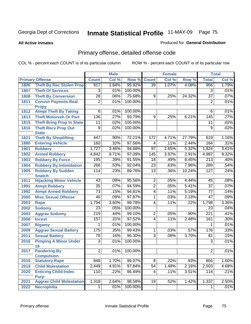**All Active Inmates**

### Produced for **General Distribution**

# Primary offense, detailed offense code

|      |                                            |                 | <b>Male</b> |         |                 | <b>Female</b> |        |                 | <b>Total</b> |
|------|--------------------------------------------|-----------------|-------------|---------|-----------------|---------------|--------|-----------------|--------------|
|      | <b>Primary Offense</b>                     | <b>Count</b>    | Col %       | Row %   | <b>Count</b>    | Col %         | Row %  | <b>Total</b>    | Col %        |
| 1806 | <b>Theft By Rec Stolen Prop</b>            | 917             | 1.84%       | 95.92%  | $\overline{39}$ | 1.07%         | 4.08%  | 956             | 1.79%        |
| 1807 | <b>Theft Of Services</b>                   | 3               | .01%        | 100.00% |                 |               |        | 3               | .01%         |
| 1808 | <b>Theft By Conversion</b>                 | $\overline{28}$ | .06%        | 75.68%  | $\overline{9}$  | .25%          | 24.32% | $\overline{37}$ | .07%         |
| 1811 | <b>Convsn Paymnts Real</b>                 | $\overline{2}$  | .01%        | 100.00% |                 |               |        | $\overline{2}$  | .01%         |
|      | <b>Propy</b>                               |                 |             |         |                 |               |        |                 |              |
| 1812 | <b>Atmpt Theft By Taking</b>               | $\overline{6}$  | .01%        | 100.00% |                 |               |        | 6               | .01%         |
| 1813 | <b>Theft Motorveh Or Part</b>              | 136             | .27%        | 93.79%  | $\overline{9}$  | .25%          | 6.21%  | 145             | .27%         |
| 1815 | <b>Theft Bring Prop In State</b>           | 11              | .02%        | 100.00% |                 |               |        | 11              | .02%         |
| 1816 | <b>Theft Recv Prop Out</b><br><b>State</b> | $\overline{9}$  | .02%        | 100.00% |                 |               |        | 9               | .02%         |
| 1821 | <b>Theft By Shoplifting</b>                | 447             | .90%        | 72.21%  | 172             | 4.71%         | 27.79% | 619             | 1.16%        |
| 1880 | <b>Entering Vehicle</b>                    | 160             | .32%        | 97.56%  | 4               | .11%          | 2.44%  | 164             | .31%         |
| 1901 | <b>Robbery</b>                             | 1,727           | 3.46%       | 94.68%  | 97              | 2.65%         | 5.32%  | 1,824           | 3.41%        |
| 1902 | <b>Armed Robbery</b>                       | 4,842           | 9.71%       | 97.09%  | 145             | 3.97%         | 2.91%  | 4,987           | 9.32%        |
| 1903 | <b>Robbery By Force</b>                    | 195             | .39%        | 91.55%  | $\overline{18}$ | .49%          | 8.45%  | 213             | .40%         |
| 1904 | <b>Robbery By Intimidation</b>             | 266             | .53%        | 92.04%  | $\overline{23}$ | .63%          | 7.96%  | 289             | .54%         |
| 1905 | <b>Robbery By Sudden</b>                   | 114             | .23%        | 89.76%  | $\overline{13}$ | .36%          | 10.24% | 127             | .24%         |
|      | <b>Snatch</b>                              |                 |             |         |                 |               |        |                 |              |
| 1911 | <b>Hijacking Motor Vehicle</b>             | $\overline{43}$ | .09%        | 95.56%  | $\overline{2}$  | .05%          | 4.44%  | 45              | .08%         |
| 1991 | <b>Atmpt Robbery</b>                       | $\overline{35}$ | .07%        | 94.59%  | $\overline{2}$  | .05%          | 5.41%  | $\overline{37}$ | .07%         |
| 1992 | <b>Atmpt Armed Robbery</b>                 | $\overline{73}$ | .15%        | 94.81%  | $\overline{4}$  | .11%          | 5.19%  | $\overline{77}$ | .14%         |
| 2000 | <b>Misc Sexual Offense</b>                 | 46              | .09%        | 97.87%  | 1               | .03%          | 2.13%  | 47              | .09%         |
| 2001 | Rape                                       | 1,794           | 3.60%       | 99.78%  | $\overline{4}$  | .11%          | .22%   | 1,798           | 3.36%        |
| 2002 | <b>Sodomy</b>                              | $\overline{23}$ | .05%        | 100.00% |                 |               |        | $\overline{23}$ | .04%         |
| 2003 | <b>Aggrav Sodomy</b>                       | 219             | .44%        | 99.10%  | $\overline{2}$  | .05%          | .90%   | 221             | .41%         |
| 2006 | <b>Incest</b>                              | 157             | .31%        | 97.52%  | $\overline{4}$  | .11%          | 2.48%  | 161             | .30%         |
| 2007 | <b>Bigamy</b>                              | 1               | .01%        | 100.00% |                 |               |        | 1               | .01%         |
| 2009 | <b>Aggrav Sexual Battery</b>               | 175             | .35%        | 99.43%  | $\mathbf{1}$    | .03%          | .57%   | 176             | .33%         |
| 2011 | <b>Sexual Battery</b>                      | 78              | .16%        | 96.30%  | $\overline{3}$  | .08%          | 3.70%  | 81              | .15%         |
| 2016 | <b>Pimping A Minor Under</b><br>18         | $\overline{3}$  | .01%        | 100.00% |                 |               |        | $\overline{3}$  | .01%         |
| 2017 | <b>Pandering By</b>                        | $\overline{2}$  | .01%        | 100.00% |                 |               |        | $\overline{c}$  | .01%         |
|      | <b>Compulsion</b>                          |                 |             |         |                 |               |        |                 |              |
| 2018 | <b>Statutory Rape</b>                      | 848             | 1.70%       | 99.07%  | $\infty$        | .22%          | .93%   | 856             | 1.60%        |
| 2019 | <b>Child Molestation</b>                   | 2,449           | 4.91%       | 97.84%  | 54              | 1.48%         | 2.16%  | 2,503           | 4.68%        |
| 2020 | <b>Enticing Child-Indec</b>                | 110             | .22%        | 96.49%  | 4               | .11%          | 3.51%  | 114             | .21%         |
|      | <b>Purp</b>                                |                 |             |         |                 |               |        |                 |              |
| 2021 | <b>Aggrav Child Molestation</b>            | 1,318           | 2.64%       | 98.58%  | 19              | .52%          | 1.42%  | 1,337           | 2.50%        |
| 2022 | <b>Necrophilia</b>                         | $\mathbf{1}$    | .01%        | 100.00% |                 |               |        | 1               | .01%         |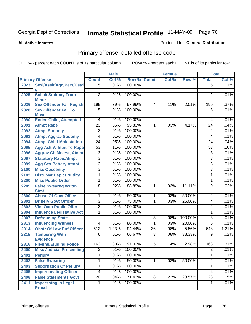**All Active Inmates**

#### Produced for **General Distribution**

# Primary offense, detailed offense code

|      |                                            |                 | <b>Male</b> |         |                 | <b>Female</b> |         |                 | <b>Total</b> |
|------|--------------------------------------------|-----------------|-------------|---------|-----------------|---------------|---------|-----------------|--------------|
|      | <b>Primary Offense</b>                     | <b>Count</b>    | Col %       | Row %   | <b>Count</b>    | Col %         | Row %   | <b>Total</b>    | Col %        |
| 2023 | Sexl/Asslt/Agn/Pers/Cstd                   | $\overline{5}$  | .01%        | 100.00% |                 |               |         | $\overline{5}$  | .01%         |
| 2025 | <b>Solicit Sodomy From</b><br><b>Minor</b> | $\overline{2}$  | .01%        | 100.00% |                 |               |         | 2               | .01%         |
| 2026 | <b>Sex Offender Fail Registr</b>           | 195             | .39%        | 97.99%  | 4               | .11%          | 2.01%   | 199             | .37%         |
| 2028 | <b>Sex Offender Fail To</b><br><b>Move</b> | $\overline{5}$  | .01%        | 100.00% |                 |               |         | 5               | .01%         |
| 2090 | <b>Entice Child, Attempted</b>             | 4               | .01%        | 100.00% |                 |               |         | 4               | .01%         |
| 2091 | <b>Atmpt Rape</b>                          | $\overline{23}$ | .05%        | 95.83%  | 1               | .03%          | 4.17%   | $\overline{24}$ | .04%         |
| 2092 | <b>Atmpt Sodomy</b>                        | 2               | .01%        | 100.00% |                 |               |         | 2               | .01%         |
| 2093 | <b>Atmpt Aggrav Sodomy</b>                 | $\overline{4}$  | .01%        | 100.00% |                 |               |         | 4               | .01%         |
| 2094 | <b>Atmpt Child Molestation</b>             | $\overline{24}$ | .05%        | 100.00% |                 |               |         | $\overline{24}$ | .04%         |
| 2095 | <b>Agg Aslt W Intnt To Rape</b>            | $\overline{53}$ | .11%        | 100.00% |                 |               |         | $\overline{53}$ | .10%         |
| 2096 | <b>Aggrav Ch Molest, Atmpt</b>             | $\overline{3}$  | .01%        | 100.00% |                 |               |         | 3               | .01%         |
| 2097 | <b>Statutory Rape, Atmpt</b>               | $\overline{3}$  | .01%        | 100.00% |                 |               |         | $\overline{3}$  | .01%         |
| 2099 | <b>Agg Sex Battery Atmpt</b>               | $\overline{3}$  | .01%        | 100.00% |                 |               |         | 3               | .01%         |
| 2100 | <b>Misc Obscenity</b>                      | $\overline{3}$  | .01%        | 100.00% |                 |               |         | $\overline{3}$  | .01%         |
| 2102 | <b>Distr Mat Depict Nudity</b>             | 1               | .01%        | 100.00% |                 |               |         | 1               | .01%         |
| 2200 | <b>Misc Public Order</b>                   | 1               | .01%        | 100.00% |                 |               |         | 1               | .01%         |
| 2205 | <b>False Swearng Writtn</b><br><b>Stmt</b> | $\overline{8}$  | .02%        | 88.89%  | 1               | .03%          | 11.11%  | 9               | .02%         |
| 2300 | <b>Abuse Of Govt Office</b>                | 1               | .01%        | 50.00%  | $\mathbf 1$     | .03%          | 50.00%  | $\overline{2}$  | .01%         |
| 2301 | <b>Bribery Govt Officer</b>                | $\overline{3}$  | .01%        | 75.00%  | 1               | .03%          | 25.00%  | 4               | .01%         |
| 2302 | <b>Viol Oath Public Offcr</b>              | $\overline{2}$  | .01%        | 100.00% |                 |               |         | $\overline{2}$  | .01%         |
| 2304 | <b>Influence Legislative Act</b>           | 1               | .01%        | 100.00% |                 |               |         | $\mathbf{1}$    | .01%         |
| 2307 | <b>Defrauding State</b>                    |                 |             |         | 3               | .08%          | 100.00% | 3               | .01%         |
| 2313 | <b>Influencing Witness</b>                 | 4               | .01%        | 80.00%  | $\mathbf{1}$    | .03%          | 20.00%  | $\overline{5}$  | .01%         |
| 2314 | <b>Obstr Of Law Enf Officer</b>            | 612             | 1.23%       | 94.44%  | $\overline{36}$ | .98%          | 5.56%   | 648             | 1.21%        |
| 2315 | <b>Tampering With</b><br><b>Evidence</b>   | 6               | .01%        | 66.67%  | $\overline{3}$  | .08%          | 33.33%  | 9               | .02%         |
| 2316 | <b>Fleeing/Eluding Police</b>              | 163             | .33%        | 97.02%  | 5               | .14%          | 2.98%   | 168             | .31%         |
| 2400 | <b>Misc Judicial Proceeding</b>            | $\overline{2}$  | .01%        | 100.00% |                 |               |         | $\overline{2}$  | .01%         |
| 2401 | <b>Perjury</b>                             | $\overline{1}$  | .01%        | 100.00% |                 |               |         | $\overline{1}$  | .01%         |
| 2402 | <b>False Swearing</b>                      | 1               | .01%        | 50.00%  | $\mathbf 1$     | .03%          | 50.00%  | $\overline{2}$  | .01%         |
| 2403 | <b>Subornation Of Perjury</b>              | 1               | .01%        | 100.00% |                 |               |         | $\mathbf{1}$    | .01%         |
| 2405 | <b>Impersonating Officer</b>               | $\overline{4}$  | .01%        | 100.00% |                 |               |         | $\overline{4}$  | .01%         |
| 2408 | <b>False Statements Govt</b>               | $\overline{20}$ | .04%        | 71.43%  | $\overline{8}$  | .22%          | 28.57%  | $\overline{28}$ | .05%         |
| 2411 | <b>Impersntng In Legal</b><br><b>Procd</b> | $\mathbf{1}$    | .01%        | 100.00% |                 |               |         | $\mathbf{1}$    | .01%         |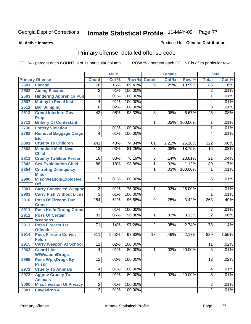**All Active Inmates**

### Produced for **General Distribution**

# Primary offense, detailed offense code

|              |                                                   |                          | <b>Male</b> |         |                 | <b>Female</b> |         |                  | <b>Total</b> |
|--------------|---------------------------------------------------|--------------------------|-------------|---------|-----------------|---------------|---------|------------------|--------------|
|              | <b>Primary Offense</b>                            | <b>Count</b>             | Col %       | Row %   | <b>Count</b>    | Col %         | Row %   | <b>Total</b>     | Col %        |
| 2501         | <b>Escape</b>                                     | 76                       | .15%        | 89.41%  | $\overline{9}$  | .25%          | 10.59%  | 85               | .16%         |
| 2502         | <b>Aiding Escape</b>                              | $\overline{2}$           | .01%        | 100.00% |                 |               |         | $\overline{2}$   | .01%         |
| 2503         | <b>Hindering Appreh Or Pun</b>                    | 1                        | .01%        | 100.00% |                 |               |         | 1                | .01%         |
| 2507         | <b>Mutiny In Penal Inst</b>                       | $\overline{4}$           | .01%        | 100.00% |                 |               |         | 4                | .01%         |
| 2511         | <b>Bail Jumping</b>                               | $\overline{8}$           | .02%        | 100.00% |                 |               |         | $\overline{8}$   | .01%         |
| 2613         | <b>Crmnl Interfere Govt</b>                       | 42                       | .08%        | 93.33%  | 3               | .08%          | 6.67%   | 45               | .08%         |
|              | <b>Prop</b>                                       |                          |             |         |                 |               |         |                  |              |
| 2711         | <b>Bribery Of Contestant</b>                      |                          |             |         | $\mathbf{1}$    | .03%          | 100.00% | 1                | .01%         |
| 2730         | <b>Lottery Violation</b>                          | 1                        | .01%        | 100.00% |                 |               |         | 1                | .01%         |
| 2761         | Removal Baggage, Cargo                            | $\overline{4}$           | .01%        | 100.00% |                 |               |         | 4                | .01%         |
|              | <b>Etc</b><br><b>Cruelty To Children</b>          | $\overline{241}$         | .48%        | 74.84%  | 81              | 2.22%         | 25.16%  | $\overline{322}$ | .60%         |
| 2801<br>2803 | <b>Manufact Meth Near</b>                         | $\overline{13}$          | .03%        | 81.25%  | $\overline{3}$  | .08%          | 18.75%  | 16               | .03%         |
|              | <b>Child</b>                                      |                          |             |         |                 |               |         |                  |              |
| 2811         | <b>Cruelty To Elder Person</b>                    | 16                       | .03%        | 76.19%  | $\overline{5}$  | .14%          | 23.81%  | $\overline{21}$  | .04%         |
| 2843         | <b>Sex Exploitation Child</b>                     | $\overline{88}$          | .18%        | 98.88%  | 1               | .03%          | 1.12%   | 89               | .17%         |
| 2854         | <b>Cntrbtng Delingency</b>                        |                          |             |         | $\mathbf 1$     | .03%          | 100.00% | 1                | .01%         |
|              | <b>Minor</b>                                      |                          |             |         |                 |               |         |                  |              |
| 2900         | <b>Misc Weapon/Explosive</b>                      | $\overline{5}$           | .01%        | 100.00% |                 |               |         | 5                | .01%         |
|              | <b>Off</b>                                        |                          |             |         |                 |               |         |                  |              |
| 2901         | <b>Carry Concealed Weapon</b>                     | $\overline{3}$           | .01%        | 75.00%  | $\mathbf{1}$    | .03%          | 25.00%  | 4                | .01%         |
| 2903         | <b>Carry Pistl Without Licns</b>                  | $\mathbf 1$              | .01%        | 100.00% |                 |               |         | 1                | .01%         |
| 2910         | <b>Poss Of Firearm Dur</b>                        | $\overline{254}$         | .51%        | 96.58%  | $\overline{9}$  | .25%          | 3.42%   | 263              | .49%         |
| 2911         | <b>Crime</b><br><b>Poss Knife During Crime</b>    | $\overline{7}$           | .01%        | 100.00% |                 |               |         | $\overline{7}$   | .01%         |
| 2912         | <b>Poss Of Certain</b>                            | $\overline{31}$          | .06%        | 96.88%  | 1               | .03%          | 3.13%   | $\overline{32}$  | .06%         |
|              | <b>Weapons</b>                                    |                          |             |         |                 |               |         |                  |              |
| 2913         | <b>Poss Firearm 1st</b>                           | $\overline{71}$          | .14%        | 97.26%  | $\overline{2}$  | .05%          | 2.74%   | 73               | .14%         |
|              | <b>Offender</b>                                   |                          |             |         |                 |               |         |                  |              |
| 2914         | <b>Poss Firearm Convct</b><br><b>Felon</b>        | 811                      | 1.63%       | 97.83%  | $\overline{18}$ | .49%          | 2.17%   | 829              | 1.55%        |
| 2915         | <b>Carry Weapon At School</b>                     | 11                       | .02%        | 100.00% |                 |               |         | 11               | .02%         |
| 2963         | <b>Guard Line</b>                                 | $\overline{\mathcal{A}}$ | .01%        | 80.00%  | $\mathbf{1}$    | .03%          | 20.00%  | $\overline{5}$   | .01%         |
|              | <b>W/Weapon/Drugs</b>                             |                          |             |         |                 |               |         |                  |              |
| 2965         | <b>Poss Wpn, Drugs By</b>                         | $\overline{12}$          | .02%        | 100.00% |                 |               |         | $\overline{12}$  | .02%         |
|              | <b>Prisnr</b>                                     |                          |             |         |                 |               |         |                  |              |
| 2971         | <b>Cruelty To Animals</b>                         | $\overline{4}$           | .01%        | 100.00% |                 |               |         | 4                | .01%         |
| 2972         | <b>Aggrav Cruelty To</b>                          | $\overline{4}$           | .01%        | 80.00%  | $\overline{1}$  | .03%          | 20.00%  | $\overline{5}$   | .01%         |
| 3000         | <b>Animals</b><br><b>Misc Invasion Of Privacy</b> | $\overline{2}$           | .01%        | 100.00% |                 |               |         | $\overline{2}$   | .01%         |
| 3001         | <b>Eavesdrop &amp;</b>                            | $\overline{2}$           | .01%        | 100.00% |                 |               |         | $\overline{2}$   | .01%         |
|              |                                                   |                          |             |         |                 |               |         |                  |              |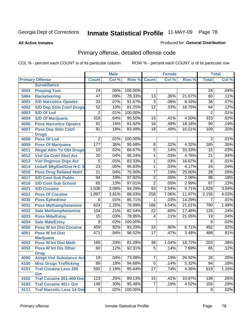**All Active Inmates**

### Produced for **General Distribution**

# Primary offense, detailed offense code

|              |                                                               |                  | <b>Male</b> |         | <b>Female</b>        |       |        | <b>Total</b>     |       |
|--------------|---------------------------------------------------------------|------------------|-------------|---------|----------------------|-------|--------|------------------|-------|
|              | <b>Primary Offense</b>                                        | <b>Count</b>     | Col %       | Row %   | <b>Count</b>         | Col % | Row %  | <b>Total</b>     | Col % |
|              | <b>Surveillance</b>                                           |                  |             |         |                      |       |        |                  |       |
| 3002         | <b>Peeping Tom</b>                                            | 24               | .05%        | 100.00% |                      |       |        | 24               | .04%  |
| 3404         | <b>Racketeering</b>                                           | 47               | .09%        | 78.33%  | $\overline{13}$      | .36%  | 21.67% | 60               | .11%  |
| 4001         | <b>S/D Narcotics Opiates</b>                                  | $\overline{33}$  | .07%        | 91.67%  | $\overline{3}$       | .08%  | 8.33%  | 36               | .07%  |
| 4002         | <b>S/D Dep Stim Cntrf Drugs</b>                               | $\overline{52}$  | .10%        | 81.25%  | $\overline{12}$      | .33%  | 18.75% | 64               | .12%  |
| 4003         | <b>S/D Of Lsd</b>                                             | $\overline{2}$   | .01%        | 100.00% |                      |       |        | $\overline{2}$   | .01%  |
| 4004         | <b>S/D Of Marijuana</b>                                       | $\overline{318}$ | .64%        | 95.50%  | 15                   | .41%  | 4.50%  | 333              | .62%  |
| 4006         | <b>Poss Narcotics Opiates</b>                                 | $\overline{81}$  | .16%        | 81.82%  | $\overline{18}$      | .49%  | 18.18% | 99               | .19%  |
| 4007         | <b>Poss Dep Stim Cntrf</b>                                    | 91               | .18%        | 83.49%  | $\overline{18}$      | .49%  | 16.51% | 109              | .20%  |
|              | <b>Drugs</b>                                                  |                  |             |         |                      |       |        |                  |       |
| 4008         | <b>Poss Of Lsd</b>                                            | $\overline{2}$   | .01%        | 100.00% |                      |       |        | $\overline{2}$   | .01%  |
| 4009         | <b>Poss Of Marijuana</b>                                      | 177              | .36%        | 95.68%  | $\overline{8}$       | .22%  | 4.32%  | 185              | .35%  |
| 4011         | <b>Illegal Attm To Obt Drugs</b>                              | $\overline{10}$  | .02%        | 66.67%  | $\overline{5}$       | .14%  | 33.33% | $\overline{15}$  | .03%  |
| 4012         | <b>Viol Ga Cntrl Sbst Act</b>                                 | $\overline{20}$  | .04%        | 95.24%  | $\overline{1}$       | .03%  | 4.76%  | $\overline{21}$  | .04%  |
| 4013         | <b>Viol Dngrous Drgs Act</b>                                  | 5                | .01%        | 83.33%  | 1                    | .03%  | 16.67% | $\overline{6}$   | .01%  |
| 4014         | <b>Uniwfl Mfg/Del/Dist N-C S</b>                              | $\overline{23}$  | .05%        | 95.83%  | $\overline{1}$       | .03%  | 4.17%  | $\overline{24}$  | .04%  |
| 4016         | <b>Poss Drug Related Matri</b>                                | $\overline{21}$  | .04%        | 75.00%  | $\overline{7}$       | .19%  | 25.00% | $\overline{28}$  | .05%  |
| 4017         | <b>S/D Cont Sub Public</b>                                    | 94               | .19%        | 97.92%  | $\overline{2}$       | .05%  | 2.08%  | 96               | .18%  |
| 4018         | <b>S/D Cont Sub School</b>                                    | 65               | .13%        | 97.01%  | $\overline{2}$       | .05%  | 2.99%  | 67               | .13%  |
| 4021         | <b>S/D Cocaine</b>                                            | 1,536            | 3.08%       | 94.29%  | $\overline{93}$      | 2.54% | 5.71%  | 1,629            | 3.04% |
| 4022         | <b>Poss Of Cocaine</b>                                        | 1,897            | 3.81%       | 88.03%  | 258                  | 7.06% | 11.97% | 2,155            | 4.03% |
| 4030         | <b>Poss Ephedrine</b>                                         | 6                | .01%        | 85.71%  | 1                    | .03%  | 14.29% | 7                | .01%  |
| 4031         | <b>Poss Methamphetamine</b>                                   | 624              | 1.25%       | 78.99%  | 166                  | 4.54% | 21.01% | 790              | 1.48% |
| 4032         | <b>Sale Methamphetamine</b>                                   | 104              | .21%        | 82.54%  | $\overline{22}$      | .60%  | 17.46% | 126              | .24%  |
| 4033         | <b>Poss Mda/Extsy</b>                                         | $\overline{15}$  | .03%        | 78.95%  | 4                    | .11%  | 21.05% | 19               | .04%  |
| 4034         | <b>Sale Mda/Extsy</b>                                         | $\overline{9}$   | .02%        | 100.00% |                      |       |        | $\overline{9}$   | .02%  |
| 4050         | <b>Poss W Int Dist Cocaine</b>                                | 459              | .92%        | 93.29%  | 33                   | .90%  | 6.71%  | 492              | .92%  |
| 4051         | <b>Poss W Int Dist</b>                                        | 471              | .94%        | 96.52%  | $\overline{17}$      | .47%  | 3.48%  | 488              | .91%  |
|              | <b>Marijuana</b>                                              |                  |             |         |                      |       |        |                  |       |
| 4052         | <b>Poss W Int Dist Meth</b>                                   | 165              | .33%        | 81.28%  | $\overline{38}$      | 1.04% | 18.72% | $\overline{203}$ | .38%  |
| 4053         | <b>Poss W Int Dis Other</b>                                   | 60               | .12%        | 92.31%  | $\overline{5}$       | .14%  | 7.69%  | 65               | .12%  |
| 4090         | <b>Drug</b><br><b>Atmpt Viol Substance Act</b>                | 19               | .04%        | 73.08%  | 7                    | .19%  | 26.92% | $\overline{26}$  | .05%  |
|              |                                                               | $\overline{89}$  | .18%        | 94.68%  |                      | .14%  | 5.32%  | 94               | .18%  |
| 4100<br>4101 | <b>Misc Drugs Trafficking</b><br><b>Traf Cocaine Less 200</b> | 592              | 1.19%       | 95.64%  | 5<br>$\overline{27}$ | .74%  | 4.36%  | 619              | 1.16% |
|              | Gm                                                            |                  |             |         |                      |       |        |                  |       |
| 4102         | Traf Cocaine 201-400 Gm                                       | 123              | .25%        | 89.13%  | 15                   | .41%  | 10.87% | 138              | .26%  |
| 4103         | <b>Traf Cocaine 401+ Gm</b>                                   | 148              | .30%        | 95.48%  | $\overline{7}$       | .19%  | 4.52%  | 155              | .29%  |
| 4111         | <b>Traf Narcotic Less 14 Gm</b>                               | 9 <sup>1</sup>   | .02%        | 100.00% |                      |       |        | 9                | .02%  |
|              |                                                               |                  |             |         |                      |       |        |                  |       |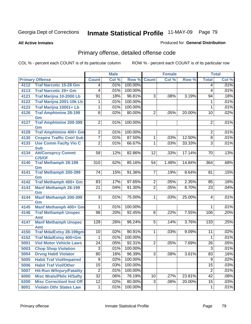**All Active Inmates**

### Produced for **General Distribution**

# Primary offense, detailed offense code

|      |                                            |                 | <b>Male</b> |         | <b>Female</b>  |       |        | <b>Total</b>    |       |
|------|--------------------------------------------|-----------------|-------------|---------|----------------|-------|--------|-----------------|-------|
|      | <b>Primary Offense</b>                     | <b>Count</b>    | Col %       | Row %   | <b>Count</b>   | Col % | Row %  | <b>Total</b>    | Col % |
| 4112 | <b>Traf Narcotic 15-28 Gm</b>              | 4               | .01%        | 100.00% |                |       |        | 4               | .01%  |
| 4113 | <b>Traf Narcotic 29+ Gm</b>                | 4               | .01%        | 100.00% |                |       |        | 4               | .01%  |
| 4121 | Traf Marijna 10-2000 Lb                    | 91              | .18%        | 96.81%  | 3              | .08%  | 3.19%  | 94              | .18%  |
| 4122 | Traf Marijna 2001-10k Lb                   | 1               | .01%        | 100.00% |                |       |        | 1               | .01%  |
| 4123 | Traf Marijna 10001+ Lb                     | 1               | .01%        | 100.00% |                |       |        | 1               | .01%  |
| 4126 | <b>Traf Amphtmine 28-199</b><br>Gm         | $\overline{8}$  | .02%        | 80.00%  | $\overline{2}$ | .05%  | 20.00% | 10              | .02%  |
| 4127 | <b>Traf Amphtmine 200-399</b><br>Gm        | $\overline{2}$  | .01%        | 100.00% |                |       |        | $\overline{2}$  | .01%  |
| 4128 | <b>Traf Amphtmine 400+ Gm</b>              | $\overline{2}$  | .01%        | 100.00% |                |       |        | $\overline{2}$  | .01%  |
| 4130 | <b>Cnspire Traffic Cntrl Sub</b>           | $\overline{7}$  | .01%        | 87.50%  | $\mathbf 1$    | .03%  | 12.50% | $\overline{8}$  | .01%  |
| 4133 | <b>Use Comm Facity Vio C</b><br><b>Sub</b> | $\overline{2}$  | .01%        | 66.67%  | $\mathbf 1$    | .03%  | 33.33% | $\overline{3}$  | .01%  |
| 4134 | <b>Att/Consprcy Commt</b><br>C/S/Of        | 58              | .12%        | 82.86%  | 12             | .33%  | 17.14% | 70              | .13%  |
| 4140 | <b>Traf Methamph 28-199</b><br>Gm          | 310             | .62%        | 85.16%  | 54             | 1.48% | 14.84% | 364             | .68%  |
| 4141 | Traf Methamph 200-399<br>Gm                | 74              | .15%        | 91.36%  | $\overline{7}$ | .19%  | 8.64%  | 81              | .15%  |
| 4142 | Traf Methamph 400+ Gm                      | 83              | .17%        | 97.65%  | $\overline{2}$ | .05%  | 2.35%  | 85              | .16%  |
| 4143 | <b>Manf Methamph 28-199</b><br>Gm          | $\overline{21}$ | .04%        | 91.30%  | $\overline{2}$ | .05%  | 8.70%  | $\overline{23}$ | .04%  |
| 4144 | <b>Manf Methamph 200-399</b><br>Gm         | 3 <sup>1</sup>  | .01%        | 75.00%  | $\mathbf 1$    | .03%  | 25.00% | 4               | .01%  |
| 4145 | <b>Manf Methamph 400+ Gm</b>               | 1               | .01%        | 100.00% |                |       |        | 1               | .01%  |
| 4146 | <b>Traf Methamph Unspec</b><br>Amt         | $\overline{98}$ | .20%        | 92.45%  | 8              | .22%  | 7.55%  | 106             | .20%  |
| 4147 | <b>Manf Methamph Unspec</b><br>Amt         | 128             | .26%        | 96.24%  | 5              | .14%  | 3.76%  | 133             | .25%  |
| 4150 | <b>Traf Mda/Extsy 28-199gm</b>             | 10              | .02%        | 90.91%  | $\mathbf{1}$   | .03%  | 9.09%  | 11              | .02%  |
| 4152 | Traf Mda/Extsy 400+Gm                      | 1               | .01%        | 100.00% |                |       |        | 1               | .01%  |
| 5001 | <b>Viol Motor Vehicle Laws</b>             | $\overline{24}$ | .05%        | 92.31%  | $\overline{2}$ | .05%  | 7.69%  | 26              | .05%  |
| 5003 | <b>Chop Shop Violation</b>                 | $\overline{3}$  | .01%        | 100.00% |                |       |        | $\overline{3}$  | .01%  |
| 5004 | <b>Drvng Habtl Violator</b>                | 80              | .16%        | 96.39%  | $\overline{3}$ | .08%  | 3.61%  | $\overline{83}$ | .16%  |
| 5005 | <b>Habit Traf Viol/Impaired</b>            | $\overline{9}$  | .02%        | 100.00% |                |       |        | $\overline{9}$  | .02%  |
| 5006 | <b>Habit Traf Viol/Other</b>               | 15              | .03%        | 100.00% |                |       |        | 15              | .03%  |
| 5007 | <b>Hit-Run W/Injury/Fatality</b>           | $\overline{2}$  | .01%        | 100.00% |                |       |        | $\overline{2}$  | .01%  |
| 6000 | <b>Misc Mrals/Pblic H/Safty</b>            | $\overline{32}$ | .06%        | 76.19%  | 10             | .27%  | 23.81% | $\overline{42}$ | .08%  |
| 6200 | <b>Misc CorrectionI Inst Off</b>           | $\overline{12}$ | .02%        | 80.00%  | $\overline{3}$ | .08%  | 20.00% | $\overline{15}$ | .03%  |
| 8001 | <b>Violatn Othr States Law</b>             | 1               | .01%        | 100.00% |                |       |        | 1               | .01%  |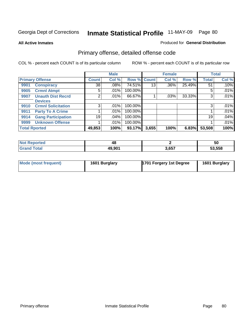**All Active Inmates**

#### Produced for **General Distribution**

# Primary offense, detailed offense code

|      |                           |                | <b>Male</b> |         |             | <b>Female</b> |        |              | <b>Total</b> |
|------|---------------------------|----------------|-------------|---------|-------------|---------------|--------|--------------|--------------|
|      | <b>Primary Offense</b>    | <b>Count</b>   | Col %       |         | Row % Count | Col %         | Row %  | <b>Total</b> | Col %        |
| 9901 | <b>Conspiracy</b>         | 38             | $.08\%$     | 74.51%  | 13          | $.36\%$       | 25.49% | 51           | .10%         |
| 9905 | <b>Crmnl Atmpt</b>        | 5.             | $.01\%$     | 100.00% |             |               |        | 5            | .01%         |
| 9907 | <b>Unauth Dist Recrd</b>  | 2 <sub>1</sub> | $.01\%$     | 66.67%  |             | .03%          | 33.33% | 3            | .01%         |
|      | <b>Devices</b>            |                |             |         |             |               |        |              |              |
| 9910 | <b>Crmnl Solicitation</b> | 3              | $.01\%$     | 100.00% |             |               |        | 3            | .01%         |
| 9911 | <b>Party To A Crime</b>   |                | $.01\%$     | 100.00% |             |               |        |              | .01%         |
| 9914 | <b>Gang Participation</b> | 19             | $.04\%$     | 100.00% |             |               |        | 19           | .04%         |
| 9999 | <b>Unknown Offense</b>    |                | $.01\%$     | 100.00% |             |               |        |              | .01%         |
|      | <b>Total Rported</b>      | 49,853         | 100%        | 93.17%  | 3,655       | 100%          | 6.83%  | 53,508       | 100%         |

| $^{\mathrm{H}}$ Not.<br>Reported | 48     |       | วบ     |
|----------------------------------|--------|-------|--------|
| <b>Grand Total</b>               | 49,901 | 3,657 | 53,558 |

| Mode (most frequent) | 1601 Burglary | 1701 Forgery 1st Degree | 1601 Burglary |
|----------------------|---------------|-------------------------|---------------|
|----------------------|---------------|-------------------------|---------------|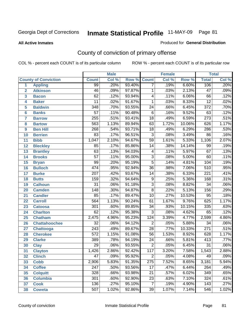#### **All Active Inmates**

#### Produced for **General Distribution**

# County of conviction of primary offense

|                 |                             |                  | <b>Male</b> |        | <b>Female</b>    |       |        | <b>Total</b>     |         |
|-----------------|-----------------------------|------------------|-------------|--------|------------------|-------|--------|------------------|---------|
|                 | <b>County of Conviction</b> | <b>Count</b>     | Col %       | Row %  | <b>Count</b>     | Col % | Row %  | <b>Total</b>     | Col %   |
| 1               | <b>Appling</b>              | 99               | .20%        | 93.40% | $\overline{7}$   | .19%  | 6.60%  | 106              | .20%    |
| $\overline{2}$  | <b>Atkinson</b>             | $\overline{46}$  | .09%        | 97.87% | 1                | .03%  | 2.13%  | $\overline{47}$  | .09%    |
| 3               | <b>Bacon</b>                | $\overline{62}$  | .12%        | 93.94% | 4                | .11%  | 6.06%  | 66               | .12%    |
| 4               | <b>Baker</b>                | 11               | .02%        | 91.67% | 1                | .03%  | 8.33%  | $\overline{12}$  | .02%    |
| 5               | <b>Baldwin</b>              | $\overline{348}$ | .70%        | 93.55% | $\overline{24}$  | .66%  | 6.45%  | $\overline{372}$ | .70%    |
| 6               | <b>Banks</b>                | $\overline{57}$  | .11%        | 90.48% | $\overline{6}$   | .16%  | 9.52%  | 63               | .12%    |
| 7               | <b>Barrow</b>               | 255              | .51%        | 93.41% | $\overline{18}$  | .49%  | 6.59%  | $\overline{273}$ | .51%    |
| 8               | <b>Bartow</b>               | $\overline{563}$ | 1.13%       | 89.94% | 63               | 1.72% | 10.06% | 626              | 1.17%   |
| 9               | <b>Ben Hill</b>             | 268              | .54%        | 93.71% | $\overline{18}$  | .49%  | 6.29%  | 286              | .53%    |
| 10              | <b>Berrien</b>              | 83               | .17%        | 96.51% | $\overline{3}$   | .08%  | 3.49%  | 86               | .16%    |
| 11              | <b>Bibb</b>                 | 1,047            | 2.10%       | 94.67% | $\overline{59}$  | 1.61% | 5.33%  | 1,106            | 2.07%   |
| 12              | <b>Bleckley</b>             | 85               | .17%        | 85.86% | 14               | .38%  | 14.14% | 99               | .19%    |
| $\overline{13}$ | <b>Brantley</b>             | $\overline{63}$  | .13%        | 94.03% | 4                | .11%  | 5.97%  | 67               | .13%    |
| 14              | <b>Brooks</b>               | $\overline{57}$  | .11%        | 95.00% | $\overline{3}$   | .08%  | 5.00%  | 60               | .11%    |
| 15              | <b>Bryan</b>                | $\overline{99}$  | .20%        | 95.19% | $\overline{5}$   | .14%  | 4.81%  | 104              | .19%    |
| 16              | <b>Bulloch</b>              | 474              | .95%        | 92.94% | $\overline{36}$  | .98%  | 7.06%  | 510              | .95%    |
| 17              | <b>Burke</b>                | $\overline{207}$ | .42%        | 93.67% | 14               | .38%  | 6.33%  | $\overline{221}$ | .41%    |
| 18              | <b>Butts</b>                | 159              | .32%        | 94.64% | 9                | .25%  | 5.36%  | 168              | .31%    |
| 19              | <b>Calhoun</b>              | $\overline{31}$  | .06%        | 91.18% | $\overline{3}$   | .08%  | 8.82%  | $\overline{34}$  | .06%    |
| 20              | <b>Camden</b>               | 148              | .30%        | 94.87% | $\overline{8}$   | .22%  | 5.13%  | 156              | .29%    |
| 21              | <b>Candler</b>              | 85               | .17%        | 89.47% | $\overline{10}$  | .27%  | 10.53% | $\overline{95}$  | .18%    |
| 22              | <b>Carroll</b>              | 564              | 1.13%       | 90.24% | 61               | 1.67% | 9.76%  | 625              | 1.17%   |
| 23              | <b>Catoosa</b>              | $\overline{301}$ | .60%        | 89.85% | $\overline{34}$  | .93%  | 10.15% | 335              | .63%    |
| 24              | <b>Charlton</b>             | 62               | .12%        | 95.38% | $\overline{3}$   | .08%  | 4.62%  | 65               | .12%    |
| 25              | <b>Chatham</b>              | 2,475            | 4.96%       | 95.23% | 124              | 3.39% | 4.77%  | 2,599            | 4.86%   |
| 26              | <b>Chattahoochee</b>        | $\overline{32}$  | .06%        | 94.12% | $\overline{2}$   | .05%  | 5.88%  | $\overline{34}$  | .06%    |
| 27              | <b>Chattooga</b>            | $\overline{243}$ | .49%        | 89.67% | $\overline{28}$  | .77%  | 10.33% | $\overline{271}$ | .51%    |
| 28              | <b>Cherokee</b>             | $\overline{572}$ | 1.15%       | 91.08% | $\overline{56}$  | 1.53% | 8.92%  | 628              | 1.17%   |
| 29              | <b>Clarke</b>               | 389              | .78%        | 94.19% | $\overline{24}$  | .66%  | 5.81%  | 413              | .77%    |
| 30              | <b>Clay</b>                 | 29               | .06%        | 93.55% | $\overline{2}$   | .05%  | 6.45%  | $\overline{31}$  | .06%    |
| 31              | <b>Clayton</b>              | 1,426            | 2.86%       | 92.42% | $\overline{117}$ | 3.20% | 7.58%  | 1,543            | 2.88%   |
| 32              | <b>Clinch</b>               | 47               | .09%        | 95.92% | 2                | .05%  | 4.08%  | 49               | $.09\%$ |
| 33              | <b>Cobb</b>                 | 2,906            | 5.83%       | 91.35% | 275              | 7.52% | 8.65%  | 3,181            | 5.94%   |
| 34              | <b>Coffee</b>               | 247              | .50%        | 93.56% | 17               | .47%  | 6.44%  | 264              | .49%    |
| 35              | <b>Colquitt</b>             | 328              | .66%        | 93.98% | 21               | .57%  | 6.02%  | 349              | .65%    |
| 36              | <b>Columbia</b>             | 301              | .60%        | 92.90% | 23               | .63%  | 7.10%  | 324              | .61%    |
| 37              | <b>Cook</b>                 | 136              | .27%        | 95.10% | $\overline{7}$   | .19%  | 4.90%  | 143              | .27%    |
| 38              | <b>Coweta</b>               | 507              | 1.02%       | 92.86% | 39               | 1.07% | 7.14%  | 546              | 1.02%   |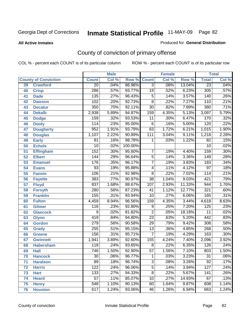#### **All Active Inmates**

### Produced for **General Distribution**

# County of conviction of primary offense

|                 |                             |                  | <b>Male</b> |         | <b>Female</b>   |       |        | <b>Total</b>     |       |
|-----------------|-----------------------------|------------------|-------------|---------|-----------------|-------|--------|------------------|-------|
|                 | <b>County of Conviction</b> | <b>Count</b>     | Col %       | Row %   | <b>Count</b>    | Col % | Row %  | <b>Total</b>     | Col % |
| 39              | <b>Crawford</b>             | $\overline{20}$  | .04%        | 86.96%  | $\overline{3}$  | .08%  | 13.04% | $\overline{23}$  | .04%  |
| 40              | <b>Crisp</b>                | 286              | .57%        | 93.77%  | $\overline{19}$ | .52%  | 6.23%  | 305              | .57%  |
| 41              | <b>Dade</b>                 | $\overline{135}$ | .27%        | 96.43%  | $\overline{5}$  | .14%  | 3.57%  | 140              | .26%  |
| 42              | <b>Dawson</b>               | 102              | .20%        | 92.73%  | $\overline{8}$  | .22%  | 7.27%  | $\overline{110}$ | .21%  |
| 43              | <b>Decatur</b>              | 350              | .70%        | 92.11%  | $\overline{30}$ | .82%  | 7.89%  | 380              | .71%  |
| 44              | <b>Dekalb</b>               | 2,938            | 5.89%       | 94.87%  | 159             | 4.35% | 5.13%  | 3,097            | 5.79% |
| 45              | <b>Dodge</b>                | 159              | .32%        | 93.53%  | $\overline{11}$ | .30%  | 6.47%  | 170              | .32%  |
| 46              | <b>Dooly</b>                | 114              | .23%        | 95.00%  | 6               | .16%  | 5.00%  | 120              | .22%  |
| 47              | <b>Dougherty</b>            | 952              | 1.91%       | 93.79%  | 63              | 1.72% | 6.21%  | 1,015            | 1.90% |
| 48              | <b>Douglas</b>              | 1,107            | 2.22%       | 90.89%  | 111             | 3.04% | 9.11%  | 1,218            | 2.28% |
| 49              | <b>Early</b>                | 81               | .16%        | 98.78%  | 1               | .03%  | 1.22%  | $\overline{82}$  | .15%  |
| 50              | <b>Echols</b>               | $\overline{10}$  | .02%        | 100.00% |                 |       |        | $\overline{10}$  | .02%  |
| $\overline{51}$ | <b>Effingham</b>            | 152              | .30%        | 95.60%  | $\overline{7}$  | .19%  | 4.40%  | 159              | .30%  |
| 52              | <b>Elbert</b>               | 144              | .29%        | 96.64%  | $\overline{5}$  | .14%  | 3.36%  | $\overline{149}$ | .28%  |
| 53              | <b>Emanuel</b>              | 176              | .35%        | 96.17%  | $\overline{7}$  | .19%  | 3.83%  | $\overline{183}$ | .34%  |
| $\overline{54}$ | <b>Evans</b>                | $\overline{93}$  | .19%        | 95.88%  | 4               | .11%  | 4.12%  | $\overline{97}$  | .18%  |
| 55              | <b>Fannin</b>               | 106              | .21%        | 92.98%  | $\overline{8}$  | .22%  | 7.02%  | 114              | .21%  |
| 56              | <b>Fayette</b>              | 383              | .77%        | 90.97%  | $\overline{38}$ | 1.04% | 9.03%  | $\overline{421}$ | .79%  |
| 57              | <b>Floyd</b>                | 837              | 1.68%       | 88.67%  | 107             | 2.93% | 11.33% | 944              | 1.76% |
| 58              | <b>Forsyth</b>              | 280              | .56%        | 87.23%  | $\overline{41}$ | 1.12% | 12.77% | 321              | .60%  |
| 59              | <b>Franklin</b>             | 155              | .31%        | 93.94%  | $\overline{10}$ | .27%  | 6.06%  | 165              | .31%  |
| 60              | <b>Fulton</b>               | 4,459            | 8.94%       | 96.56%  | 159             | 4.35% | 3.44%  | 4,618            | 8.63% |
| 61              | Gilmer                      | $\overline{116}$ | .23%        | 92.80%  | $\overline{9}$  | .25%  | 7.20%  | $\overline{125}$ | .23%  |
| 62              | <b>Glascock</b>             | $\overline{9}$   | .02%        | 81.82%  | $\overline{2}$  | .05%  | 18.18% | $\overline{11}$  | .02%  |
| 63              | <b>Glynn</b>                | 419              | .84%        | 94.80%  | $\overline{23}$ | .63%  | 5.20%  | 442              | .83%  |
| 64              | <b>Gordon</b>               | 279              | .56%        | 90.58%  | $\overline{29}$ | .79%  | 9.42%  | 308              | .58%  |
| 65              | <b>Grady</b>                | 255              | .51%        | 95.15%  | $\overline{13}$ | .36%  | 4.85%  | 268              | .50%  |
| 66              | <b>Greene</b>               | 156              | .31%        | 95.71%  | $\overline{7}$  | .19%  | 4.29%  | 163              | .30%  |
| 67              | <b>Gwinnett</b>             | 1,941            | 3.89%       | 92.60%  | 155             | 4.24% | 7.40%  | 2,096            | 3.92% |
| 68              | <b>Habersham</b>            | $\overline{118}$ | .24%        | 93.65%  | $\overline{8}$  | .22%  | 6.35%  | $\overline{126}$ | .24%  |
| 69              | <b>Hall</b>                 | $\overline{746}$ | 1.50%       | 92.90%  | $\overline{57}$ | 1.56% | 7.10%  | $\overline{803}$ | 1.50% |
| 70              | <b>Hancock</b>              | 30               | .06%        | 96.77%  | 1               | .03%  | 3.23%  | 31               | .06%  |
| 71              | <b>Haralson</b>             | 89               | .18%        | 96.74%  | $\overline{3}$  | .08%  | 3.26%  | $\overline{92}$  | .17%  |
| 72              | <b>Harris</b>               | $\overline{122}$ | .24%        | 96.06%  | $\overline{5}$  | .14%  | 3.94%  | $\overline{127}$ | .24%  |
| 73              | <b>Hart</b>                 | 133              | .27%        | 94.33%  | $\overline{8}$  | .22%  | 5.67%  | 141              | .26%  |
| 74              | <b>Heard</b>                | $\overline{57}$  | .11%        | 85.07%  | $\overline{10}$ | .27%  | 14.93% | 67               | .13%  |
| 75              | <b>Henry</b>                | 548              | 1.10%       | 90.13%  | 60              | 1.64% | 9.87%  | 608              | 1.14% |
| 76              | <b>Houston</b>              | 617              | 1.24%       | 93.06%  | 46              | 1.26% | 6.94%  | 663              | 1.24% |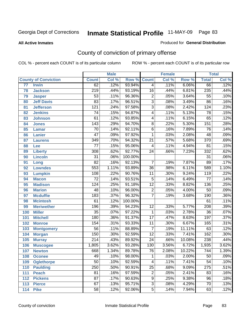**All Active Inmates**

### Produced for **General Distribution**

# County of conviction of primary offense

|                 |                             |                  | <b>Male</b> |         |                 | <b>Female</b> |        |                  | <b>Total</b> |
|-----------------|-----------------------------|------------------|-------------|---------|-----------------|---------------|--------|------------------|--------------|
|                 | <b>County of Conviction</b> | <b>Count</b>     | Col %       | Row %   | <b>Count</b>    | Col %         | Row %  | <b>Total</b>     | Col %        |
| $\overline{77}$ | <b>Irwin</b>                | 62               | .12%        | 93.94%  | $\overline{4}$  | .11%          | 6.06%  | 66               | .12%         |
| 78              | <b>Jackson</b>              | $\overline{219}$ | .44%        | 93.19%  | 16              | .44%          | 6.81%  | 235              | .44%         |
| 79              | <b>Jasper</b>               | $\overline{53}$  | .11%        | 96.36%  | $\overline{c}$  | .05%          | 3.64%  | $\overline{55}$  | .10%         |
| 80              | <b>Jeff Davis</b>           | $\overline{83}$  | .17%        | 96.51%  | $\overline{3}$  | .08%          | 3.49%  | 86               | .16%         |
| 81              | <b>Jefferson</b>            | $\overline{121}$ | .24%        | 97.58%  | $\overline{3}$  | .08%          | 2.42%  | 124              | .23%         |
| 82              | <b>Jenkins</b>              | $\overline{74}$  | .15%        | 94.87%  | $\overline{4}$  | .11%          | 5.13%  | 78               | .15%         |
| 83              | <b>Johnson</b>              | 61               | .12%        | 93.85%  | 4               | .11%          | 6.15%  | 65               | .12%         |
| 84              | <b>Jones</b>                | $\overline{143}$ | .29%        | 94.70%  | 8               | .22%          | 5.30%  | 151              | .28%         |
| 85              | <b>Lamar</b>                | $\overline{70}$  | .14%        | 92.11%  | $\overline{6}$  | .16%          | 7.89%  | $\overline{76}$  | .14%         |
| 86              | <b>Lanier</b>               | $\overline{47}$  | .09%        | 97.92%  | 1               | .03%          | 2.08%  | 48               | .09%         |
| 87              | <b>Laurens</b>              | $\overline{349}$ | .70%        | 94.32%  | $\overline{21}$ | .57%          | 5.68%  | 370              | .69%         |
| 88              | Lee                         | $\overline{77}$  | .15%        | 95.06%  | 4               | .11%          | 4.94%  | 81               | .15%         |
| 89              | <b>Liberty</b>              | 308              | .62%        | 92.77%  | $\overline{24}$ | .66%          | 7.23%  | 332              | .62%         |
| 90              | <b>Lincoln</b>              | $\overline{31}$  | .06%        | 100.00% |                 |               |        | $\overline{31}$  | .06%         |
| 91              | Long                        | $\overline{82}$  | .16%        | 92.13%  | $\overline{7}$  | .19%          | 7.87%  | 89               | .17%         |
| 92              | <b>Lowndes</b>              | $\overline{553}$ | 1.11%       | 93.89%  | $\overline{36}$ | .98%          | 6.11%  | 589              | 1.10%        |
| 93              | <b>Lumpkin</b>              | 108              | .22%        | 90.76%  | 11              | .30%          | 9.24%  | 119              | .22%         |
| 94              | <b>Macon</b>                | $\overline{72}$  | .14%        | 93.51%  | $\overline{5}$  | .14%          | 6.49%  | $\overline{77}$  | .14%         |
| 95              | <b>Madison</b>              | 124              | .25%        | 91.18%  | $\overline{12}$ | .33%          | 8.82%  | 136              | .25%         |
| 96              | <b>Marion</b>               | 48               | .10%        | 96.00%  | $\overline{2}$  | .05%          | 4.00%  | $\overline{50}$  | .09%         |
| 97              | <b>Mcduffie</b>             | 183              | .37%        | 96.32%  | $\overline{7}$  | .19%          | 3.68%  | 190              | .36%         |
| 98              | <b>Mcintosh</b>             | 61               | .12%        | 100.00% |                 |               |        | 61               | .11%         |
| 99              | <b>Meriwether</b>           | 196              | .39%        | 94.23%  | $\overline{12}$ | .33%          | 5.77%  | $\overline{208}$ | .39%         |
| 100             | <b>Miller</b>               | $\overline{35}$  | .07%        | 97.22%  | $\mathbf 1$     | .03%          | 2.78%  | $\overline{36}$  | .07%         |
| 101             | <b>Mitchell</b>             | 180              | .36%        | 91.37%  | $\overline{17}$ | .47%          | 8.63%  | 197              | .37%         |
| 102             | <b>Monroe</b>               | 154              | .31%        | 93.33%  | $\overline{11}$ | .30%          | 6.67%  | 165              | .31%         |
| 103             | <b>Montgomery</b>           | $\overline{56}$  | .11%        | 88.89%  | $\overline{7}$  | .19%          | 11.11% | 63               | .12%         |
| 104             | <b>Morgan</b>               | 150              | .30%        | 92.59%  | $\overline{12}$ | .33%          | 7.41%  | 162              | .30%         |
| 105             | <b>Murray</b>               | $\overline{214}$ | .43%        | 89.92%  | $\overline{24}$ | .66%          | 10.08% | 238              | .44%         |
| 106             | <b>Muscogee</b>             | 1,805            | 3.62%       | 93.28%  | 130             | 3.56%         | 6.72%  | 1,935            | 3.62%        |
| 107             | <b>Newton</b>               | 668              | 1.34%       | 89.78%  | $\overline{76}$ | 2.08%         | 10.22% | 744              | 1.39%        |
| 108             | <b>Oconee</b>               | 49               | .10%        | 98.00%  | 1               | .03%          | 2.00%  | 50               | $.09\%$      |
| 109             | <b>Oglethorpe</b>           | $\overline{50}$  | .10%        | 92.59%  | 4               | .11%          | 7.41%  | $\overline{54}$  | .10%         |
| 110             | <b>Paulding</b>             | 250              | .50%        | 90.91%  | $\overline{25}$ | .68%          | 9.09%  | $\overline{275}$ | .51%         |
| 111             | <b>Peach</b>                | 81               | .16%        | 97.59%  | $\overline{c}$  | .05%          | 2.41%  | 83               | .16%         |
| 112             | <b>Pickens</b>              | $\overline{87}$  | .17%        | 90.63%  | 9               | .25%          | 9.38%  | 96               | .18%         |
| 113             | <b>Pierce</b>               | 67               | .13%        | 95.71%  | $\overline{3}$  | .08%          | 4.29%  | $\overline{70}$  | .13%         |
| 114             | <b>Pike</b>                 | 58               | .12%        | 92.06%  | $\overline{5}$  | .14%          | 7.94%  | 63               | .12%         |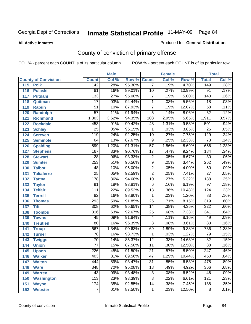#### **All Active Inmates**

### Produced for **General Distribution**

# County of conviction of primary offense

|     |                             |                  | <b>Male</b> |        |                         | <b>Female</b> |        |                  | <b>Total</b> |
|-----|-----------------------------|------------------|-------------|--------|-------------------------|---------------|--------|------------------|--------------|
|     | <b>County of Conviction</b> | <b>Count</b>     | Col %       | Row %  | <b>Count</b>            | Col %         | Row %  | <b>Total</b>     | Col %        |
| 115 | <b>Polk</b>                 | 142              | .28%        | 95.30% | $\overline{7}$          | .19%          | 4.70%  | 149              | .28%         |
| 116 | <b>Pulaski</b>              | 81               | .16%        | 89.01% | $\overline{10}$         | .27%          | 10.99% | $\overline{91}$  | .17%         |
| 117 | <b>Putnam</b>               | $\overline{133}$ | .27%        | 95.00% | $\overline{7}$          | .19%          | 5.00%  | 140              | .26%         |
| 118 | Quitman                     | $\overline{17}$  | .03%        | 94.44% | $\mathbf 1$             | .03%          | 5.56%  | $\overline{18}$  | .03%         |
| 119 | <b>Rabun</b>                | $\overline{51}$  | .10%        | 87.93% | $\overline{7}$          | .19%          | 12.07% | $\overline{58}$  | .11%         |
| 120 | <b>Randolph</b>             | $\overline{57}$  | .11%        | 91.94% | $\overline{5}$          | .14%          | 8.06%  | 62               | .12%         |
| 121 | <b>Richmond</b>             | 1,803            | 3.62%       | 94.35% | 108                     | 2.95%         | 5.65%  | 1,911            | 3.57%        |
| 122 | <b>Rockdale</b>             | 453              | .91%        | 90.42% | 48                      | 1.31%         | 9.58%  | 501              | .94%         |
| 123 | <b>Schley</b>               | $\overline{25}$  | .05%        | 96.15% | 1                       | .03%          | 3.85%  | $\overline{26}$  | .05%         |
| 124 | <b>Screven</b>              | $\overline{119}$ | .24%        | 92.25% | $\overline{10}$         | .27%          | 7.75%  | $\overline{129}$ | .24%         |
| 125 | <b>Seminole</b>             | 64               | .13%        | 87.67% | $\overline{9}$          | .25%          | 12.33% | $\overline{73}$  | .14%         |
| 126 | <b>Spalding</b>             | 599              | 1.20%       | 91.31% | $\overline{57}$         | 1.56%         | 8.69%  | 656              | 1.23%        |
| 127 | <b>Stephens</b>             | 167              | .33%        | 90.76% | $\overline{17}$         | .47%          | 9.24%  | 184              | .34%         |
| 128 | <b>Stewart</b>              | $\overline{28}$  | .06%        | 93.33% | $\overline{2}$          | .05%          | 6.67%  | $\overline{30}$  | .06%         |
| 129 | <b>Sumter</b>               | 253              | .51%        | 96.56% | $\overline{9}$          | .25%          | 3.44%  | $\overline{262}$ | .49%         |
| 130 | <b>Talbot</b>               | 48               | .10%        | 96.00% | $\overline{2}$          | .05%          | 4.00%  | 50               | .09%         |
| 131 | <b>Taliaferro</b>           | $\overline{25}$  | .05%        | 92.59% | $\overline{2}$          | .05%          | 7.41%  | $\overline{27}$  | .05%         |
| 132 | <b>Tattnall</b>             | $\overline{178}$ | .36%        | 94.68% | $\overline{10}$         | .27%          | 5.32%  | 188              | .35%         |
| 133 | <b>Taylor</b>               | $\overline{91}$  | .18%        | 93.81% | 6                       | .16%          | 6.19%  | $\overline{97}$  | .18%         |
| 134 | <b>Telfair</b>              | $\overline{111}$ | .22%        | 89.52% | $\overline{13}$         | .36%          | 10.48% | 124              | .23%         |
| 135 | <b>Terrell</b>              | $\overline{82}$  | .16%        | 98.80% | $\mathbf{1}$            | .03%          | 1.20%  | 83               | .16%         |
| 136 | <b>Thomas</b>               | 293              | .59%        | 91.85% | $\overline{26}$         | .71%          | 8.15%  | $\overline{319}$ | .60%         |
| 137 | <b>Tift</b>                 | 308              | .62%        | 95.65% | 14                      | .38%          | 4.35%  | $\overline{322}$ | .60%         |
| 138 | <b>Toombs</b>               | 316              | .63%        | 92.67% | 25                      | .68%          | 7.33%  | 341              | .64%         |
| 139 | <b>Towns</b>                | 45               | .09%        | 91.84% | $\overline{\mathbf{4}}$ | .11%          | 8.16%  | 49               | .09%         |
| 140 | <b>Treutlen</b>             | $\overline{80}$  | .16%        | 96.39% | $\overline{3}$          | .08%          | 3.61%  | 83               | .16%         |
| 141 | <b>Troup</b>                | 667              | 1.34%       | 90.63% | 69                      | 1.89%         | 9.38%  | 736              | 1.38%        |
| 142 | <b>Turner</b>               | $\overline{78}$  | .16%        | 98.73% | 1                       | .03%          | 1.27%  | 79               | .15%         |
| 143 | <b>Twiggs</b>               | $\overline{70}$  | .14%        | 85.37% | $\overline{12}$         | .33%          | 14.63% | $\overline{82}$  | .15%         |
| 144 | <b>Union</b>                | $\overline{77}$  | .15%        | 87.50% | 11                      | .30%          | 12.50% | $\overline{88}$  | .16%         |
| 145 | <b>Upson</b>                | $\overline{226}$ | .45%        | 91.50% | $\overline{21}$         | .57%          | 8.50%  | $\overline{247}$ | .46%         |
| 146 | <b>Walker</b>               | 403              | .81%        | 89.56% | 47                      | 1.29%         | 10.44% | 450              | .84%         |
| 147 | <b>Walton</b>               | 444              | .89%        | 93.47% | $\overline{31}$         | .85%          | 6.53%  | 475              | .89%         |
| 148 | <b>Ware</b>                 | 348              | .70%        | 95.08% | 18                      | .49%          | 4.92%  | 366              | .68%         |
| 149 | <b>Warren</b>               | 43               | .09%        | 93.48% | 3                       | .08%          | 6.52%  | 46               | .09%         |
| 150 | <b>Washington</b>           | $\overline{113}$ | .23%        | 93.39% | 8                       | .22%          | 6.61%  | 121              | .23%         |
| 151 | <b>Wayne</b>                | 174              | .35%        | 92.55% | 14                      | .38%          | 7.45%  | 188              | .35%         |
| 152 | <b>Webster</b>              | $\boldsymbol{7}$ | .01%        | 87.50% | $\mathbf 1$             | .03%          | 12.50% | 8                | .01%         |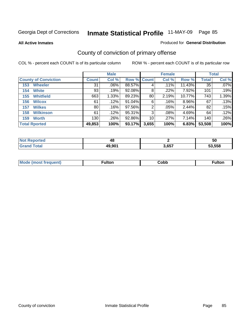**All Active Inmates**

### Produced for **General Distribution**

# County of conviction of primary offense

|                             |              | <b>Male</b> |             |       | <b>Female</b> |           |              | <b>Total</b> |
|-----------------------------|--------------|-------------|-------------|-------|---------------|-----------|--------------|--------------|
| <b>County of Conviction</b> | <b>Count</b> | Col %       | Row % Count |       | Col %         | Row %     | <b>Total</b> | Col %        |
| <b>Wheeler</b><br>153       | 31           | $.06\%$     | 88.57%      | 4     | .11%          | $11.43\%$ | 35           | $.07\%$      |
| <b>White</b><br>154         | 93           | .19%        | $92.08\%$   | 8     | .22%          | 7.92%     | 101          | .19%         |
| <b>Whitfield</b><br>155     | 663          | 1.33%       | 89.23%      | 80    | 2.19%         | 10.77%    | 743          | 1.39%        |
| <b>Wilcox</b><br>156        | 61           | $.12\%$     | 91.04%      | 6     | .16%          | 8.96%     | 67           | .13%         |
| <b>Wilkes</b><br>157        | 80           | .16%        | 97.56%      | 2     | $.05\%$       | 2.44%     | 82           | .15%         |
| <b>Wilkinson</b><br>158     | 61           | .12%        | 95.31%      | 3     | $.08\%$       | 4.69%     | 64           | .12%         |
| <b>Worth</b><br>159         | 130          | .26%        | 92.86%      | 10    | .27%          | 7.14%     | 140          | .26%         |
| <b>Total Rported</b>        | 49,853       | 100%        | 93.17%      | 3,655 | 100%          | 6.83%     | 53,508       | 100%         |

| тео<br>- 13 | - -<br>л,<br>᠇៶ |       | 50     |
|-------------|-----------------|-------|--------|
|             | 49,901          | 3.657 | 53.558 |

| Mc | ™ulton | Cobb |  |
|----|--------|------|--|
|    |        |      |  |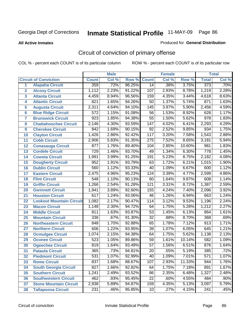#### **All Active Inmates**

#### Produced for **General Distribution**

# Circuit of conviction of primary offense

|                         |                                 |                  | <b>Male</b> |        |                  | <b>Female</b> |        |                  | <b>Total</b> |
|-------------------------|---------------------------------|------------------|-------------|--------|------------------|---------------|--------|------------------|--------------|
|                         | <b>Circuit of Conviction</b>    | <b>Count</b>     | CoI%        | Row %  | <b>Count</b>     | Col %         | Row %  | <b>Total</b>     | Col %        |
| 1                       | <b>Alapaha Circuit</b>          | 359              | .72%        | 96.25% | 14               | .38%          | 3.75%  | 373              | .70%         |
| $\overline{2}$          | <b>Alcovy Circuit</b>           | 1,112            | 2.23%       | 91.22% | 107              | 2.93%         | 8.78%  | 1,219            | 2.28%        |
| $\overline{\mathbf{3}}$ | <b>Atlanta Circuit</b>          | 4,459            | 8.94%       | 96.56% | 159              | 4.35%         | 3.44%  | 4,618            | 8.63%        |
| 4                       | <b>Atlantic Circuit</b>         | 821              | 1.65%       | 94.26% | $\overline{50}$  | 1.37%         | 5.74%  | 871              | 1.63%        |
| 5                       | <b>Augusta Circuit</b>          | 2,311            | 4.64%       | 94.10% | $\overline{145}$ | 3.97%         | 5.90%  | 2,456            | 4.59%        |
| $6\phantom{a}$          | <b>Blue Ridge Circuit</b>       | $\overline{572}$ | 1.15%       | 91.08% | $\overline{56}$  | 1.53%         | 8.92%  | 628              | 1.17%        |
| $\overline{7}$          | <b>Brunswick Circuit</b>        | 923              | 1.85%       | 94.38% | $\overline{55}$  | 1.50%         | 5.62%  | $\overline{978}$ | 1.83%        |
| 8                       | <b>Chattahoochee Circuit</b>    | 2,146            | 4.30%       | 93.59% | 147              | 4.02%         | 6.41%  | 2,293            | 4.29%        |
| 9                       | <b>Cherokee Circuit</b>         | 842              | 1.69%       | 90.15% | $\overline{92}$  | 2.52%         | 9.85%  | 934              | 1.75%        |
| 10                      | <b>Clayton Circuit</b>          | 1,426            | 2.86%       | 92.42% | $\overline{117}$ | 3.20%         | 7.58%  | 1,543            | 2.88%        |
| 11                      | <b>Cobb Circuit</b>             | 2,906            | 5.83%       | 91.35% | $\overline{275}$ | 7.52%         | 8.65%  | 3,181            | 5.94%        |
| 12                      | <b>Conasauga Circuit</b>        | 877              | 1.76%       | 89.40% | 104              | 2.85%         | 10.60% | 981              | 1.83%        |
| 13                      | <b>Cordele Circuit</b>          | $\overline{729}$ | 1.46%       | 93.70% | 49               | 1.34%         | 6.30%  | 778              | 1.45%        |
| 14                      | <b>Coweta Circuit</b>           | 1,991            | 3.99%       | 91.25% | 191              | 5.23%         | 8.75%  | 2,182            | 4.08%        |
| 15                      | <b>Dougherty Circuit</b>        | 952              | 1.91%       | 93.79% | 63               | 1.72%         | 6.21%  | 1,015            | 1.90%        |
| 16                      | <b>Dublin Circuit</b>           | 560              | 1.12%       | 93.33% | $\overline{40}$  | 1.09%         | 6.67%  | 600              | 1.12%        |
| 17                      | <b>Eastern Circuit</b>          | 2,475            | 4.96%       | 95.23% | 124              | 3.39%         | 4.77%  | 2,599            | 4.86%        |
| 18                      | <b>Flint Circuit</b>            | $\overline{548}$ | 1.10%       | 90.13% | 60               | 1.64%         | 9.87%  | 608              | 1.14%        |
| 19                      | <b>Griffin Circuit</b>          | 1,266            | 2.54%       | 91.28% | 121              | 3.31%         | 8.72%  | 1,387            | 2.59%        |
| 20                      | <b>Gwinnett Circuit</b>         | 1,941            | 3.89%       | 92.60% | 155              | 4.24%         | 7.40%  | 2,096            | 3.92%        |
| 21                      | <b>Houston Circuit</b>          | 617              | 1.24%       | 93.06% | 46               | 1.26%         | 6.94%  | 663              | 1.24%        |
| 22                      | <b>Lookout Mountain Circuit</b> | 1,082            | 2.17%       | 90.47% | 114              | 3.12%         | 9.53%  | 1,196            | 2.24%        |
| 23                      | <b>Macon Circuit</b>            | 1,148            | 2.30%       | 94.72% | 64               | 1.75%         | 5.28%  | 1,212            | 2.27%        |
| 24                      | <b>Middle Circuit</b>           | 811              | 1.63%       | 93.87% | $\overline{53}$  | 1.45%         | 6.13%  | 864              | 1.61%        |
| 25                      | <b>Mountain Circuit</b>         | 336              | .67%        | 91.30% | $\overline{32}$  | .88%          | 8.70%  | 368              | .69%         |
| 26                      | <b>Northeastern Circuit</b>     | 848              | 1.70%       | 92.88% | 65               | 1.78%         | 7.12%  | $\overline{913}$ | 1.71%        |
| 27                      | <b>Northern Circuit</b>         | 606              | 1.22%       | 93.95% | $\overline{39}$  | 1.07%         | 6.05%  | $\overline{645}$ | 1.21%        |
| 28                      | <b>Ocmulgee Circuit</b>         | 1,074            | 2.15%       | 94.38% | 64               | 1.75%         | 5.62%  | 1,138            | 2.13%        |
| 29                      | <b>Oconee Circuit</b>           | $\overline{523}$ | 1.05%       | 89.86% | 59               | 1.61%         | 10.14% | 582              | 1.09%        |
| 30                      | <b>Ogeechee Circuit</b>         | 819              | 1.64%       | 93.49% | $\overline{57}$  | 1.56%         | 6.51%  | 876              | 1.64%        |
| 31                      | <b>Pataula Circuit</b>          | 365              | .73%        | 94.81% | 20               | .55%          | 5.19%  | 385              | .72%         |
| 32                      | <b>Piedmont Circuit</b>         | $\overline{531}$ | 1.07%       | 92.99% | 40               | 1.09%         | 7.01%  | $\overline{571}$ | 1.07%        |
| 33                      | <b>Rome Circuit</b>             | 837              | 1.68%       | 88.67% | 107              | 2.93%         | 11.33% | 944              | 1.76%        |
| 34                      | <b>South Georgia Circuit</b>    | 827              | 1.66%       | 92.82% | 64               | 1.75%         | 7.18%  | 891              | 1.67%        |
| 35                      | <b>Southern Circuit</b>         | 1,241            | 2.49%       | 93.52% | 86               | 2.35%         | 6.48%  | 1,327            | 2.48%        |
| 36                      | <b>Southwestern Circuit</b>     | 462              | .93%        | 95.45% | 22               | .60%          | 4.55%  | 484              | .90%         |
| 37                      | <b>Stone Mountain Circuit</b>   | 2,938            | 5.89%       | 94.87% | 159              | 4.35%         | 5.13%  | 3,097            | 5.79%        |
| 38                      | <b>Tallapoosa Circuit</b>       | 231              | .46%        | 95.85% | 10               | .27%          | 4.15%  | $\overline{241}$ | .45%         |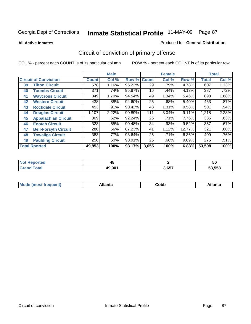**All Active Inmates**

#### Produced for **General Distribution**

# Circuit of conviction of primary offense

|    |                              |              | <b>Male</b> |        |              | <b>Female</b> |          |              | <b>Total</b> |
|----|------------------------------|--------------|-------------|--------|--------------|---------------|----------|--------------|--------------|
|    | <b>Circuit of Conviction</b> | <b>Count</b> | Col %       | Row %  | <b>Count</b> | Col %         | Row %    | <b>Total</b> | Col %        |
| 39 | <b>Tifton Circuit</b>        | 578          | 1.16%       | 95.22% | 29           | .79%          | 4.78%    | 607          | 1.13%        |
| 40 | <b>Toombs Circuit</b>        | 371          | .74%        | 95.87% | 16           | .44%          | 4.13%    | 387          | .72%         |
| 41 | <b>Waycross Circuit</b>      | 849          | 1.70%       | 94.54% | 49           | 1.34%         | 5.46%    | 898          | 1.68%        |
| 42 | <b>Western Circuit</b>       | 438          | .88%        | 94.60% | 25           | .68%          | 5.40%    | 463          | $.87\%$      |
| 43 | <b>Rockdale Circuit</b>      | 453          | .91%        | 90.42% | 48           | 1.31%         | 9.58%    | 501          | .94%         |
| 44 | <b>Douglas Circuit</b>       | 1,107        | 2.22%       | 90.89% | 111          | 3.04%         | 9.11%    | 1,218        | 2.28%        |
| 45 | <b>Appalachian Circuit</b>   | 309          | .62%        | 92.24% | 26           | .71%          | 7.76%    | 335          | .63%         |
| 46 | <b>Enotah Circuit</b>        | 323          | .65%        | 90.48% | 34           | .93%          | 9.52%    | 357          | .67%         |
| 47 | <b>Bell-Forsyth Circuit</b>  | 280          | .56%        | 87.23% | 41           | 1.12%         | 12.77%   | 321          | .60%         |
| 48 | <b>Towaliga Circuit</b>      | 383          | .77%        | 93.64% | 26           | .71%          | $6.36\%$ | 409          | .76%         |
| 49 | <b>Paulding Circuit</b>      | 250          | .50%        | 90.91% | 25           | .68%          | 9.09%    | 275          | .51%         |
|    | <b>Total Rported</b>         | 49,853       | 100%        | 93.17% | 3,655        | 100%          | 6.83%    | 53,508       | 100%         |

| тес | 4ō     |       | 50     |
|-----|--------|-------|--------|
|     | 49,901 | 3.657 | 53.558 |

| <b>M</b> ດ<br>.<br>. | $+1$ ant $\cdot$<br>ιαπιω<br>. <i>. .</i> | ∶obb<br>- - - - - | 'anta |
|----------------------|-------------------------------------------|-------------------|-------|
|----------------------|-------------------------------------------|-------------------|-------|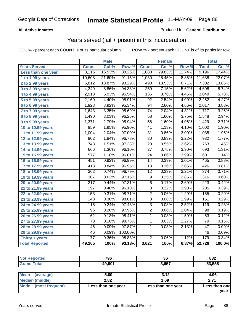### **All Active Inmates**

### Produced for **General Distribution**

## Years served (jail + prison) in this incarceration

|                              |                  | <b>Male</b> |         |                 | <b>Female</b> |        |                  | <b>Total</b> |
|------------------------------|------------------|-------------|---------|-----------------|---------------|--------|------------------|--------------|
| <b>Years Served</b>          | <b>Count</b>     | Col %       | Row %   | <b>Count</b>    | Col %         | Row %  | <b>Total</b>     | Col %        |
| Less than one year           | 8,116            | 16.53%      | 88.26%  | 1,080           | 29.83%        | 11.74% | 9,196            | 17.44%       |
| 1 to 1.99 years              | 10,608           | 21.60%      | 91.15%  | 1,030           | 28.45%        | 8.85%  | 11,638           | 22.07%       |
| 2 to 2.99 years              | 6,812            | 13.87%      | 93.29%  | 490             | 13.53%        | 6.71%  | 7,302            | 13.85%       |
| 3 to 3.99 years              | 4,349            | 8.86%       | 94.38%  | 259             | 7.15%         | 5.62%  | 4,608            | 8.74%        |
| 4 to 4.99 years              | 2,913            | 5.93%       | 95.54%  | 136             | 3.76%         | 4.46%  | 3,049            | 5.78%        |
| 5 to 5.99 years              | 2,160            | 4.40%       | 95.91%  | $\overline{92}$ | 2.54%         | 4.09%  | 2,252            | 4.27%        |
| 6 to 6.99 years              | 1,923            | 3.92%       | 95.34%  | $\overline{94}$ | 2.60%         | 4.66%  | 2,017            | 3.83%        |
| $\overline{7}$ to 7.99 years | 1,643            | 3.35%       | 95.69%  | 74              | 2.04%         | 4.31%  | 1,717            | 3.26%        |
| 8 to 8.99 years              | 1,490            | 3.03%       | 96.25%  | $\overline{58}$ | 1.60%         | 3.75%  | 1,548            | 2.94%        |
| 9 to 9.99 years              | 1,371            | 2.79%       | 95.94%  | $\overline{58}$ | 1.60%         | 4.06%  | 1,429            | 2.71%        |
| 10 to 10.99 years            | 959              | 1.95%       | 95.90%  | 41              | 1.13%         | 4.10%  | 1,000            | 1.90%        |
| 11 to 11.99 years            | 1,004            | 2.04%       | 97.00%  | $\overline{31}$ | 0.86%         | 3.00%  | 1,035            | 1.96%        |
| 12 to 12.99 years            | $\overline{902}$ | 1.84%       | 96.78%  | $\overline{30}$ | 0.83%         | 3.22%  | 932              | 1.77%        |
| 13 to 13.99 years            | $\overline{743}$ | 1.51%       | 97.38%  | $\overline{20}$ | 0.55%         | 2.62%  | 763              | 1.45%        |
| 14 to 14.99 years            | 666              | 1.36%       | 96.10%  | $\overline{27}$ | 0.75%         | 3.90%  | 693              | 1.31%        |
| 15 to 15.99 years            | 577              | 1.18%       | 96.01%  | 24              | 0.66%         | 3.99%  | 601              | 1.14%        |
| 16 to 16.99 years            | 451              | 0.92%       | 96.99%  | 14              | 0.39%         | 3.01%  | 465              | 0.88%        |
| 17 to 17.99 years            | $\overline{413}$ | 0.84%       | 96.95%  | $\overline{13}$ | 0.36%         | 3.05%  | 426              | 0.81%        |
| 18 to 18.99 years            | 362              | 0.74%       | 96.79%  | 12              | 0.33%         | 3.21%  | 374              | 0.71%        |
| 19 to 19.99 years            | $\overline{307}$ | 0.63%       | 97.15%  | $\overline{9}$  | 0.25%         | 2.85%  | 316              | 0.60%        |
| 20 to 20.99 years            | $\overline{217}$ | 0.44%       | 97.31%  | $\overline{6}$  | 0.17%         | 2.69%  | $\overline{223}$ | 0.42%        |
| 21 to 21.99 years            | 197              | 0.40%       | 96.10%  | $\overline{8}$  | 0.22%         | 3.90%  | 205              | 0.39%        |
| 22 to 22.99 years            | 153              | 0.31%       | 98.71%  | $\overline{2}$  | 0.06%         | 1.29%  | 155              | 0.29%        |
| 23 to 23.99 years            | $\overline{148}$ | 0.30%       | 98.01%  | $\overline{3}$  | 0.08%         | 1.99%  | 151              | 0.29%        |
| 24 to 24.99 years            | 116              | 0.24%       | 97.48%  | $\overline{3}$  | 0.08%         | 2.52%  | 119              | 0.23%        |
| 25 to 25.99 years            | $\overline{96}$  | 0.20%       | 97.96%  | $\overline{2}$  | 0.06%         | 2.04%  | 98               | 0.19%        |
| 26 to 26.99 years            | 62               | 0.13%       | 98.41%  | $\mathbf{1}$    | 0.03%         | 1.59%  | 63               | 0.12%        |
| 27 to 27.99 years            | $\overline{78}$  | 0.16%       | 98.73%  | $\mathbf 1$     | 0.03%         | 1.27%  | 79               | 0.15%        |
| 28 to 28.99 years            | 46               | 0.09%       | 97.87%  | 1               | 0.03%         | 2.13%  | $\overline{47}$  | 0.09%        |
| 29 to 29.99 years            | 46               | 0.09%       | 100.00% |                 |               |        | 46               | 0.09%        |
| Thirty + years               | $\overline{177}$ | 0.36%       | 98.88%  | $\overline{2}$  | 0.06%         | 1.12%  | 179              | 0.34%        |
| <b>Total Reported</b>        | 49,105           | 100%        | 93.13%  | 3,621           | 100%          | 6.87%  | 52,726           | 100.0%       |

| <b>Not</b><br><b>Enorted</b> | 796    | 36    | 022<br>oა∠ |
|------------------------------|--------|-------|------------|
| <b>Tota</b>                  | 49,901 | 3,657 | 53,558     |
|                              |        |       |            |

| Mean<br>(average)    | 5.09               | 3.12               | 4.96          |
|----------------------|--------------------|--------------------|---------------|
| Median (middle)      | 2.82               | 1.69               | 2.71          |
| Mode (most frequent) | Less than one year | Less than one year | Less than one |
|                      |                    |                    | vear          |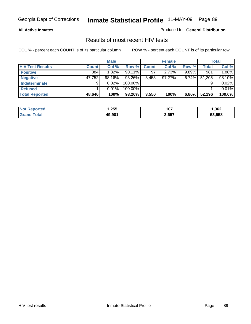### **All Active Inmates**

Produced for **General Distribution**

### Results of most recent HIV tests

|                         |              | <b>Male</b> |           |       | <b>Female</b> |          |              | Total  |
|-------------------------|--------------|-------------|-----------|-------|---------------|----------|--------------|--------|
| <b>HIV Test Results</b> | <b>Count</b> | Col %       | Row %     | Count | Col %         | Row %    | <b>Total</b> | Col %  |
| <b>Positive</b>         | 884          | $1.82\%$    | $90.11\%$ | 97    | 2.73%         | $9.89\%$ | 981          | 1.88%  |
| <b>Negative</b>         | 47,752       | 98.16%      | 93.26%    | 3,453 | $97.27\%$     | $6.74\%$ | 51,205       | 98.10% |
| <b>Indeterminate</b>    | 9            | 0.02%       | 100.00%   |       |               |          |              | 0.02%  |
| <b>Refused</b>          |              | 0.01%       | 100.00%   |       |               |          |              | 0.01%  |
| <b>Total Reported</b>   | 48,646       | 100%        | 93.20%    | 3,550 | 100%          | 6.80%    | 52,196       | 100.0% |

| <b>Not</b><br>rted  | .255   | 107   | ,362   |
|---------------------|--------|-------|--------|
| otal<br><b>Grar</b> | 49.901 | 3,657 | 53.558 |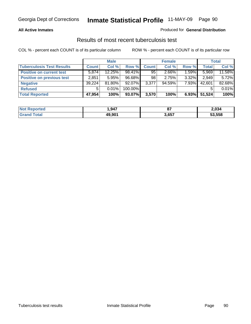### **All Active Inmates**

### Produced for **General Distribution**

### Results of most recent tuberculosis test

|                                  |              | <b>Male</b> |           |              | <b>Female</b> |          |              | Total  |
|----------------------------------|--------------|-------------|-----------|--------------|---------------|----------|--------------|--------|
| <b>Tuberculosis Test Results</b> | <b>Count</b> | Col %       | Row %     | <b>Count</b> | Col %         | Row %    | <b>Total</b> | Col %  |
| <b>Positive on current test</b>  | 5,874        | 12.25%      | 98.41%    | 95           | $2.66\%$      | $1.59\%$ | 5,969        | 11.58% |
| <b>Positive on previous test</b> | 2.851        | 5.95%       | 96.68%    | 98           | 2.75%         | $3.32\%$ | 2,949        | 5.72%  |
| <b>Negative</b>                  | 39,224       | 81.80%      | $92.07\%$ | 3,377        | 94.59%        | 7.93%    | 42,601       | 82.68% |
| <b>Refused</b>                   | 5            | $0.01\%$    | 100.00%   |              |               |          |              | 0.01%  |
| <b>Total Reported</b>            | 47,954       | 100%        | 93.07%    | 3,570        | 100%          | $6.93\%$ | 51,524       | 100%   |

| <b>Not Reported</b>   | .947   | ~-<br>$\mathbf{o}$ | 2,034  |
|-----------------------|--------|--------------------|--------|
| <b>Grand</b><br>⊺otal | 49.901 | 3,657              | 53,558 |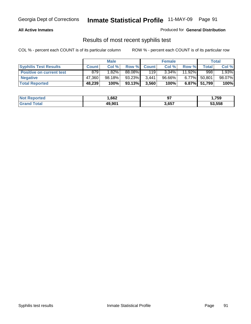### **All Active Inmates**

Produced for **General Distribution**

### Results of most recent syphilis test

|                                 |              | <b>Male</b> |           |                | <b>Female</b> |           |                 | <b>Total</b> |
|---------------------------------|--------------|-------------|-----------|----------------|---------------|-----------|-----------------|--------------|
| <b>Syphilis Test Results</b>    | <b>Count</b> | Col %       | Row %     | <b>Count</b> Ⅰ | Col %         | Row %     | <b>Total</b>    | Col %        |
| <b>Positive on current test</b> | 879          | $1.82\%$    | 88.08%    | 119            | $3.34\%$      | $11.92\%$ | 998             | 1.93%        |
| <b>Negative</b>                 | 47.360       | 98.18%      | $93.23\%$ | 3,441          | 96.66%        | $6.77\%$  | 50,801          | 98.07%       |
| <b>Total Reported</b>           | 48,239       | 100%        | 93.13%    | 3,560          | 100%          |           | $6.87\%$ 51,799 | 100%         |

| <b>Not Reported</b> | 662. ا | ~-<br>J. | 759,ا  |
|---------------------|--------|----------|--------|
| <b>Grand Total</b>  | 49,901 | 3,657    | 53,558 |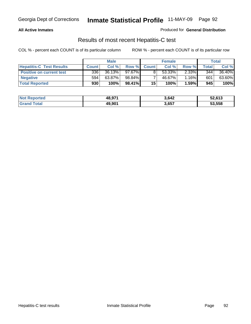### **All Active Inmates**

Produced for **General Distribution**

### Results of most recent Hepatitis-C test

|                                 |              | <b>Male</b> |        |              | <b>Female</b> |          |             | Total  |
|---------------------------------|--------------|-------------|--------|--------------|---------------|----------|-------------|--------|
| <b>Hepatitis-C Test Results</b> | <b>Count</b> | Col %       | Row %I | <b>Count</b> | Col %         | Row %    | $\tau$ otal | Col %  |
| <b>Positive on current test</b> | 336          | 36.13%      | 97.67% |              | 53.33%        | $2.33\%$ | 344         | 36.40% |
| <b>Negative</b>                 | 594          | 63.87%      | 98.84% |              | 46.67%        | 1.16%    | 601         | 63.60% |
| <b>Total Reported</b>           | 930          | 100%        | 98.41% | 15           | 100%          | 1.59%    | 945         | 100%   |

| <b>Not Reported</b> | 48,971 | 3,642 | 52,613 |
|---------------------|--------|-------|--------|
| <b>Grand Total</b>  | 49,901 | 3,657 | 53,558 |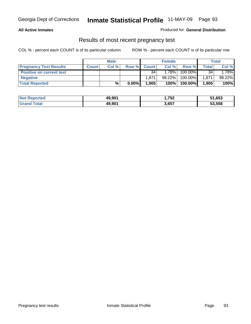### **All Active Inmates**

### Produced for **General Distribution**

### Results of most recent pregnancy test

|                                 | <b>Male</b>  |      | <b>Female</b> |                 |           | <b>Total</b> |              |         |
|---------------------------------|--------------|------|---------------|-----------------|-----------|--------------|--------------|---------|
| <b>Pregnancy Test Results</b>   | <b>Count</b> | Col% | Row %         | <b>Count</b>    | Col %     | Row %        | <b>Total</b> | Col %   |
| <b>Positive on current test</b> |              |      |               | 34 <sup>1</sup> | $1.78\%$  | 100.00%      | 34           | $.78\%$ |
| <b>Negative</b>                 |              |      |               | 1.871           | $98.22\%$ | 100.00%      | 1,871        | 98.22%  |
| <b>Total Reported</b>           |              | %    | $0.00\%$      | 1,905           | 100%      | 100.00%      | 1.905        | 100%    |

| <b>Not Reported</b> | 49,901 | 1,752 | 51,653 |
|---------------------|--------|-------|--------|
| <b>Grand Total</b>  | 49,901 | 3,657 | 53,558 |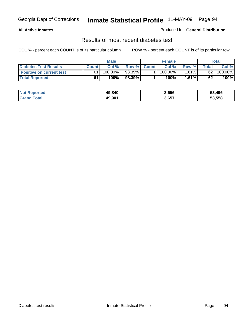### **All Active Inmates**

### Produced for **General Distribution**

### Results of most recent diabetes test

|                                 |              | <b>Male</b> |        |              | <b>Female</b> |          |       | Total   |
|---------------------------------|--------------|-------------|--------|--------------|---------------|----------|-------|---------|
| <b>Diabetes Test Results</b>    | <b>Count</b> | Col %       | Row %  | <b>Count</b> | Col %         | Row %I   | Total | Col %   |
| <b>Positive on current test</b> | 61           | 100.00%     | 98.39% |              | $100.00\%$    | $1.61\%$ | 62    | 100.00% |
| <b>Total Reported</b>           | 61           | 100%        | 98.39% |              | 100%          | 1.61%    | 62    | 100%    |

| <b>Not Reported</b>   | 49,840 | 3,656 | 53,496 |
|-----------------------|--------|-------|--------|
| Total<br><b>Grand</b> | 49,901 | 3,657 | 53,558 |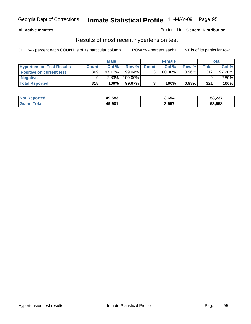### **All Active Inmates**

### Produced for **General Distribution**

### Results of most recent hypertension test

|                                  | <b>Male</b>  |           |           | <b>Female</b> |            |          | <b>Total</b> |        |
|----------------------------------|--------------|-----------|-----------|---------------|------------|----------|--------------|--------|
| <b>Hypertension Test Results</b> | <b>Count</b> | Col %     | Row %     | <b>Count</b>  | Col %      | Row %    | Total        | Col %  |
| <b>Positive on current test</b>  | 309          | $97.17\%$ | $99.04\%$ |               | $100.00\%$ | $0.96\%$ | 3121         | 97.20% |
| <b>Negative</b>                  |              | 2.83%     | 100.00%   |               |            |          |              | 2.80%  |
| <b>Total Reported</b>            | 318          | 100%      | 99.07%    |               | 100%       | 0.93%    | 321          | 100%   |

| <b>Not Reported</b> | 49,583 | 3,654 | 53,237 |
|---------------------|--------|-------|--------|
| <b>Grand Total</b>  | 49,901 | 3,657 | 53,558 |